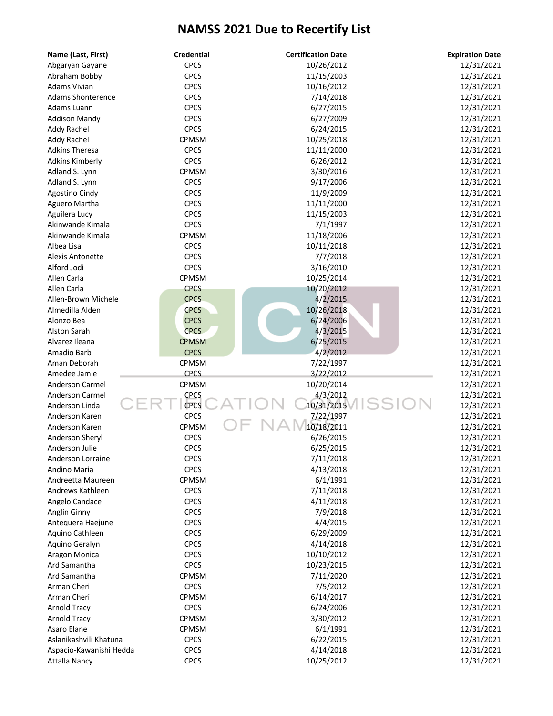| Name (Last, First)       | <b>Credential</b> | <b>Certification Date</b> | <b>Expiration Date</b> |
|--------------------------|-------------------|---------------------------|------------------------|
| Abgaryan Gayane          | <b>CPCS</b>       | 10/26/2012                | 12/31/2021             |
| Abraham Bobby            | <b>CPCS</b>       | 11/15/2003                | 12/31/2021             |
| Adams Vivian             | <b>CPCS</b>       | 10/16/2012                | 12/31/2021             |
| <b>Adams Shonterence</b> | <b>CPCS</b>       | 7/14/2018                 | 12/31/2021             |
| Adams Luann              | <b>CPCS</b>       | 6/27/2015                 | 12/31/2021             |
| <b>Addison Mandy</b>     | <b>CPCS</b>       | 6/27/2009                 | 12/31/2021             |
| Addy Rachel              | <b>CPCS</b>       | 6/24/2015                 | 12/31/2021             |
| Addy Rachel              | CPMSM             | 10/25/2018                | 12/31/2021             |
| <b>Adkins Theresa</b>    | <b>CPCS</b>       | 11/11/2000                | 12/31/2021             |
| <b>Adkins Kimberly</b>   | <b>CPCS</b>       | 6/26/2012                 | 12/31/2021             |
| Adland S. Lynn           | CPMSM             | 3/30/2016                 | 12/31/2021             |
| Adland S. Lynn           | <b>CPCS</b>       | 9/17/2006                 | 12/31/2021             |
| Agostino Cindy           | <b>CPCS</b>       | 11/9/2009                 | 12/31/2021             |
| Aguero Martha            | <b>CPCS</b>       | 11/11/2000                | 12/31/2021             |
| Aguilera Lucy            | <b>CPCS</b>       | 11/15/2003                | 12/31/2021             |
| Akinwande Kimala         | <b>CPCS</b>       | 7/1/1997                  | 12/31/2021             |
| Akinwande Kimala         | CPMSM             | 11/18/2006                | 12/31/2021             |
| Albea Lisa               | <b>CPCS</b>       | 10/11/2018                | 12/31/2021             |
| <b>Alexis Antonette</b>  | <b>CPCS</b>       | 7/7/2018                  | 12/31/2021             |
| Alford Jodi              | <b>CPCS</b>       | 3/16/2010                 | 12/31/2021             |
| Allen Carla              | CPMSM             | 10/25/2014                | 12/31/2021             |
| Allen Carla              | <b>CPCS</b>       | 10/20/2012                | 12/31/2021             |
| Allen-Brown Michele      | <b>CPCS</b>       | 4/2/2015                  | 12/31/2021             |
| Almedilla Alden          | <b>CPCS</b>       | 10/26/2018                | 12/31/2021             |
| Alonzo Bea               | <b>CPCS</b>       | 6/24/2006                 | 12/31/2021             |
| Alston Sarah             | <b>CPCS</b>       | 4/3/2015                  | 12/31/2021             |
| Alvarez Ileana           | <b>CPMSM</b>      | 6/25/2015                 | 12/31/2021             |
| Amadio Barb              | <b>CPCS</b>       | 4/2/2012                  | 12/31/2021             |
| Aman Deborah             | CPMSM             | 7/22/1997                 | 12/31/2021             |
| Amedee Jamie             | <b>CPCS</b>       | 3/22/2012                 | 12/31/2021             |
| Anderson Carmel          | CPMSM             | 10/20/2014                | 12/31/2021             |
| <b>Anderson Carmel</b>   | <b>CPCS</b>       | 4/3/2012                  | 12/31/2021             |
| Anderson Linda           | CPCS              | 10/31/2015                | 12/31/2021             |
| Anderson Karen           | <b>CPCS</b>       | 7/22/1997                 | 12/31/2021             |
| Anderson Karen           | CPMSM             | 10/18/2011                | 12/31/2021             |
| Anderson Sheryl          | <b>CPCS</b>       | 6/26/2015                 | 12/31/2021             |
| Anderson Julie           | <b>CPCS</b>       | 6/25/2015                 | 12/31/2021             |
| Anderson Lorraine        | <b>CPCS</b>       | 7/11/2018                 | 12/31/2021             |
| Andino Maria             | <b>CPCS</b>       | 4/13/2018                 | 12/31/2021             |
| Andreetta Maureen        | CPMSM             | 6/1/1991                  | 12/31/2021             |
| Andrews Kathleen         | <b>CPCS</b>       | 7/11/2018                 | 12/31/2021             |
| Angelo Candace           | <b>CPCS</b>       | 4/11/2018                 | 12/31/2021             |
| Anglin Ginny             | <b>CPCS</b>       | 7/9/2018                  | 12/31/2021             |
| Antequera Haejune        | <b>CPCS</b>       | 4/4/2015                  | 12/31/2021             |
| Aquino Cathleen          | <b>CPCS</b>       | 6/29/2009                 | 12/31/2021             |
| Aquino Geralyn           | <b>CPCS</b>       | 4/14/2018                 | 12/31/2021             |
| Aragon Monica            | <b>CPCS</b>       | 10/10/2012                | 12/31/2021             |
| Ard Samantha             | <b>CPCS</b>       | 10/23/2015                | 12/31/2021             |
| Ard Samantha             | CPMSM             | 7/11/2020                 | 12/31/2021             |
| Arman Cheri              | <b>CPCS</b>       | 7/5/2012                  | 12/31/2021             |
| Arman Cheri              | CPMSM             | 6/14/2017                 | 12/31/2021             |
| <b>Arnold Tracy</b>      | <b>CPCS</b>       | 6/24/2006                 | 12/31/2021             |
| <b>Arnold Tracy</b>      | CPMSM             | 3/30/2012                 | 12/31/2021             |
| Asaro Elane              | <b>CPMSM</b>      | 6/1/1991                  | 12/31/2021             |
| Aslanikashvili Khatuna   | <b>CPCS</b>       | 6/22/2015                 | 12/31/2021             |
|                          | <b>CPCS</b>       | 4/14/2018                 | 12/31/2021             |
| Aspacio-Kawanishi Hedda  | <b>CPCS</b>       | 10/25/2012                | 12/31/2021             |
| <b>Attalla Nancy</b>     |                   |                           |                        |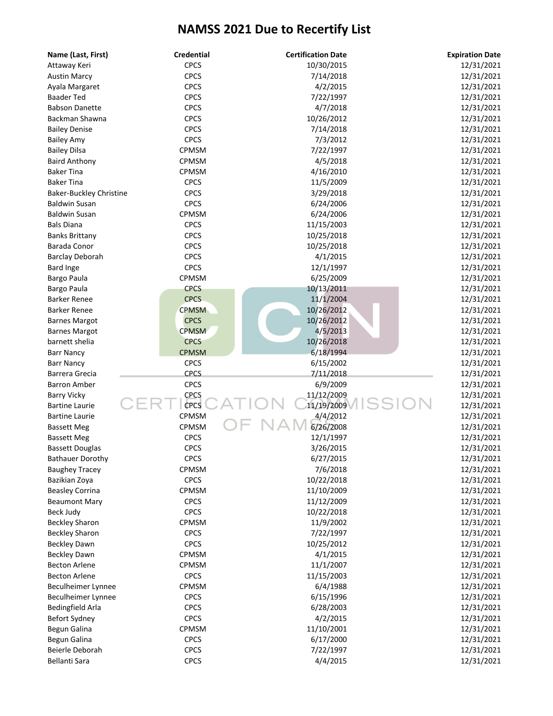| Name (Last, First)                  | <b>Credential</b> | <b>Certification Date</b> | <b>Expiration Date</b> |
|-------------------------------------|-------------------|---------------------------|------------------------|
| Attaway Keri                        | <b>CPCS</b>       | 10/30/2015                | 12/31/2021             |
| <b>Austin Marcy</b>                 | <b>CPCS</b>       | 7/14/2018                 | 12/31/2021             |
| Ayala Margaret                      | <b>CPCS</b>       | 4/2/2015                  | 12/31/2021             |
| <b>Baader Ted</b>                   | <b>CPCS</b>       | 7/22/1997                 | 12/31/2021             |
| <b>Babson Danette</b>               | <b>CPCS</b>       | 4/7/2018                  | 12/31/2021             |
| Backman Shawna                      | <b>CPCS</b>       | 10/26/2012                | 12/31/2021             |
| <b>Bailey Denise</b>                | <b>CPCS</b>       | 7/14/2018                 | 12/31/2021             |
| <b>Bailey Amy</b>                   | <b>CPCS</b>       | 7/3/2012                  | 12/31/2021             |
| <b>Bailey Dilsa</b>                 | CPMSM             | 7/22/1997                 | 12/31/2021             |
| <b>Baird Anthony</b>                | CPMSM             | 4/5/2018                  | 12/31/2021             |
| <b>Baker Tina</b>                   | CPMSM             | 4/16/2010                 | 12/31/2021             |
| <b>Baker Tina</b>                   | <b>CPCS</b>       | 11/5/2009                 | 12/31/2021             |
| Baker-Buckley Christine             | <b>CPCS</b>       | 3/29/2018                 | 12/31/2021             |
| <b>Baldwin Susan</b>                | <b>CPCS</b>       | 6/24/2006                 | 12/31/2021             |
| <b>Baldwin Susan</b>                | CPMSM             | 6/24/2006                 | 12/31/2021             |
| <b>Bals Diana</b>                   | <b>CPCS</b>       | 11/15/2003                | 12/31/2021             |
| <b>Banks Brittany</b>               | <b>CPCS</b>       | 10/25/2018                | 12/31/2021             |
| Barada Conor                        | <b>CPCS</b>       | 10/25/2018                | 12/31/2021             |
| <b>Barclay Deborah</b>              | <b>CPCS</b>       | 4/1/2015                  | 12/31/2021             |
| <b>Bard Inge</b>                    | <b>CPCS</b>       | 12/1/1997                 | 12/31/2021             |
| Bargo Paula                         | CPMSM             | 6/25/2009                 | 12/31/2021             |
|                                     | <b>CPCS</b>       | 10/13/2011                | 12/31/2021             |
| Bargo Paula                         | <b>CPCS</b>       | 11/1/2004                 |                        |
| Barker Renee<br><b>Barker Renee</b> | <b>CPMSM</b>      |                           | 12/31/2021             |
|                                     |                   | 10/26/2012                | 12/31/2021             |
| <b>Barnes Margot</b>                | <b>CPCS</b>       | 10/26/2012                | 12/31/2021             |
| <b>Barnes Margot</b>                | <b>CPMSM</b>      | 4/5/2013                  | 12/31/2021             |
| barnett shelia                      | <b>CPCS</b>       | 10/26/2018                | 12/31/2021             |
| <b>Barr Nancy</b>                   | <b>CPMSM</b>      | 6/18/1994                 | 12/31/2021             |
| <b>Barr Nancy</b>                   | <b>CPCS</b>       | 6/15/2002                 | 12/31/2021             |
| Barrera Grecia                      | <b>CPCS</b>       | 7/11/2018                 | 12/31/2021             |
| Barron Amber                        | <b>CPCS</b>       | 6/9/2009                  | 12/31/2021             |
| <b>Barry Vicky</b>                  | CPCS              | 11/12/2009                | 12/31/2021             |
| <b>Bartine Laurie</b>               | <b>CPCS</b>       | 11/19/2009                | 12/31/2021             |
| <b>Bartine Laurie</b>               | CPMSM             | 4/4/2012                  | 12/31/2021             |
| <b>Bassett Meg</b>                  | <b>CPMSM</b>      | 6/26/2008                 | 12/31/2021             |
| <b>Bassett Meg</b>                  | <b>CPCS</b>       | 12/1/1997                 | 12/31/2021             |
| <b>Bassett Douglas</b>              | <b>CPCS</b>       | 3/26/2015                 | 12/31/2021             |
| <b>Bathauer Dorothy</b>             | <b>CPCS</b>       | 6/27/2015                 | 12/31/2021             |
| <b>Baughey Tracey</b>               | CPMSM             | 7/6/2018                  | 12/31/2021             |
| Bazikian Zoya                       | <b>CPCS</b>       | 10/22/2018                | 12/31/2021             |
| <b>Beasley Corrina</b>              | CPMSM             | 11/10/2009                | 12/31/2021             |
| <b>Beaumont Mary</b>                | <b>CPCS</b>       | 11/12/2009                | 12/31/2021             |
| Beck Judy                           | <b>CPCS</b>       | 10/22/2018                | 12/31/2021             |
| <b>Beckley Sharon</b>               | CPMSM             | 11/9/2002                 | 12/31/2021             |
| <b>Beckley Sharon</b>               | <b>CPCS</b>       | 7/22/1997                 | 12/31/2021             |
| <b>Beckley Dawn</b>                 | <b>CPCS</b>       | 10/25/2012                | 12/31/2021             |
| <b>Beckley Dawn</b>                 | CPMSM             | 4/1/2015                  | 12/31/2021             |
| <b>Becton Arlene</b>                | CPMSM             | 11/1/2007                 | 12/31/2021             |
| <b>Becton Arlene</b>                | <b>CPCS</b>       | 11/15/2003                | 12/31/2021             |
| Beculheimer Lynnee                  | CPMSM             | 6/4/1988                  | 12/31/2021             |
| Beculheimer Lynnee                  | <b>CPCS</b>       | 6/15/1996                 | 12/31/2021             |
| Bedingfield Arla                    | <b>CPCS</b>       | 6/28/2003                 | 12/31/2021             |
| Befort Sydney                       | <b>CPCS</b>       | 4/2/2015                  | 12/31/2021             |
| Begun Galina                        | CPMSM             | 11/10/2001                | 12/31/2021             |
| Begun Galina                        | <b>CPCS</b>       | 6/17/2000                 | 12/31/2021             |
| Beierle Deborah                     | <b>CPCS</b>       | 7/22/1997                 | 12/31/2021             |
| Bellanti Sara                       | <b>CPCS</b>       | 4/4/2015                  | 12/31/2021             |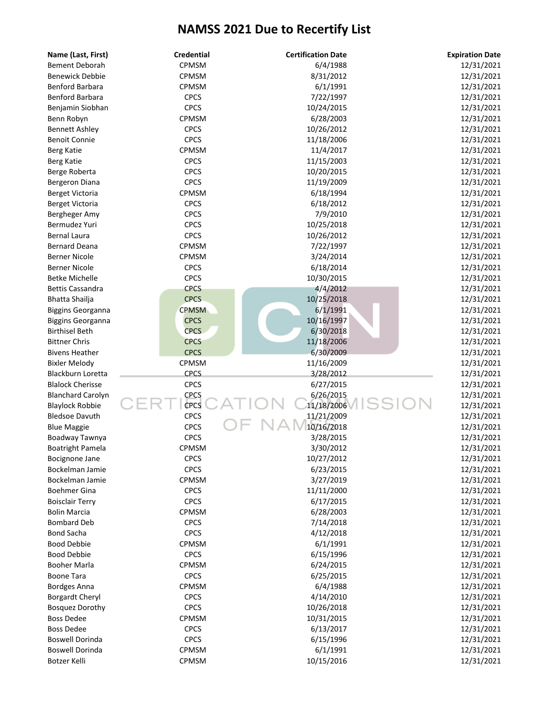| Name (Last, First)       | <b>Credential</b> | <b>Certification Date</b> | <b>Expiration Date</b> |
|--------------------------|-------------------|---------------------------|------------------------|
| <b>Bement Deborah</b>    | CPMSM             | 6/4/1988                  | 12/31/2021             |
| <b>Benewick Debbie</b>   | <b>CPMSM</b>      | 8/31/2012                 | 12/31/2021             |
| Benford Barbara          | <b>CPMSM</b>      | 6/1/1991                  | 12/31/2021             |
| Benford Barbara          | <b>CPCS</b>       | 7/22/1997                 | 12/31/2021             |
| Benjamin Siobhan         | <b>CPCS</b>       | 10/24/2015                | 12/31/2021             |
| Benn Robyn               | CPMSM             | 6/28/2003                 | 12/31/2021             |
| <b>Bennett Ashley</b>    | <b>CPCS</b>       | 10/26/2012                | 12/31/2021             |
| <b>Benoit Connie</b>     | <b>CPCS</b>       | 11/18/2006                | 12/31/2021             |
| Berg Katie               | CPMSM             | 11/4/2017                 | 12/31/2021             |
| <b>Berg Katie</b>        | <b>CPCS</b>       | 11/15/2003                | 12/31/2021             |
| Berge Roberta            | <b>CPCS</b>       | 10/20/2015                | 12/31/2021             |
| Bergeron Diana           | <b>CPCS</b>       | 11/19/2009                | 12/31/2021             |
| <b>Berget Victoria</b>   | CPMSM             | 6/18/1994                 | 12/31/2021             |
| Berget Victoria          | <b>CPCS</b>       | 6/18/2012                 | 12/31/2021             |
| Bergheger Amy            | <b>CPCS</b>       | 7/9/2010                  | 12/31/2021             |
| Bermudez Yuri            | <b>CPCS</b>       | 10/25/2018                | 12/31/2021             |
| <b>Bernal Laura</b>      | <b>CPCS</b>       | 10/26/2012                | 12/31/2021             |
| <b>Bernard Deana</b>     | CPMSM             | 7/22/1997                 | 12/31/2021             |
| <b>Berner Nicole</b>     | CPMSM             | 3/24/2014                 | 12/31/2021             |
| <b>Berner Nicole</b>     | <b>CPCS</b>       | 6/18/2014                 | 12/31/2021             |
| <b>Betke Michelle</b>    | CPCS              | 10/30/2015                | 12/31/2021             |
| <b>Bettis Cassandra</b>  | <b>CPCS</b>       | 4/4/2012                  | 12/31/2021             |
| Bhatta Shailja           | <b>CPCS</b>       | 10/25/2018                | 12/31/2021             |
| Biggins Georganna        | <b>CPMSM</b>      | 6/1/1991                  | 12/31/2021             |
| <b>Biggins Georganna</b> | <b>CPCS</b>       | 10/16/1997                | 12/31/2021             |
| <b>Birthisel Beth</b>    | <b>CPCS</b>       | 6/30/2018                 | 12/31/2021             |
| <b>Bittner Chris</b>     | <b>CPCS</b>       | 11/18/2006                | 12/31/2021             |
| <b>Bivens Heather</b>    | <b>CPCS</b>       | 6/30/2009                 | 12/31/2021             |
| <b>Bixler Melody</b>     | CPMSM             | 11/16/2009                | 12/31/2021             |
| Blackburn Loretta        | <b>CPCS</b>       | 3/28/2012                 | 12/31/2021             |
| <b>Blalock Cherisse</b>  | <b>CPCS</b>       | 6/27/2015                 | 12/31/2021             |
| <b>Blanchard Carolyn</b> | <b>CPCS</b>       | 6/26/2015                 | 12/31/2021             |
| <b>Blaylock Robbie</b>   | CPCS              | 11/18/2006                | 12/31/2021             |
| <b>Bledsoe Davuth</b>    | <b>CPCS</b>       | 11/21/2009                | 12/31/2021             |
| <b>Blue Maggie</b>       | CPCS              | 10/16/2018                | 12/31/2021             |
| Boadway Tawnya           | CPCS              | 3/28/2015                 | 12/31/2021             |
| Boatright Pamela         | CPMSM             | 3/30/2012                 | 12/31/2021             |
| Bocignone Jane           | <b>CPCS</b>       | 10/27/2012                | 12/31/2021             |
| Bockelman Jamie          | <b>CPCS</b>       | 6/23/2015                 | 12/31/2021             |
| Bockelman Jamie          | CPMSM             | 3/27/2019                 | 12/31/2021             |
| <b>Boehmer Gina</b>      | <b>CPCS</b>       | 11/11/2000                | 12/31/2021             |
| <b>Boisclair Terry</b>   | <b>CPCS</b>       | 6/17/2015                 | 12/31/2021             |
| <b>Bolin Marcia</b>      | CPMSM             | 6/28/2003                 | 12/31/2021             |
| <b>Bombard Deb</b>       | <b>CPCS</b>       | 7/14/2018                 | 12/31/2021             |
| <b>Bond Sacha</b>        | <b>CPCS</b>       | 4/12/2018                 | 12/31/2021             |
| <b>Bood Debbie</b>       | CPMSM             | 6/1/1991                  | 12/31/2021             |
| <b>Bood Debbie</b>       | <b>CPCS</b>       | 6/15/1996                 | 12/31/2021             |
| <b>Booher Marla</b>      | CPMSM             | 6/24/2015                 | 12/31/2021             |
| <b>Boone Tara</b>        | <b>CPCS</b>       | 6/25/2015                 | 12/31/2021             |
| <b>Bordges Anna</b>      | CPMSM             | 6/4/1988                  | 12/31/2021             |
| Borgardt Cheryl          | <b>CPCS</b>       | 4/14/2010                 | 12/31/2021             |
| <b>Bosquez Dorothy</b>   | <b>CPCS</b>       | 10/26/2018                | 12/31/2021             |
| <b>Boss Dedee</b>        | <b>CPMSM</b>      | 10/31/2015                | 12/31/2021             |
| <b>Boss Dedee</b>        | <b>CPCS</b>       | 6/13/2017                 | 12/31/2021             |
| <b>Boswell Dorinda</b>   | <b>CPCS</b>       | 6/15/1996                 | 12/31/2021             |
| <b>Boswell Dorinda</b>   | CPMSM             | 6/1/1991                  | 12/31/2021             |
| Botzer Kelli             | CPMSM             | 10/15/2016                | 12/31/2021             |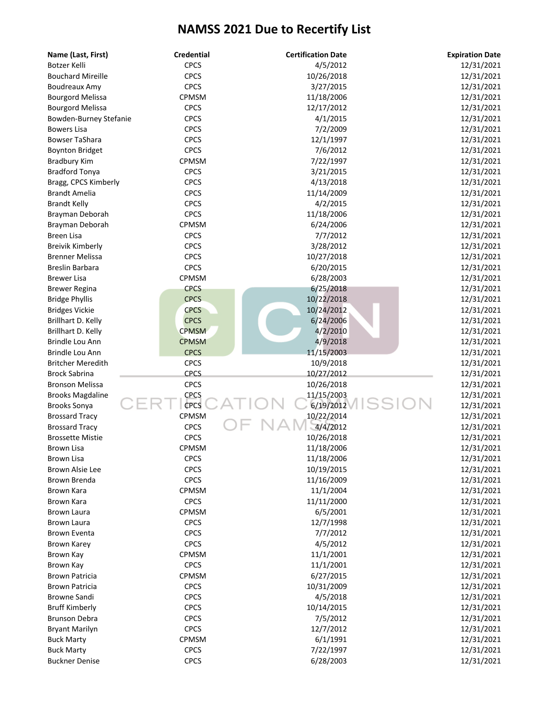| Name (Last, First)       | <b>Credential</b> | <b>Certification Date</b> | <b>Expiration Date</b> |
|--------------------------|-------------------|---------------------------|------------------------|
| Botzer Kelli             | <b>CPCS</b>       | 4/5/2012                  | 12/31/2021             |
| <b>Bouchard Mireille</b> | <b>CPCS</b>       | 10/26/2018                | 12/31/2021             |
| Boudreaux Amy            | <b>CPCS</b>       | 3/27/2015                 | 12/31/2021             |
| <b>Bourgord Melissa</b>  | CPMSM             | 11/18/2006                | 12/31/2021             |
| <b>Bourgord Melissa</b>  | <b>CPCS</b>       | 12/17/2012                | 12/31/2021             |
| Bowden-Burney Stefanie   | <b>CPCS</b>       | 4/1/2015                  | 12/31/2021             |
| <b>Bowers Lisa</b>       | <b>CPCS</b>       | 7/2/2009                  | 12/31/2021             |
| <b>Bowser TaShara</b>    | <b>CPCS</b>       | 12/1/1997                 | 12/31/2021             |
| <b>Boynton Bridget</b>   | <b>CPCS</b>       | 7/6/2012                  | 12/31/2021             |
| <b>Bradbury Kim</b>      | CPMSM             | 7/22/1997                 | 12/31/2021             |
| <b>Bradford Tonya</b>    | <b>CPCS</b>       | 3/21/2015                 | 12/31/2021             |
| Bragg, CPCS Kimberly     | <b>CPCS</b>       | 4/13/2018                 | 12/31/2021             |
| Brandt Amelia            | <b>CPCS</b>       | 11/14/2009                | 12/31/2021             |
| <b>Brandt Kelly</b>      | <b>CPCS</b>       | 4/2/2015                  | 12/31/2021             |
| Brayman Deborah          | <b>CPCS</b>       | 11/18/2006                | 12/31/2021             |
| Brayman Deborah          | CPMSM             | 6/24/2006                 | 12/31/2021             |
| <b>Breen Lisa</b>        | <b>CPCS</b>       | 7/7/2012                  | 12/31/2021             |
| <b>Breivik Kimberly</b>  | <b>CPCS</b>       | 3/28/2012                 | 12/31/2021             |
| <b>Brenner Melissa</b>   | CPCS              | 10/27/2018                | 12/31/2021             |
| <b>Breslin Barbara</b>   | CPCS              | 6/20/2015                 | 12/31/2021             |
| <b>Brewer Lisa</b>       | CPMSM             | 6/28/2003                 | 12/31/2021             |
|                          | <b>CPCS</b>       | 6/25/2018                 | 12/31/2021             |
| <b>Brewer Regina</b>     | <b>CPCS</b>       |                           |                        |
| <b>Bridge Phyllis</b>    | <b>CPCS</b>       | 10/22/2018                | 12/31/2021             |
| <b>Bridges Vickie</b>    |                   | 10/24/2012                | 12/31/2021             |
| Brillhart D. Kelly       | <b>CPCS</b>       | 6/24/2006                 | 12/31/2021             |
| Brillhart D. Kelly       | <b>CPMSM</b>      | 4/2/2010                  | 12/31/2021             |
| Brindle Lou Ann          | <b>CPMSM</b>      | 4/9/2018                  | 12/31/2021             |
| Brindle Lou Ann          | <b>CPCS</b>       | 11/15/2003                | 12/31/2021             |
| <b>Britcher Meredith</b> | <b>CPCS</b>       | 10/9/2018                 | 12/31/2021             |
| <b>Brock Sabrina</b>     | <b>CPCS</b>       | 10/27/2012                | 12/31/2021             |
| <b>Bronson Melissa</b>   | CPCS              | 10/26/2018                | 12/31/2021             |
| <b>Brooks Magdaline</b>  | <b>CPCS</b>       | 11/15/2003                | 12/31/2021             |
| <b>Brooks Sonya</b>      | <b>CPCS</b>       | 6/19/2012                 | 12/31/2021             |
| <b>Brossard Tracy</b>    | CPMSM             | 10/22/2014                | 12/31/2021             |
| <b>Brossard Tracy</b>    | <b>CPCS</b>       | 4/4/2012                  | 12/31/2021             |
| <b>Brossette Mistie</b>  | CPCS              | 10/26/2018                | 12/31/2021             |
| <b>Brown Lisa</b>        | CPMSM             | 11/18/2006                | 12/31/2021             |
| Brown Lisa               | <b>CPCS</b>       | 11/18/2006                | 12/31/2021             |
| Brown Alsie Lee          | <b>CPCS</b>       | 10/19/2015                | 12/31/2021             |
| Brown Brenda             | <b>CPCS</b>       | 11/16/2009                | 12/31/2021             |
| Brown Kara               | CPMSM             | 11/1/2004                 | 12/31/2021             |
| Brown Kara               | <b>CPCS</b>       | 11/11/2000                | 12/31/2021             |
| Brown Laura              | CPMSM             | 6/5/2001                  | 12/31/2021             |
| Brown Laura              | <b>CPCS</b>       | 12/7/1998                 | 12/31/2021             |
| <b>Brown Eventa</b>      | <b>CPCS</b>       | 7/7/2012                  | 12/31/2021             |
| <b>Brown Karey</b>       | <b>CPCS</b>       | 4/5/2012                  | 12/31/2021             |
| Brown Kay                | CPMSM             | 11/1/2001                 | 12/31/2021             |
| Brown Kay                | <b>CPCS</b>       | 11/1/2001                 | 12/31/2021             |
| <b>Brown Patricia</b>    | <b>CPMSM</b>      | 6/27/2015                 | 12/31/2021             |
| <b>Brown Patricia</b>    | <b>CPCS</b>       | 10/31/2009                | 12/31/2021             |
| <b>Browne Sandi</b>      | <b>CPCS</b>       | 4/5/2018                  | 12/31/2021             |
| <b>Bruff Kimberly</b>    | <b>CPCS</b>       | 10/14/2015                | 12/31/2021             |
| <b>Brunson Debra</b>     | <b>CPCS</b>       | 7/5/2012                  | 12/31/2021             |
| <b>Bryant Marilyn</b>    | <b>CPCS</b>       | 12/7/2012                 | 12/31/2021             |
| <b>Buck Marty</b>        | CPMSM             | 6/1/1991                  | 12/31/2021             |
| <b>Buck Marty</b>        | <b>CPCS</b>       | 7/22/1997                 | 12/31/2021             |
| <b>Buckner Denise</b>    | <b>CPCS</b>       | 6/28/2003                 | 12/31/2021             |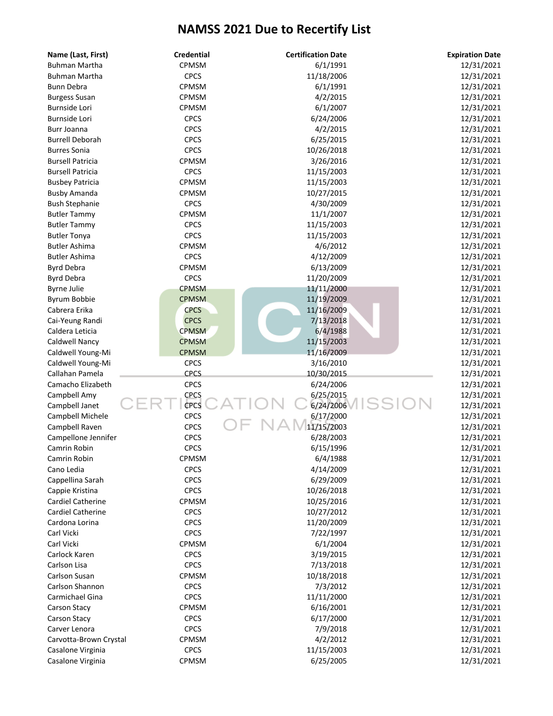| Name (Last, First)       | <b>Credential</b> | <b>Certification Date</b> | <b>Expiration Date</b> |
|--------------------------|-------------------|---------------------------|------------------------|
| <b>Buhman Martha</b>     | CPMSM             | 6/1/1991                  | 12/31/2021             |
| <b>Buhman Martha</b>     | <b>CPCS</b>       | 11/18/2006                | 12/31/2021             |
| <b>Bunn Debra</b>        | CPMSM             | 6/1/1991                  | 12/31/2021             |
| <b>Burgess Susan</b>     | <b>CPMSM</b>      | 4/2/2015                  | 12/31/2021             |
| <b>Burnside Lori</b>     | CPMSM             | 6/1/2007                  | 12/31/2021             |
| Burnside Lori            | <b>CPCS</b>       | 6/24/2006                 | 12/31/2021             |
| Burr Joanna              | <b>CPCS</b>       | 4/2/2015                  | 12/31/2021             |
| <b>Burrell Deborah</b>   | <b>CPCS</b>       | 6/25/2015                 | 12/31/2021             |
| <b>Burres Sonia</b>      | <b>CPCS</b>       | 10/26/2018                | 12/31/2021             |
| <b>Bursell Patricia</b>  | CPMSM             | 3/26/2016                 | 12/31/2021             |
| <b>Bursell Patricia</b>  | <b>CPCS</b>       | 11/15/2003                | 12/31/2021             |
| <b>Busbey Patricia</b>   | CPMSM             | 11/15/2003                | 12/31/2021             |
| <b>Busby Amanda</b>      | CPMSM             | 10/27/2015                | 12/31/2021             |
| <b>Bush Stephanie</b>    | <b>CPCS</b>       | 4/30/2009                 | 12/31/2021             |
| <b>Butler Tammy</b>      | CPMSM             | 11/1/2007                 | 12/31/2021             |
| <b>Butler Tammy</b>      | <b>CPCS</b>       | 11/15/2003                | 12/31/2021             |
| <b>Butler Tonya</b>      | <b>CPCS</b>       | 11/15/2003                | 12/31/2021             |
| <b>Butler Ashima</b>     | CPMSM             | 4/6/2012                  | 12/31/2021             |
| <b>Butler Ashima</b>     | <b>CPCS</b>       | 4/12/2009                 | 12/31/2021             |
| <b>Byrd Debra</b>        | CPMSM             | 6/13/2009                 | 12/31/2021             |
| <b>Byrd Debra</b>        | <b>CPCS</b>       | 11/20/2009                | 12/31/2021             |
| <b>Byrne Julie</b>       | <b>CPMSM</b>      | 11/11/2000                | 12/31/2021             |
| Byrum Bobbie             | <b>CPMSM</b>      | 11/19/2009                | 12/31/2021             |
| Cabrera Erika            | <b>CPCS</b>       | 11/16/2009                | 12/31/2021             |
| Cai-Yeung Randi          | <b>CPCS</b>       | 7/13/2018                 | 12/31/2021             |
| Caldera Leticia          | <b>CPMSM</b>      | 6/4/1988                  | 12/31/2021             |
| Caldwell Nancy           | <b>CPMSM</b>      | 11/15/2003                | 12/31/2021             |
| Caldwell Young-Mi        | <b>CPMSM</b>      | 11/16/2009                | 12/31/2021             |
| Caldwell Young-Mi        | <b>CPCS</b>       | 3/16/2010                 | 12/31/2021             |
| Callahan Pamela          | <b>CPCS</b>       | 10/30/2015                | 12/31/2021             |
| Camacho Elizabeth        | <b>CPCS</b>       | 6/24/2006                 | 12/31/2021             |
| Campbell Amy             | <b>CPCS</b>       | 6/25/2015                 | 12/31/2021             |
| Campbell Janet           | <b>CPCS</b>       | SS<br>6/24/2006           | 12/31/2021             |
| Campbell Michele         | <b>CPCS</b>       | 6/17/2000                 | 12/31/2021             |
| Campbell Raven           | <b>CPCS</b>       | 11/15/2003                | 12/31/2021             |
| Campellone Jennifer      | <b>CPCS</b>       | 6/28/2003                 | 12/31/2021             |
| Camrin Robin             | <b>CPCS</b>       | 6/15/1996                 | 12/31/2021             |
| Camrin Robin             | CPMSM             | 6/4/1988                  | 12/31/2021             |
| Cano Ledia               | <b>CPCS</b>       | 4/14/2009                 | 12/31/2021             |
| Cappellina Sarah         | <b>CPCS</b>       | 6/29/2009                 | 12/31/2021             |
| Cappie Kristina          | <b>CPCS</b>       | 10/26/2018                | 12/31/2021             |
| <b>Cardiel Catherine</b> | CPMSM             | 10/25/2016                | 12/31/2021             |
| <b>Cardiel Catherine</b> | <b>CPCS</b>       | 10/27/2012                | 12/31/2021             |
| Cardona Lorina           | <b>CPCS</b>       | 11/20/2009                | 12/31/2021             |
| Carl Vicki               | <b>CPCS</b>       | 7/22/1997                 | 12/31/2021             |
| Carl Vicki               | CPMSM             | 6/1/2004                  | 12/31/2021             |
| Carlock Karen            | <b>CPCS</b>       | 3/19/2015                 | 12/31/2021             |
| Carlson Lisa             | <b>CPCS</b>       | 7/13/2018                 | 12/31/2021             |
| Carlson Susan            | CPMSM             | 10/18/2018                | 12/31/2021             |
| Carlson Shannon          | <b>CPCS</b>       | 7/3/2012                  | 12/31/2021             |
| Carmichael Gina          | <b>CPCS</b>       | 11/11/2000                | 12/31/2021             |
| Carson Stacy             | CPMSM             | 6/16/2001                 | 12/31/2021             |
| Carson Stacy             | <b>CPCS</b>       | 6/17/2000                 | 12/31/2021             |
| Carver Lenora            | <b>CPCS</b>       | 7/9/2018                  | 12/31/2021             |
| Carvotta-Brown Crystal   | CPMSM             | 4/2/2012                  | 12/31/2021             |
| Casalone Virginia        | <b>CPCS</b>       | 11/15/2003                | 12/31/2021             |
| Casalone Virginia        | CPMSM             | 6/25/2005                 | 12/31/2021             |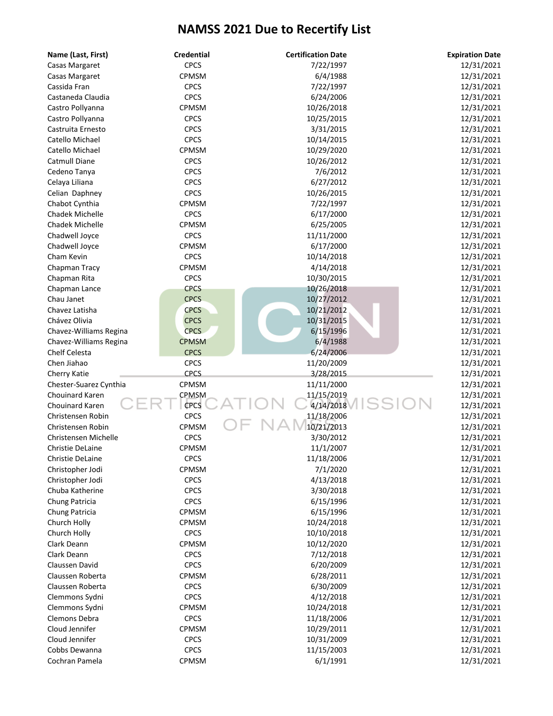| Name (Last, First)                        | <b>Credential</b>    | <b>Certification Date</b> | <b>Expiration Date</b>   |
|-------------------------------------------|----------------------|---------------------------|--------------------------|
| Casas Margaret                            | <b>CPCS</b>          | 7/22/1997                 | 12/31/2021               |
| Casas Margaret                            | CPMSM                | 6/4/1988                  | 12/31/2021               |
| Cassida Fran                              | <b>CPCS</b>          | 7/22/1997                 | 12/31/2021               |
| Castaneda Claudia                         | <b>CPCS</b>          | 6/24/2006                 | 12/31/2021               |
| Castro Pollyanna                          | CPMSM                | 10/26/2018                | 12/31/2021               |
| Castro Pollyanna                          | <b>CPCS</b>          | 10/25/2015                | 12/31/2021               |
| Castruita Ernesto                         | <b>CPCS</b>          | 3/31/2015                 | 12/31/2021               |
| Catello Michael                           | <b>CPCS</b>          | 10/14/2015                | 12/31/2021               |
| Catello Michael                           | CPMSM                | 10/29/2020                | 12/31/2021               |
| Catmull Diane                             | <b>CPCS</b>          | 10/26/2012                | 12/31/2021               |
| Cedeno Tanya                              | <b>CPCS</b>          | 7/6/2012                  | 12/31/2021               |
| Celaya Liliana                            | <b>CPCS</b>          | 6/27/2012                 | 12/31/2021               |
| Celian Daphney                            | <b>CPCS</b>          | 10/26/2015                | 12/31/2021               |
| Chabot Cynthia                            | CPMSM                | 7/22/1997                 | 12/31/2021               |
| <b>Chadek Michelle</b>                    | <b>CPCS</b>          | 6/17/2000                 | 12/31/2021               |
| <b>Chadek Michelle</b>                    | CPMSM                | 6/25/2005                 | 12/31/2021               |
| Chadwell Joyce                            | <b>CPCS</b>          | 11/11/2000                | 12/31/2021               |
| Chadwell Joyce                            | CPMSM                | 6/17/2000                 | 12/31/2021               |
| Cham Kevin                                | <b>CPCS</b>          | 10/14/2018                | 12/31/2021               |
| Chapman Tracy                             | CPMSM                | 4/14/2018                 | 12/31/2021               |
| Chapman Rita                              | <b>CPCS</b>          | 10/30/2015                | 12/31/2021               |
| Chapman Lance                             | <b>CPCS</b>          | 10/26/2018                | 12/31/2021               |
| Chau Janet                                | <b>CPCS</b>          | 10/27/2012                | 12/31/2021               |
| Chavez Latisha                            | <b>CPCS</b>          | 10/21/2012                | 12/31/2021               |
| Chávez Olivia                             | <b>CPCS</b>          | 10/31/2015                | 12/31/2021               |
| Chavez-Williams Regina                    | <b>CPCS</b>          | 6/15/1996                 | 12/31/2021               |
| Chavez-Williams Regina                    | <b>CPMSM</b>         | 6/4/1988                  | 12/31/2021               |
| Chelf Celesta                             | <b>CPCS</b>          | 6/24/2006                 | 12/31/2021               |
| Chen Jiahao                               | <b>CPCS</b>          | 11/20/2009                | 12/31/2021               |
|                                           | <b>CPCS</b>          | 3/28/2015                 | 12/31/2021               |
| Cherry Katie                              | CPMSM                | 11/11/2000                | 12/31/2021               |
| Chester-Suarez Cynthia<br>Chouinard Karen | CPMSM                | 11/15/2019                | 12/31/2021               |
| Chouinard Karen                           | <b>CPCS</b>          | 4/14/2018                 | 12/31/2021               |
| Christensen Robin                         | <b>CPCS</b>          | 11/18/2006                |                          |
| Christensen Robin                         | CPMSM                | 10/21/2013                | 12/31/2021               |
|                                           |                      |                           | 12/31/2021               |
| Christensen Michelle                      | <b>CPCS</b>          | 3/30/2012                 | 12/31/2021               |
| Christie DeLaine                          | CPMSM<br><b>CPCS</b> | 11/1/2007                 | 12/31/2021<br>12/31/2021 |
| Christie DeLaine                          |                      | 11/18/2006                |                          |
| Christopher Jodi                          | CPMSM                | 7/1/2020                  | 12/31/2021               |
| Christopher Jodi                          | <b>CPCS</b>          | 4/13/2018                 | 12/31/2021               |
| Chuba Katherine                           | <b>CPCS</b>          | 3/30/2018                 | 12/31/2021               |
| Chung Patricia                            | <b>CPCS</b>          | 6/15/1996                 | 12/31/2021               |
| Chung Patricia                            | CPMSM                | 6/15/1996                 | 12/31/2021               |
| Church Holly                              | CPMSM                | 10/24/2018                | 12/31/2021               |
| Church Holly                              | <b>CPCS</b>          | 10/10/2018                | 12/31/2021               |
| Clark Deann                               | CPMSM                | 10/12/2020                | 12/31/2021               |
| Clark Deann                               | <b>CPCS</b>          | 7/12/2018                 | 12/31/2021               |
| Claussen David                            | <b>CPCS</b>          | 6/20/2009                 | 12/31/2021               |
| Claussen Roberta                          | CPMSM                | 6/28/2011                 | 12/31/2021               |
| Claussen Roberta                          | <b>CPCS</b>          | 6/30/2009                 | 12/31/2021               |
| Clemmons Sydni                            | <b>CPCS</b>          | 4/12/2018                 | 12/31/2021               |
| Clemmons Sydni                            | <b>CPMSM</b>         | 10/24/2018                | 12/31/2021               |
| Clemons Debra                             | <b>CPCS</b>          | 11/18/2006                | 12/31/2021               |
| Cloud Jennifer                            | CPMSM                | 10/29/2011                | 12/31/2021               |
| Cloud Jennifer                            | <b>CPCS</b>          | 10/31/2009                | 12/31/2021               |
| Cobbs Dewanna                             | <b>CPCS</b>          | 11/15/2003                | 12/31/2021               |
| Cochran Pamela                            | CPMSM                | 6/1/1991                  | 12/31/2021               |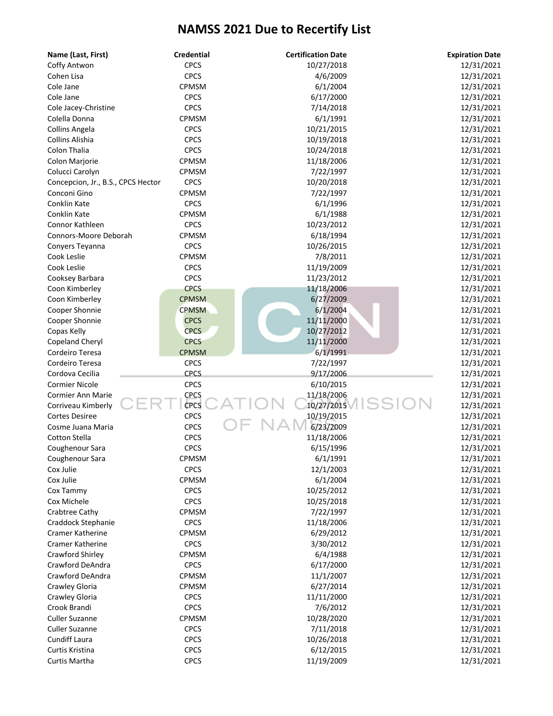| Name (Last, First)                 | <b>Credential</b> | <b>Certification Date</b> | <b>Expiration Date</b> |
|------------------------------------|-------------------|---------------------------|------------------------|
| Coffy Antwon                       | <b>CPCS</b>       | 10/27/2018                | 12/31/2021             |
| Cohen Lisa                         | <b>CPCS</b>       | 4/6/2009                  | 12/31/2021             |
| Cole Jane                          | CPMSM             | 6/1/2004                  | 12/31/2021             |
| Cole Jane                          | <b>CPCS</b>       | 6/17/2000                 | 12/31/2021             |
| Cole Jacey-Christine               | <b>CPCS</b>       | 7/14/2018                 | 12/31/2021             |
| Colella Donna                      | CPMSM             | 6/1/1991                  | 12/31/2021             |
| Collins Angela                     | <b>CPCS</b>       | 10/21/2015                | 12/31/2021             |
| Collins Alishia                    | <b>CPCS</b>       | 10/19/2018                | 12/31/2021             |
| Colon Thalia                       | <b>CPCS</b>       | 10/24/2018                | 12/31/2021             |
| Colon Marjorie                     | <b>CPMSM</b>      | 11/18/2006                | 12/31/2021             |
| Colucci Carolyn                    | CPMSM             | 7/22/1997                 | 12/31/2021             |
| Concepcion, Jr., B.S., CPCS Hector | <b>CPCS</b>       | 10/20/2018                | 12/31/2021             |
| Conconi Gino                       | CPMSM             | 7/22/1997                 | 12/31/2021             |
| Conklin Kate                       | <b>CPCS</b>       | 6/1/1996                  | 12/31/2021             |
| Conklin Kate                       | CPMSM             | 6/1/1988                  | 12/31/2021             |
| Connor Kathleen                    | <b>CPCS</b>       | 10/23/2012                | 12/31/2021             |
| Connors-Moore Deborah              | CPMSM             | 6/18/1994                 | 12/31/2021             |
| Conyers Teyanna                    | <b>CPCS</b>       | 10/26/2015                | 12/31/2021             |
| Cook Leslie                        | <b>CPMSM</b>      | 7/8/2011                  | 12/31/2021             |
| Cook Leslie                        | <b>CPCS</b>       | 11/19/2009                | 12/31/2021             |
| Cooksey Barbara                    | <b>CPCS</b>       | 11/23/2012                | 12/31/2021             |
| Coon Kimberley                     | <b>CPCS</b>       | 11/18/2006                | 12/31/2021             |
| Coon Kimberley                     | <b>CPMSM</b>      | 6/27/2009                 | 12/31/2021             |
| Cooper Shonnie                     | <b>CPMSM</b>      | 6/1/2004                  | 12/31/2021             |
| Cooper Shonnie                     | <b>CPCS</b>       | 11/11/2000                | 12/31/2021             |
|                                    | <b>CPCS</b>       | 10/27/2012                | 12/31/2021             |
| Copas Kelly                        | <b>CPCS</b>       | 11/11/2000                |                        |
| Copeland Cheryl                    |                   |                           | 12/31/2021             |
| Cordeiro Teresa                    | <b>CPMSM</b>      | 6/1/1991                  | 12/31/2021             |
| Cordeiro Teresa                    | <b>CPCS</b>       | 7/22/1997                 | 12/31/2021             |
| Cordova Cecilia                    | <b>CPCS</b>       | 9/17/2006                 | 12/31/2021             |
| <b>Cormier Nicole</b>              | <b>CPCS</b>       | 6/10/2015                 | 12/31/2021             |
| Cormier Ann Marie                  | <b>CPCS</b>       | 11/18/2006                | 12/31/2021             |
| Corriveau Kimberly                 | CPCS              | 10/27/2015                | 12/31/2021             |
| <b>Cortes Desiree</b>              | <b>CPCS</b>       | 10/19/2015                | 12/31/2021             |
| Cosme Juana Maria                  | <b>CPCS</b>       | 6/23/2009                 | 12/31/2021             |
| <b>Cotton Stella</b>               | <b>CPCS</b>       | 11/18/2006                | 12/31/2021             |
| Coughenour Sara                    | <b>CPCS</b>       | 6/15/1996                 | 12/31/2021             |
| Coughenour Sara                    | CPMSM             | 6/1/1991                  | 12/31/2021             |
| Cox Julie                          | <b>CPCS</b>       | 12/1/2003                 | 12/31/2021             |
| Cox Julie                          | CPMSM             | 6/1/2004                  | 12/31/2021             |
| Cox Tammy                          | <b>CPCS</b>       | 10/25/2012                | 12/31/2021             |
| Cox Michele                        | <b>CPCS</b>       | 10/25/2018                | 12/31/2021             |
| Crabtree Cathy                     | CPMSM             | 7/22/1997                 | 12/31/2021             |
| Craddock Stephanie                 | <b>CPCS</b>       | 11/18/2006                | 12/31/2021             |
| <b>Cramer Katherine</b>            | CPMSM             | 6/29/2012                 | 12/31/2021             |
| <b>Cramer Katherine</b>            | <b>CPCS</b>       | 3/30/2012                 | 12/31/2021             |
| Crawford Shirley                   | CPMSM             | 6/4/1988                  | 12/31/2021             |
| Crawford DeAndra                   | <b>CPCS</b>       | 6/17/2000                 | 12/31/2021             |
| Crawford DeAndra                   | CPMSM             | 11/1/2007                 | 12/31/2021             |
| Crawley Gloria                     | CPMSM             | 6/27/2014                 | 12/31/2021             |
| Crawley Gloria                     | <b>CPCS</b>       | 11/11/2000                | 12/31/2021             |
| Crook Brandi                       | <b>CPCS</b>       | 7/6/2012                  | 12/31/2021             |
| <b>Culler Suzanne</b>              | CPMSM             | 10/28/2020                | 12/31/2021             |
| <b>Culler Suzanne</b>              | <b>CPCS</b>       | 7/11/2018                 | 12/31/2021             |
| <b>Cundiff Laura</b>               | <b>CPCS</b>       | 10/26/2018                | 12/31/2021             |
| Curtis Kristina                    | <b>CPCS</b>       | 6/12/2015                 | 12/31/2021             |
| Curtis Martha                      | <b>CPCS</b>       | 11/19/2009                | 12/31/2021             |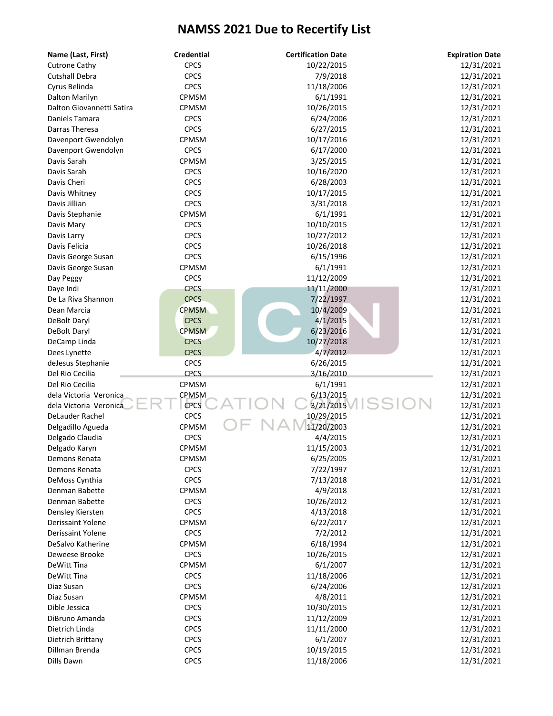| Name (Last, First)        | <b>Credential</b> | <b>Certification Date</b> | <b>Expiration Date</b> |
|---------------------------|-------------------|---------------------------|------------------------|
| <b>Cutrone Cathy</b>      | <b>CPCS</b>       | 10/22/2015                | 12/31/2021             |
| <b>Cutshall Debra</b>     | <b>CPCS</b>       | 7/9/2018                  | 12/31/2021             |
| Cyrus Belinda             | <b>CPCS</b>       | 11/18/2006                | 12/31/2021             |
| Dalton Marilyn            | <b>CPMSM</b>      | 6/1/1991                  | 12/31/2021             |
| Dalton Giovannetti Satira | CPMSM             | 10/26/2015                | 12/31/2021             |
| Daniels Tamara            | <b>CPCS</b>       | 6/24/2006                 | 12/31/2021             |
| Darras Theresa            | <b>CPCS</b>       | 6/27/2015                 | 12/31/2021             |
| Davenport Gwendolyn       | CPMSM             | 10/17/2016                | 12/31/2021             |
| Davenport Gwendolyn       | <b>CPCS</b>       | 6/17/2000                 | 12/31/2021             |
| Davis Sarah               | CPMSM             | 3/25/2015                 | 12/31/2021             |
| Davis Sarah               | <b>CPCS</b>       | 10/16/2020                | 12/31/2021             |
| Davis Cheri               | <b>CPCS</b>       | 6/28/2003                 | 12/31/2021             |
| Davis Whitney             | <b>CPCS</b>       | 10/17/2015                | 12/31/2021             |
| Davis Jillian             | <b>CPCS</b>       | 3/31/2018                 | 12/31/2021             |
| Davis Stephanie           | CPMSM             | 6/1/1991                  | 12/31/2021             |
| Davis Mary                | <b>CPCS</b>       | 10/10/2015                | 12/31/2021             |
| Davis Larry               | <b>CPCS</b>       | 10/27/2012                | 12/31/2021             |
| Davis Felicia             | <b>CPCS</b>       | 10/26/2018                | 12/31/2021             |
| Davis George Susan        | <b>CPCS</b>       | 6/15/1996                 | 12/31/2021             |
| Davis George Susan        | CPMSM             | 6/1/1991                  | 12/31/2021             |
| Day Peggy                 | <b>CPCS</b>       | 11/12/2009                | 12/31/2021             |
| Daye Indi                 | <b>CPCS</b>       | 11/11/2000                | 12/31/2021             |
| De La Riva Shannon        | <b>CPCS</b>       | 7/22/1997                 | 12/31/2021             |
| Dean Marcia               | <b>CPMSM</b>      | 10/4/2009                 | 12/31/2021             |
| DeBolt Daryl              | <b>CPCS</b>       | 4/1/2015                  | 12/31/2021             |
| DeBolt Daryl              | <b>CPMSM</b>      | 6/23/2016                 | 12/31/2021             |
| DeCamp Linda              | <b>CPCS</b>       | 10/27/2018                | 12/31/2021             |
| Dees Lynette              | <b>CPCS</b>       | 4/7/2012                  | 12/31/2021             |
| deJesus Stephanie         | <b>CPCS</b>       | 6/26/2015                 | 12/31/2021             |
| Del Rio Cecilia           | <b>CPCS</b>       | 3/16/2010                 | 12/31/2021             |
| Del Rio Cecilia           | CPMSM             | 6/1/1991                  | 12/31/2021             |
| dela Victoria Veronica    | <b>CPMSM</b>      | 6/13/2015                 | 12/31/2021             |
| dela Victoria Veronica    | <b>CPCS</b>       | 3/21/2015                 | 12/31/2021             |
| DeLauder Rachel           | <b>CPCS</b>       | 10/29/2015                | 12/31/2021             |
| Delgadillo Agueda         | CPMSM             | 11/20/2003                | 12/31/2021             |
| Delgado Claudia           | <b>CPCS</b>       | 4/4/2015                  | 12/31/2021             |
| Delgado Karyn             | CPMSM             | 11/15/2003                | 12/31/2021             |
| Demons Renata             | CPMSM             | 6/25/2005                 | 12/31/2021             |
| Demons Renata             | <b>CPCS</b>       | 7/22/1997                 | 12/31/2021             |
| DeMoss Cynthia            | <b>CPCS</b>       | 7/13/2018                 | 12/31/2021             |
| Denman Babette            | CPMSM             | 4/9/2018                  | 12/31/2021             |
| Denman Babette            | <b>CPCS</b>       | 10/26/2012                | 12/31/2021             |
| Densley Kiersten          | <b>CPCS</b>       | 4/13/2018                 | 12/31/2021             |
| Derissaint Yolene         | <b>CPMSM</b>      | 6/22/2017                 | 12/31/2021             |
| Derissaint Yolene         | <b>CPCS</b>       | 7/2/2012                  | 12/31/2021             |
| DeSalvo Katherine         | CPMSM             | 6/18/1994                 | 12/31/2021             |
| Deweese Brooke            | <b>CPCS</b>       | 10/26/2015                | 12/31/2021             |
| DeWitt Tina               | CPMSM             | 6/1/2007                  | 12/31/2021             |
| DeWitt Tina               | <b>CPCS</b>       | 11/18/2006                | 12/31/2021             |
| Diaz Susan                | <b>CPCS</b>       | 6/24/2006                 | 12/31/2021             |
| Diaz Susan                | CPMSM             | 4/8/2011                  | 12/31/2021             |
| Dible Jessica             | <b>CPCS</b>       | 10/30/2015                | 12/31/2021             |
| DiBruno Amanda            | <b>CPCS</b>       | 11/12/2009                | 12/31/2021             |
| Dietrich Linda            | <b>CPCS</b>       | 11/11/2000                | 12/31/2021             |
| Dietrich Brittany         | <b>CPCS</b>       | 6/1/2007                  | 12/31/2021             |
| Dillman Brenda            | <b>CPCS</b>       | 10/19/2015                | 12/31/2021             |
| Dills Dawn                | <b>CPCS</b>       | 11/18/2006                | 12/31/2021             |
|                           |                   |                           |                        |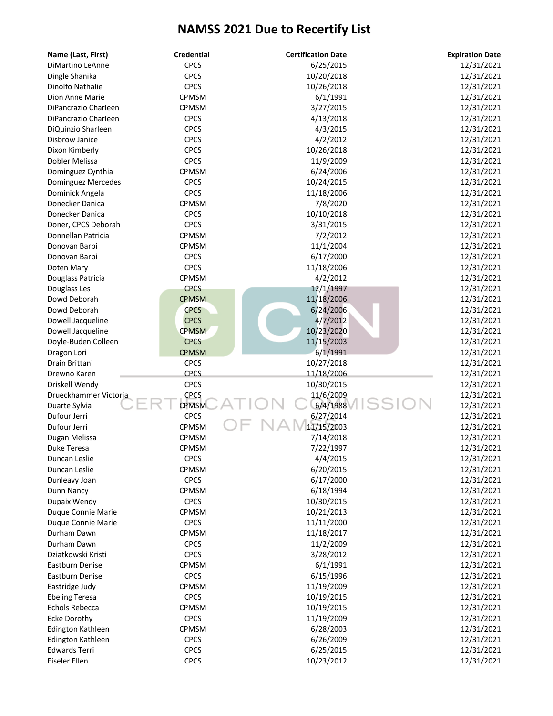| Name (Last, First)    | <b>Credential</b> | <b>Certification Date</b> | <b>Expiration Date</b> |
|-----------------------|-------------------|---------------------------|------------------------|
| DiMartino LeAnne      | <b>CPCS</b>       | 6/25/2015                 | 12/31/2021             |
| Dingle Shanika        | <b>CPCS</b>       | 10/20/2018                | 12/31/2021             |
| Dinolfo Nathalie      | <b>CPCS</b>       | 10/26/2018                | 12/31/2021             |
| Dion Anne Marie       | <b>CPMSM</b>      | 6/1/1991                  | 12/31/2021             |
| DiPancrazio Charleen  | <b>CPMSM</b>      | 3/27/2015                 | 12/31/2021             |
| DiPancrazio Charleen  | <b>CPCS</b>       | 4/13/2018                 | 12/31/2021             |
| DiQuinzio Sharleen    | <b>CPCS</b>       | 4/3/2015                  | 12/31/2021             |
| <b>Disbrow Janice</b> | <b>CPCS</b>       | 4/2/2012                  | 12/31/2021             |
| Dixon Kimberly        | <b>CPCS</b>       | 10/26/2018                | 12/31/2021             |
| Dobler Melissa        | <b>CPCS</b>       | 11/9/2009                 | 12/31/2021             |
| Dominguez Cynthia     | CPMSM             | 6/24/2006                 | 12/31/2021             |
| Dominguez Mercedes    | <b>CPCS</b>       | 10/24/2015                | 12/31/2021             |
| Dominick Angela       | <b>CPCS</b>       | 11/18/2006                | 12/31/2021             |
| Donecker Danica       | <b>CPMSM</b>      | 7/8/2020                  | 12/31/2021             |
| Donecker Danica       | <b>CPCS</b>       | 10/10/2018                | 12/31/2021             |
| Doner, CPCS Deborah   | <b>CPCS</b>       | 3/31/2015                 | 12/31/2021             |
| Donnellan Patricia    | <b>CPMSM</b>      | 7/2/2012                  | 12/31/2021             |
| Donovan Barbi         | CPMSM             | 11/1/2004                 | 12/31/2021             |
| Donovan Barbi         | <b>CPCS</b>       | 6/17/2000                 | 12/31/2021             |
| Doten Mary            | <b>CPCS</b>       | 11/18/2006                | 12/31/2021             |
| Douglass Patricia     | CPMSM             | 4/2/2012                  | 12/31/2021             |
| Douglass Les          | <b>CPCS</b>       | 12/1/1997                 | 12/31/2021             |
| Dowd Deborah          | <b>CPMSM</b>      | 11/18/2006                | 12/31/2021             |
| Dowd Deborah          | <b>CPCS</b>       | 6/24/2006                 | 12/31/2021             |
| Dowell Jacqueline     | <b>CPCS</b>       | 4/7/2012                  | 12/31/2021             |
| Dowell Jacqueline     | <b>CPMSM</b>      | 10/23/2020                | 12/31/2021             |
| Doyle-Buden Colleen   | <b>CPCS</b>       | 11/15/2003                | 12/31/2021             |
| Dragon Lori           | <b>CPMSM</b>      | 6/1/1991                  | 12/31/2021             |
| Drain Brittani        | <b>CPCS</b>       | 10/27/2018                | 12/31/2021             |
| Drewno Karen          | <b>CPCS</b>       | 11/18/2006                | 12/31/2021             |
| Driskell Wendy        | <b>CPCS</b>       | 10/30/2015                | 12/31/2021             |
| Drueckhammer Victoria | <b>CPCS</b>       | 11/6/2009                 | 12/31/2021             |
| Duarte Sylvia         | <b>CPMSM</b>      | 6/4/1988                  | 12/31/2021             |
| Dufour Jerri          | <b>CPCS</b>       | 6/27/2014                 | 12/31/2021             |
| Dufour Jerri          | <b>CPMSM</b>      | 11/15/2003                | 12/31/2021             |
| Dugan Melissa         | <b>CPMSM</b>      | 7/14/2018                 | 12/31/2021             |
| Duke Teresa           | CPMSM             | 7/22/1997                 | 12/31/2021             |
| Duncan Leslie         | <b>CPCS</b>       | 4/4/2015                  | 12/31/2021             |
| Duncan Leslie         | CPMSM             | 6/20/2015                 | 12/31/2021             |
| Dunleavy Joan         | <b>CPCS</b>       | 6/17/2000                 | 12/31/2021             |
| Dunn Nancy            | <b>CPMSM</b>      | 6/18/1994                 | 12/31/2021             |
| Dupaix Wendy          | <b>CPCS</b>       | 10/30/2015                | 12/31/2021             |
| Duque Connie Marie    | CPMSM             | 10/21/2013                | 12/31/2021             |
| Duque Connie Marie    | <b>CPCS</b>       | 11/11/2000                | 12/31/2021             |
| Durham Dawn           | CPMSM             | 11/18/2017                | 12/31/2021             |
| Durham Dawn           | <b>CPCS</b>       | 11/2/2009                 | 12/31/2021             |
| Dziatkowski Kristi    | <b>CPCS</b>       | 3/28/2012                 | 12/31/2021             |
| Eastburn Denise       | CPMSM             | 6/1/1991                  | 12/31/2021             |
| Eastburn Denise       | <b>CPCS</b>       | 6/15/1996                 | 12/31/2021             |
| Eastridge Judy        | CPMSM             | 11/19/2009                | 12/31/2021             |
| <b>Ebeling Teresa</b> | <b>CPCS</b>       | 10/19/2015                | 12/31/2021             |
| <b>Echols Rebecca</b> | CPMSM             | 10/19/2015                | 12/31/2021             |
| <b>Ecke Dorothy</b>   | <b>CPCS</b>       | 11/19/2009                | 12/31/2021             |
| Edington Kathleen     | <b>CPMSM</b>      | 6/28/2003                 | 12/31/2021             |
| Edington Kathleen     | <b>CPCS</b>       | 6/26/2009                 | 12/31/2021             |
| <b>Edwards Terri</b>  | <b>CPCS</b>       | 6/25/2015                 | 12/31/2021             |
| Eiseler Ellen         | <b>CPCS</b>       | 10/23/2012                | 12/31/2021             |
|                       |                   |                           |                        |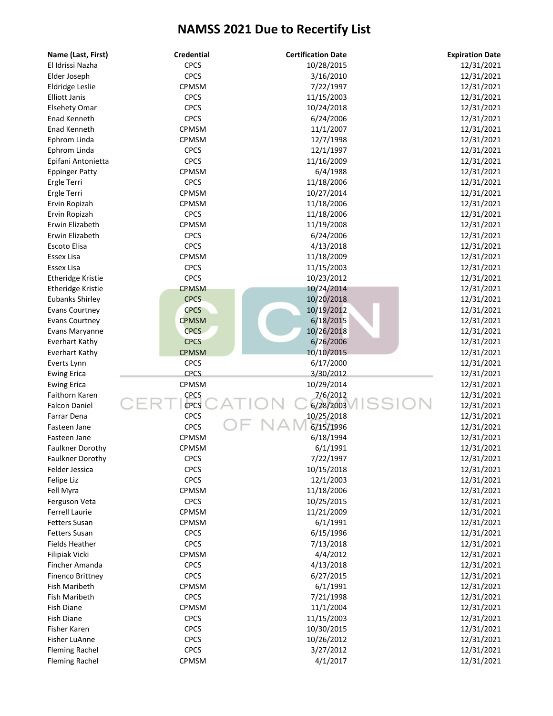| Name (Last, First)       | <b>Credential</b> | <b>Certification Date</b> | <b>Expiration Date</b> |
|--------------------------|-------------------|---------------------------|------------------------|
| El Idrissi Nazha         | <b>CPCS</b>       | 10/28/2015                | 12/31/2021             |
| Elder Joseph             | <b>CPCS</b>       | 3/16/2010                 | 12/31/2021             |
| Eldridge Leslie          | CPMSM             | 7/22/1997                 | 12/31/2021             |
| <b>Elliott Janis</b>     | <b>CPCS</b>       | 11/15/2003                | 12/31/2021             |
| <b>Elsehety Omar</b>     | <b>CPCS</b>       | 10/24/2018                | 12/31/2021             |
| Enad Kenneth             | <b>CPCS</b>       | 6/24/2006                 | 12/31/2021             |
| Enad Kenneth             | CPMSM             | 11/1/2007                 | 12/31/2021             |
| Ephrom Linda             | CPMSM             | 12/7/1998                 | 12/31/2021             |
| Ephrom Linda             | <b>CPCS</b>       | 12/1/1997                 | 12/31/2021             |
| Epifani Antonietta       | <b>CPCS</b>       | 11/16/2009                | 12/31/2021             |
| <b>Eppinger Patty</b>    | CPMSM             | 6/4/1988                  | 12/31/2021             |
| Ergle Terri              | <b>CPCS</b>       | 11/18/2006                | 12/31/2021             |
| Ergle Terri              | CPMSM             | 10/27/2014                | 12/31/2021             |
| Ervin Ropizah            | CPMSM             | 11/18/2006                | 12/31/2021             |
| Ervin Ropizah            | <b>CPCS</b>       | 11/18/2006                | 12/31/2021             |
| Erwin Elizabeth          | CPMSM             | 11/19/2008                | 12/31/2021             |
| Erwin Elizabeth          | <b>CPCS</b>       | 6/24/2006                 | 12/31/2021             |
| Escoto Elisa             | <b>CPCS</b>       | 4/13/2018                 | 12/31/2021             |
| Essex Lisa               | CPMSM             | 11/18/2009                | 12/31/2021             |
| Essex Lisa               | <b>CPCS</b>       | 11/15/2003                | 12/31/2021             |
| <b>Etheridge Kristie</b> | <b>CPCS</b>       | 10/23/2012                | 12/31/2021             |
| <b>Etheridge Kristie</b> | <b>CPMSM</b>      | 10/24/2014                | 12/31/2021             |
| <b>Eubanks Shirley</b>   | <b>CPCS</b>       | 10/20/2018                | 12/31/2021             |
| <b>Evans Courtney</b>    | <b>CPCS</b>       | 10/19/2012                | 12/31/2021             |
| <b>Evans Courtney</b>    | <b>CPMSM</b>      | 6/18/2015                 | 12/31/2021             |
| Evans Maryanne           | <b>CPCS</b>       | 10/26/2018                | 12/31/2021             |
| <b>Everhart Kathy</b>    | <b>CPCS</b>       | 6/26/2006                 | 12/31/2021             |
| <b>Everhart Kathy</b>    | <b>CPMSM</b>      | 10/10/2015                | 12/31/2021             |
| Everts Lynn              | <b>CPCS</b>       | 6/17/2000                 | 12/31/2021             |
| <b>Ewing Erica</b>       | <b>CPCS</b>       | 3/30/2012                 | 12/31/2021             |
| <b>Ewing Erica</b>       | CPMSM             | 10/29/2014                | 12/31/2021             |
| Faithorn Karen           | CPCS              | 7/6/2012                  | 12/31/2021             |
| <b>Falcon Daniel</b>     | CPCS              | 6/28/2003                 | 12/31/2021             |
| Farrar Dena              | <b>CPCS</b>       | 10/25/2018                | 12/31/2021             |
| Fasteen Jane             | <b>CPCS</b>       | 6/15/1996                 | 12/31/2021             |
| Fasteen Jane             | CPMSM             | 6/18/1994                 | 12/31/2021             |
| Faulkner Dorothy         | CPMSM             | 6/1/1991                  | 12/31/2021             |
| Faulkner Dorothy         | <b>CPCS</b>       | 7/22/1997                 | 12/31/2021             |
| Felder Jessica           | <b>CPCS</b>       | 10/15/2018                | 12/31/2021             |
| Felipe Liz               | <b>CPCS</b>       | 12/1/2003                 | 12/31/2021             |
| Fell Myra                | CPMSM             | 11/18/2006                | 12/31/2021             |
| Ferguson Veta            | <b>CPCS</b>       | 10/25/2015                | 12/31/2021             |
| <b>Ferrell Laurie</b>    | CPMSM             | 11/21/2009                | 12/31/2021             |
| <b>Fetters Susan</b>     | CPMSM             | 6/1/1991                  | 12/31/2021             |
| <b>Fetters Susan</b>     | <b>CPCS</b>       | 6/15/1996                 | 12/31/2021             |
| <b>Fields Heather</b>    | <b>CPCS</b>       | 7/13/2018                 | 12/31/2021             |
| Filipiak Vicki           | CPMSM             | 4/4/2012                  | 12/31/2021             |
| Fincher Amanda           | <b>CPCS</b>       | 4/13/2018                 | 12/31/2021             |
| <b>Finenco Brittney</b>  | <b>CPCS</b>       | 6/27/2015                 | 12/31/2021             |
| Fish Maribeth            | CPMSM             | 6/1/1991                  | 12/31/2021             |
| Fish Maribeth            | <b>CPCS</b>       | 7/21/1998                 | 12/31/2021             |
| <b>Fish Diane</b>        | CPMSM             | 11/1/2004                 | 12/31/2021             |
| <b>Fish Diane</b>        | <b>CPCS</b>       | 11/15/2003                | 12/31/2021             |
| Fisher Karen             | <b>CPCS</b>       | 10/30/2015                | 12/31/2021             |
| Fisher LuAnne            | <b>CPCS</b>       | 10/26/2012                | 12/31/2021             |
| <b>Fleming Rachel</b>    | <b>CPCS</b>       | 3/27/2012                 | 12/31/2021             |
| <b>Fleming Rachel</b>    | CPMSM             | 4/1/2017                  | 12/31/2021             |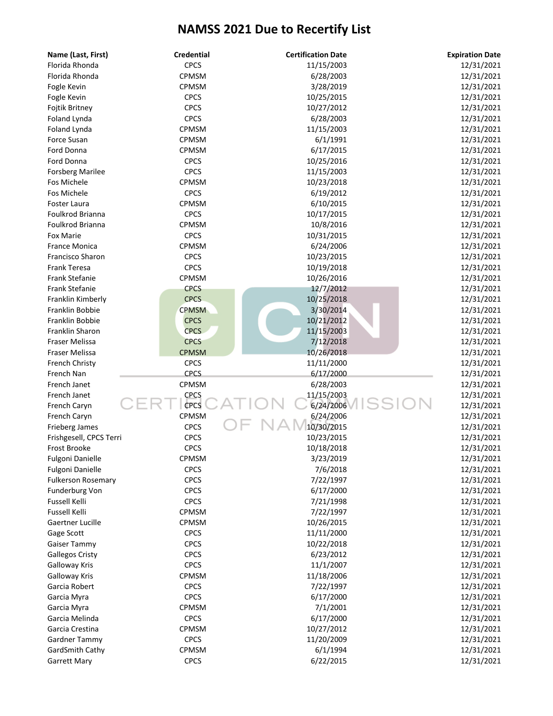| Name (Last, First)        | <b>Credential</b> | <b>Certification Date</b> | <b>Expiration Date</b> |
|---------------------------|-------------------|---------------------------|------------------------|
| Florida Rhonda            | <b>CPCS</b>       | 11/15/2003                | 12/31/2021             |
| Florida Rhonda            | CPMSM             | 6/28/2003                 | 12/31/2021             |
| Fogle Kevin               | CPMSM             | 3/28/2019                 | 12/31/2021             |
| Fogle Kevin               | <b>CPCS</b>       | 10/25/2015                | 12/31/2021             |
| Fojtik Britney            | <b>CPCS</b>       | 10/27/2012                | 12/31/2021             |
| Foland Lynda              | <b>CPCS</b>       | 6/28/2003                 | 12/31/2021             |
| Foland Lynda              | CPMSM             | 11/15/2003                | 12/31/2021             |
| Force Susan               | CPMSM             | 6/1/1991                  | 12/31/2021             |
| Ford Donna                | CPMSM             | 6/17/2015                 | 12/31/2021             |
| Ford Donna                | <b>CPCS</b>       | 10/25/2016                | 12/31/2021             |
| <b>Forsberg Marilee</b>   | <b>CPCS</b>       | 11/15/2003                | 12/31/2021             |
| Fos Michele               | CPMSM             | 10/23/2018                | 12/31/2021             |
| Fos Michele               | <b>CPCS</b>       | 6/19/2012                 | 12/31/2021             |
| Foster Laura              | CPMSM             | 6/10/2015                 | 12/31/2021             |
| Foulkrod Brianna          | <b>CPCS</b>       | 10/17/2015                | 12/31/2021             |
| Foulkrod Brianna          | CPMSM             | 10/8/2016                 | 12/31/2021             |
| <b>Fox Marie</b>          | <b>CPCS</b>       | 10/31/2015                | 12/31/2021             |
| <b>France Monica</b>      | CPMSM             | 6/24/2006                 | 12/31/2021             |
| <b>Francisco Sharon</b>   | <b>CPCS</b>       | 10/23/2015                | 12/31/2021             |
| <b>Frank Teresa</b>       | <b>CPCS</b>       | 10/19/2018                | 12/31/2021             |
| Frank Stefanie            | CPMSM             | 10/26/2016                | 12/31/2021             |
| Frank Stefanie            | <b>CPCS</b>       | 12/7/2012                 | 12/31/2021             |
| Franklin Kimberly         | <b>CPCS</b>       | 10/25/2018                | 12/31/2021             |
| Franklin Bobbie           | <b>CPMSM</b>      | 3/30/2014                 | 12/31/2021             |
| Franklin Bobbie           | <b>CPCS</b>       | 10/21/2012                | 12/31/2021             |
| Franklin Sharon           | <b>CPCS</b>       | 11/15/2003                | 12/31/2021             |
| Fraser Melissa            | <b>CPCS</b>       | 7/12/2018                 | 12/31/2021             |
| Fraser Melissa            | <b>CPMSM</b>      | 10/26/2018                | 12/31/2021             |
| French Christy            | <b>CPCS</b>       | 11/11/2000                | 12/31/2021             |
| French Nan                | <b>CPCS</b>       | 6/17/2000                 | 12/31/2021             |
| French Janet              | CPMSM             | 6/28/2003                 | 12/31/2021             |
| French Janet              | CPCS              | 11/15/2003                | 12/31/2021             |
| French Caryn              | <b>CPCS</b>       | 6/24/2006                 | 12/31/2021             |
| French Caryn              | CPMSM             | 6/24/2006                 | 12/31/2021             |
| Frieberg James            | <b>CPCS</b>       | 10/30/2015                | 12/31/2021             |
| Frishgesell, CPCS Terri   | <b>CPCS</b>       | 10/23/2015                | 12/31/2021             |
| Frost Brooke              | <b>CPCS</b>       | 10/18/2018                | 12/31/2021             |
| Fulgoni Danielle          | CPMSM             | 3/23/2019                 | 12/31/2021             |
| Fulgoni Danielle          | <b>CPCS</b>       | 7/6/2018                  | 12/31/2021             |
| <b>Fulkerson Rosemary</b> | <b>CPCS</b>       | 7/22/1997                 | 12/31/2021             |
| Funderburg Von            | <b>CPCS</b>       | 6/17/2000                 | 12/31/2021             |
| <b>Fussell Kelli</b>      | <b>CPCS</b>       | 7/21/1998                 | 12/31/2021             |
| <b>Fussell Kelli</b>      | CPMSM             | 7/22/1997                 | 12/31/2021             |
| Gaertner Lucille          | CPMSM             | 10/26/2015                | 12/31/2021             |
| Gage Scott                | <b>CPCS</b>       | 11/11/2000                | 12/31/2021             |
| Gaiser Tammy              | <b>CPCS</b>       | 10/22/2018                | 12/31/2021             |
| <b>Gallegos Cristy</b>    | <b>CPCS</b>       | 6/23/2012                 | 12/31/2021             |
| <b>Galloway Kris</b>      | <b>CPCS</b>       | 11/1/2007                 | 12/31/2021             |
| <b>Galloway Kris</b>      | CPMSM             | 11/18/2006                | 12/31/2021             |
| Garcia Robert             | <b>CPCS</b>       | 7/22/1997                 | 12/31/2021             |
| Garcia Myra               | <b>CPCS</b>       | 6/17/2000                 | 12/31/2021             |
| Garcia Myra               | CPMSM             | 7/1/2001                  | 12/31/2021             |
| Garcia Melinda            | <b>CPCS</b>       | 6/17/2000                 | 12/31/2021             |
| Garcia Crestina           | <b>CPMSM</b>      | 10/27/2012                | 12/31/2021             |
| Gardner Tammy             | <b>CPCS</b>       | 11/20/2009                | 12/31/2021             |
| GardSmith Cathy           | CPMSM             | 6/1/1994                  | 12/31/2021             |
| Garrett Mary              | <b>CPCS</b>       | 6/22/2015                 | 12/31/2021             |
|                           |                   |                           |                        |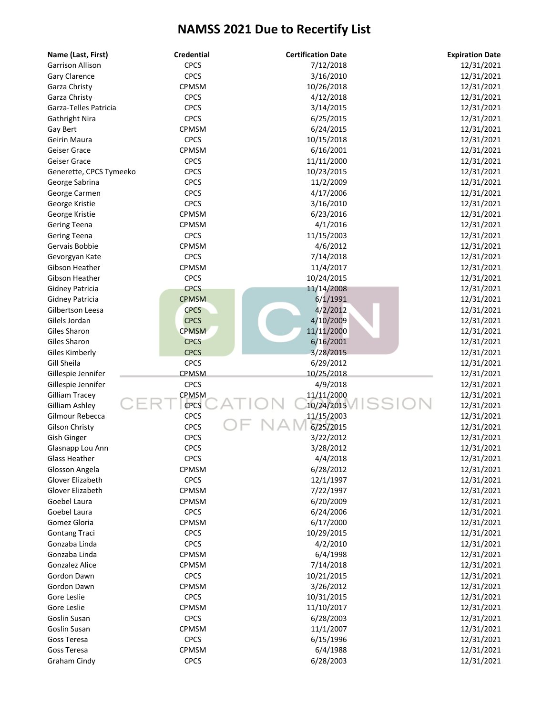| Name (Last, First)      | <b>Credential</b> | <b>Certification Date</b> | <b>Expiration Date</b> |
|-------------------------|-------------------|---------------------------|------------------------|
| <b>Garrison Allison</b> | <b>CPCS</b>       | 7/12/2018                 | 12/31/2021             |
| Gary Clarence           | <b>CPCS</b>       | 3/16/2010                 | 12/31/2021             |
| Garza Christy           | CPMSM             | 10/26/2018                | 12/31/2021             |
| Garza Christy           | <b>CPCS</b>       | 4/12/2018                 | 12/31/2021             |
| Garza-Telles Patricia   | <b>CPCS</b>       | 3/14/2015                 | 12/31/2021             |
| <b>Gathright Nira</b>   | <b>CPCS</b>       | 6/25/2015                 | 12/31/2021             |
| Gay Bert                | CPMSM             | 6/24/2015                 | 12/31/2021             |
| Geirin Maura            | <b>CPCS</b>       | 10/15/2018                | 12/31/2021             |
| Geiser Grace            | CPMSM             | 6/16/2001                 | 12/31/2021             |
| Geiser Grace            | <b>CPCS</b>       | 11/11/2000                | 12/31/2021             |
| Generette, CPCS Tymeeko | <b>CPCS</b>       | 10/23/2015                | 12/31/2021             |
| George Sabrina          | <b>CPCS</b>       | 11/2/2009                 | 12/31/2021             |
| George Carmen           | <b>CPCS</b>       | 4/17/2006                 | 12/31/2021             |
| George Kristie          | <b>CPCS</b>       | 3/16/2010                 | 12/31/2021             |
| George Kristie          | CPMSM             | 6/23/2016                 | 12/31/2021             |
| <b>Gering Teena</b>     | CPMSM             | 4/1/2016                  | 12/31/2021             |
| <b>Gering Teena</b>     | <b>CPCS</b>       | 11/15/2003                | 12/31/2021             |
| Gervais Bobbie          | CPMSM             | 4/6/2012                  | 12/31/2021             |
| Gevorgyan Kate          | <b>CPCS</b>       | 7/14/2018                 | 12/31/2021             |
| Gibson Heather          | CPMSM             | 11/4/2017                 | 12/31/2021             |
| Gibson Heather          | <b>CPCS</b>       | 10/24/2015                | 12/31/2021             |
| <b>Gidney Patricia</b>  | <b>CPCS</b>       | 11/14/2008                | 12/31/2021             |
| Gidney Patricia         | <b>CPMSM</b>      | 6/1/1991                  | 12/31/2021             |
| Gilbertson Leesa        | <b>CPCS</b>       | 4/2/2012                  | 12/31/2021             |
| Gilels Jordan           | <b>CPCS</b>       | 4/10/2009                 | 12/31/2021             |
| Giles Sharon            | <b>CPMSM</b>      | 11/11/2000                | 12/31/2021             |
| Giles Sharon            | <b>CPCS</b>       | 6/16/2001                 | 12/31/2021             |
| <b>Giles Kimberly</b>   | CPCS              | 3/28/2015                 | 12/31/2021             |
| Gill Sheila             | <b>CPCS</b>       | 6/29/2012                 | 12/31/2021             |
|                         | CPMSM             | 10/25/2018                |                        |
| Gillespie Jennifer      | <b>CPCS</b>       |                           | 12/31/2021             |
| Gillespie Jennifer      | CPMSM             | 4/9/2018<br>11/11/2000    | 12/31/2021             |
| <b>Gilliam Tracey</b>   | <b>CPCS</b>       | 10/24/2015                | 12/31/2021             |
| Gilliam Ashley          |                   |                           | 12/31/2021             |
| Gilmour Rebecca         | <b>CPCS</b>       | 11/15/2003                | 12/31/2021             |
| <b>Gilson Christy</b>   | <b>CPCS</b>       | 6/25/2015                 | 12/31/2021             |
| <b>Gish Ginger</b>      | <b>CPCS</b>       | 3/22/2012                 | 12/31/2021             |
| Glasnapp Lou Ann        | <b>CPCS</b>       | 3/28/2012                 | 12/31/2021             |
| Glass Heather           | CPCS              | 4/4/2018                  | 12/31/2021             |
| Glosson Angela          | CPMSM             | 6/28/2012                 | 12/31/2021             |
| Glover Elizabeth        | <b>CPCS</b>       | 12/1/1997                 | 12/31/2021             |
| Glover Elizabeth        | CPMSM             | 7/22/1997                 | 12/31/2021             |
| Goebel Laura            | CPMSM             | 6/20/2009                 | 12/31/2021             |
| Goebel Laura            | <b>CPCS</b>       | 6/24/2006                 | 12/31/2021             |
| Gomez Gloria            | CPMSM             | 6/17/2000                 | 12/31/2021             |
| <b>Gontang Traci</b>    | <b>CPCS</b>       | 10/29/2015                | 12/31/2021             |
| Gonzaba Linda           | <b>CPCS</b>       | 4/2/2010                  | 12/31/2021             |
| Gonzaba Linda           | CPMSM             | 6/4/1998                  | 12/31/2021             |
| <b>Gonzalez Alice</b>   | CPMSM             | 7/14/2018                 | 12/31/2021             |
| Gordon Dawn             | <b>CPCS</b>       | 10/21/2015                | 12/31/2021             |
| Gordon Dawn             | CPMSM             | 3/26/2012                 | 12/31/2021             |
| Gore Leslie             | <b>CPCS</b>       | 10/31/2015                | 12/31/2021             |
| Gore Leslie             | <b>CPMSM</b>      | 11/10/2017                | 12/31/2021             |
| Goslin Susan            | <b>CPCS</b>       | 6/28/2003                 | 12/31/2021             |
| Goslin Susan            | CPMSM             | 11/1/2007                 | 12/31/2021             |
| Goss Teresa             | <b>CPCS</b>       | 6/15/1996                 | 12/31/2021             |
| Goss Teresa             | CPMSM             | 6/4/1988                  | 12/31/2021             |
| Graham Cindy            | <b>CPCS</b>       | 6/28/2003                 | 12/31/2021             |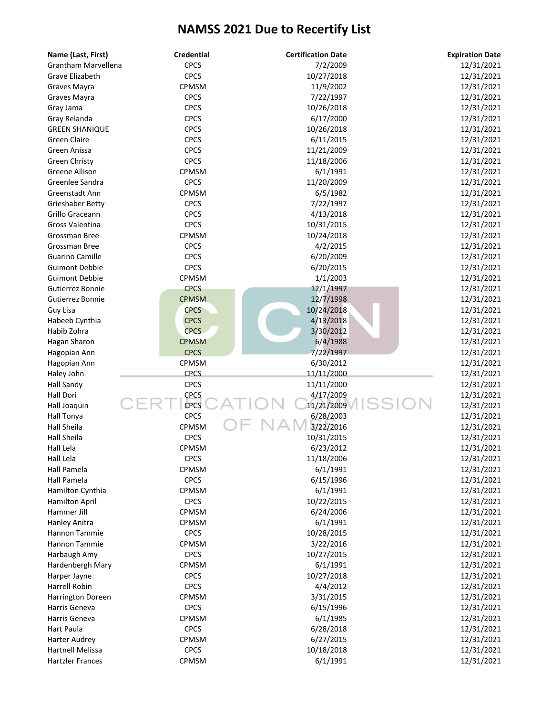| Name (Last, First)         | <b>Credential</b> | <b>Certification Date</b> | <b>Expiration Date</b> |
|----------------------------|-------------------|---------------------------|------------------------|
| <b>Grantham Marvellena</b> | <b>CPCS</b>       | 7/2/2009                  | 12/31/2021             |
| Grave Elizabeth            | <b>CPCS</b>       | 10/27/2018                | 12/31/2021             |
| Graves Mayra               | CPMSM             | 11/9/2002                 | 12/31/2021             |
| Graves Mayra               | <b>CPCS</b>       | 7/22/1997                 | 12/31/2021             |
| Gray Jama                  | <b>CPCS</b>       | 10/26/2018                | 12/31/2021             |
| Gray Relanda               | <b>CPCS</b>       | 6/17/2000                 | 12/31/2021             |
| <b>GREEN SHANIQUE</b>      | <b>CPCS</b>       | 10/26/2018                | 12/31/2021             |
| <b>Green Claire</b>        | <b>CPCS</b>       | 6/11/2015                 | 12/31/2021             |
| Green Anissa               | <b>CPCS</b>       | 11/21/2009                | 12/31/2021             |
| Green Christy              | <b>CPCS</b>       | 11/18/2006                | 12/31/2021             |
| Greene Allison             | CPMSM             | 6/1/1991                  | 12/31/2021             |
| Greenlee Sandra            | <b>CPCS</b>       | 11/20/2009                | 12/31/2021             |
| Greenstadt Ann             | CPMSM             | 6/5/1982                  | 12/31/2021             |
| Grieshaber Betty           | <b>CPCS</b>       | 7/22/1997                 | 12/31/2021             |
| Grillo Graceann            | <b>CPCS</b>       | 4/13/2018                 | 12/31/2021             |
| Gross Valentina            | <b>CPCS</b>       | 10/31/2015                | 12/31/2021             |
| Grossman Bree              | CPMSM             | 10/24/2018                | 12/31/2021             |
| Grossman Bree              | <b>CPCS</b>       | 4/2/2015                  | 12/31/2021             |
| <b>Guarino Camille</b>     | <b>CPCS</b>       | 6/20/2009                 | 12/31/2021             |
| <b>Guimont Debbie</b>      | <b>CPCS</b>       | 6/20/2015                 | 12/31/2021             |
| <b>Guimont Debbie</b>      | CPMSM             | 1/1/2003                  | 12/31/2021             |
| Gutierrez Bonnie           | <b>CPCS</b>       | 12/1/1997                 | 12/31/2021             |
| Gutierrez Bonnie           | <b>CPMSM</b>      | 12/7/1998                 | 12/31/2021             |
| Guy Lisa                   | <b>CPCS</b>       | 10/24/2018                | 12/31/2021             |
| Habeeb Cynthia             | <b>CPCS</b>       | 4/13/2018                 | 12/31/2021             |
| Habib Zohra                | <b>CPCS</b>       | 3/30/2012                 | 12/31/2021             |
| Hagan Sharon               | <b>CPMSM</b>      | 6/4/1988                  | 12/31/2021             |
| Hagopian Ann               | <b>CPCS</b>       | 7/22/1997                 | 12/31/2021             |
| Hagopian Ann               | CPMSM             | 6/30/2012                 | 12/31/2021             |
| Haley John                 | <b>CPCS</b>       | 11/11/2000                | 12/31/2021             |
| <b>Hall Sandy</b>          | <b>CPCS</b>       | 11/11/2000                | 12/31/2021             |
| Hall Dori                  | <b>CPCS</b>       | 4/17/2009                 | 12/31/2021             |
| Hall Joaquin               | <b>CPCS</b>       | 11/21/2009                | 12/31/2021             |
| Hall Tonya                 | <b>CPCS</b>       | 6/28/2003                 | 12/31/2021             |
| <b>Hall Sheila</b>         | CPMSM             | 3/22/2016                 | 12/31/2021             |
| Hall Sheila                | <b>CPCS</b>       | 10/31/2015                | 12/31/2021             |
| Hall Lela                  | CPMSM             | 6/23/2012                 | 12/31/2021             |
| Hall Lela                  | <b>CPCS</b>       | 11/18/2006                | 12/31/2021             |
| Hall Pamela                | CPMSM             | 6/1/1991                  | 12/31/2021             |
| Hall Pamela                | <b>CPCS</b>       | 6/15/1996                 | 12/31/2021             |
| Hamilton Cynthia           | <b>CPMSM</b>      | 6/1/1991                  | 12/31/2021             |
| Hamilton April             | <b>CPCS</b>       | 10/22/2015                | 12/31/2021             |
| Hammer Jill                | CPMSM             | 6/24/2006                 | 12/31/2021             |
| Hanley Anitra              | CPMSM             | 6/1/1991                  | 12/31/2021             |
| Hannon Tammie              | <b>CPCS</b>       | 10/28/2015                | 12/31/2021             |
| Hannon Tammie              | CPMSM             | 3/22/2016                 | 12/31/2021             |
| Harbaugh Amy               | <b>CPCS</b>       | 10/27/2015                | 12/31/2021             |
| Hardenbergh Mary           | CPMSM             | 6/1/1991                  | 12/31/2021             |
| Harper Jayne               | <b>CPCS</b>       | 10/27/2018                | 12/31/2021             |
| Harrell Robin              | <b>CPCS</b>       | 4/4/2012                  | 12/31/2021             |
| <b>Harrington Doreen</b>   | CPMSM             | 3/31/2015                 | 12/31/2021             |
| Harris Geneva              | <b>CPCS</b>       | 6/15/1996                 | 12/31/2021             |
| Harris Geneva              | <b>CPMSM</b>      | 6/1/1985                  | 12/31/2021             |
| Hart Paula                 | <b>CPCS</b>       | 6/28/2018                 | 12/31/2021             |
| Harter Audrey              | <b>CPMSM</b>      | 6/27/2015                 | 12/31/2021             |
| <b>Hartnell Melissa</b>    | <b>CPCS</b>       | 10/18/2018                | 12/31/2021             |
| <b>Hartzler Frances</b>    | CPMSM             | 6/1/1991                  | 12/31/2021             |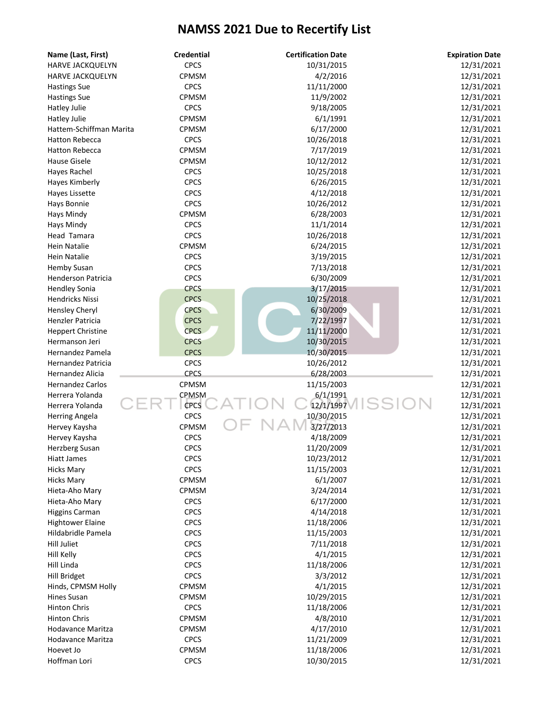| Name (Last, First)       | <b>Credential</b> | <b>Certification Date</b> | <b>Expiration Date</b> |
|--------------------------|-------------------|---------------------------|------------------------|
| HARVE JACKQUELYN         | <b>CPCS</b>       | 10/31/2015                | 12/31/2021             |
| HARVE JACKQUELYN         | <b>CPMSM</b>      | 4/2/2016                  | 12/31/2021             |
| <b>Hastings Sue</b>      | <b>CPCS</b>       | 11/11/2000                | 12/31/2021             |
| <b>Hastings Sue</b>      | CPMSM             | 11/9/2002                 | 12/31/2021             |
| <b>Hatley Julie</b>      | <b>CPCS</b>       | 9/18/2005                 | 12/31/2021             |
| Hatley Julie             | CPMSM             | 6/1/1991                  | 12/31/2021             |
| Hattem-Schiffman Marita  | <b>CPMSM</b>      | 6/17/2000                 | 12/31/2021             |
| <b>Hatton Rebecca</b>    | <b>CPCS</b>       | 10/26/2018                | 12/31/2021             |
| <b>Hatton Rebecca</b>    | CPMSM             | 7/17/2019                 | 12/31/2021             |
| <b>Hause Gisele</b>      | CPMSM             | 10/12/2012                | 12/31/2021             |
| Hayes Rachel             | <b>CPCS</b>       | 10/25/2018                | 12/31/2021             |
| Hayes Kimberly           | <b>CPCS</b>       | 6/26/2015                 | 12/31/2021             |
| Hayes Lissette           | <b>CPCS</b>       | 4/12/2018                 | 12/31/2021             |
| Hays Bonnie              | <b>CPCS</b>       | 10/26/2012                | 12/31/2021             |
| Hays Mindy               | <b>CPMSM</b>      | 6/28/2003                 | 12/31/2021             |
| Hays Mindy               | <b>CPCS</b>       | 11/1/2014                 | 12/31/2021             |
| Head Tamara              | <b>CPCS</b>       | 10/26/2018                | 12/31/2021             |
| <b>Hein Natalie</b>      | CPMSM             | 6/24/2015                 | 12/31/2021             |
| <b>Hein Natalie</b>      | <b>CPCS</b>       | 3/19/2015                 | 12/31/2021             |
| <b>Hemby Susan</b>       | <b>CPCS</b>       | 7/13/2018                 | 12/31/2021             |
| Henderson Patricia       | <b>CPCS</b>       | 6/30/2009                 | 12/31/2021             |
| <b>Hendley Sonia</b>     | <b>CPCS</b>       | 3/17/2015                 | 12/31/2021             |
| <b>Hendricks Nissi</b>   | <b>CPCS</b>       | 10/25/2018                | 12/31/2021             |
| Hensley Cheryl           | <b>CPCS</b>       | 6/30/2009                 | 12/31/2021             |
| Henzler Patricia         | <b>CPCS</b>       | 7/22/1997                 | 12/31/2021             |
| <b>Heppert Christine</b> | <b>CPCS</b>       | 11/11/2000                | 12/31/2021             |
| Hermanson Jeri           | <b>CPCS</b>       | 10/30/2015                | 12/31/2021             |
| Hernandez Pamela         | <b>CPCS</b>       | 10/30/2015                | 12/31/2021             |
| Hernandez Patricia       | <b>CPCS</b>       | 10/26/2012                | 12/31/2021             |
| Hernandez Alicia         | <b>CPCS</b>       | 6/28/2003                 | 12/31/2021             |
| <b>Hernandez Carlos</b>  | CPMSM             | 11/15/2003                | 12/31/2021             |
| Herrera Yolanda          | CPMSM             | 6/1/1991                  | 12/31/2021             |
| Herrera Yolanda          | CPCS              | 12/1/1997                 | 12/31/2021             |
| <b>Herring Angela</b>    | <b>CPCS</b>       | 10/30/2015                | 12/31/2021             |
| Hervey Kaysha            | CPMSM             | 3/27/2013                 | 12/31/2021             |
| Hervey Kaysha            | <b>CPCS</b>       | 4/18/2009                 | 12/31/2021             |
| Herzberg Susan           | <b>CPCS</b>       | 11/20/2009                | 12/31/2021             |
| <b>Hiatt James</b>       | <b>CPCS</b>       | 10/23/2012                | 12/31/2021             |
| <b>Hicks Mary</b>        | <b>CPCS</b>       | 11/15/2003                | 12/31/2021             |
| <b>Hicks Mary</b>        | CPMSM             | 6/1/2007                  | 12/31/2021             |
| Hieta-Aho Mary           | CPMSM             | 3/24/2014                 | 12/31/2021             |
| Hieta-Aho Mary           | <b>CPCS</b>       | 6/17/2000                 | 12/31/2021             |
| <b>Higgins Carman</b>    | <b>CPCS</b>       | 4/14/2018                 | 12/31/2021             |
| <b>Hightower Elaine</b>  | <b>CPCS</b>       | 11/18/2006                | 12/31/2021             |
| Hildabridle Pamela       | <b>CPCS</b>       | 11/15/2003                | 12/31/2021             |
| <b>Hill Juliet</b>       | <b>CPCS</b>       | 7/11/2018                 | 12/31/2021             |
| Hill Kelly               | <b>CPCS</b>       | 4/1/2015                  | 12/31/2021             |
| Hill Linda               | <b>CPCS</b>       | 11/18/2006                | 12/31/2021             |
| Hill Bridget             | <b>CPCS</b>       | 3/3/2012                  | 12/31/2021             |
| Hinds, CPMSM Holly       | CPMSM             | 4/1/2015                  | 12/31/2021             |
| Hines Susan              | CPMSM             | 10/29/2015                | 12/31/2021             |
| <b>Hinton Chris</b>      | <b>CPCS</b>       | 11/18/2006                | 12/31/2021             |
| <b>Hinton Chris</b>      | CPMSM             | 4/8/2010                  | 12/31/2021             |
| Hodavance Maritza        | <b>CPMSM</b>      | 4/17/2010                 | 12/31/2021             |
| Hodavance Maritza        | <b>CPCS</b>       | 11/21/2009                | 12/31/2021             |
| Hoevet Jo                | CPMSM             | 11/18/2006                | 12/31/2021             |
| Hoffman Lori             | <b>CPCS</b>       | 10/30/2015                | 12/31/2021             |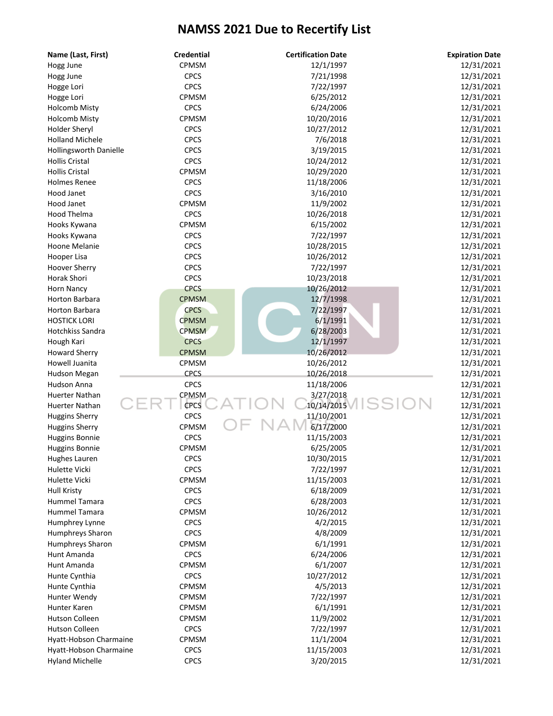| Name (Last, First)      | <b>Credential</b> | <b>Certification Date</b> | <b>Expiration Date</b>   |
|-------------------------|-------------------|---------------------------|--------------------------|
| Hogg June               | CPMSM             | 12/1/1997                 | 12/31/2021               |
| Hogg June               | <b>CPCS</b>       | 7/21/1998                 | 12/31/2021               |
| Hogge Lori              | <b>CPCS</b>       | 7/22/1997                 | 12/31/2021               |
| Hogge Lori              | CPMSM             | 6/25/2012                 | 12/31/2021               |
| <b>Holcomb Misty</b>    | <b>CPCS</b>       | 6/24/2006                 | 12/31/2021               |
| <b>Holcomb Misty</b>    | CPMSM             | 10/20/2016                | 12/31/2021               |
| Holder Sheryl           | <b>CPCS</b>       | 10/27/2012                | 12/31/2021               |
| <b>Holland Michele</b>  | <b>CPCS</b>       | 7/6/2018                  | 12/31/2021               |
| Hollingsworth Danielle  | <b>CPCS</b>       | 3/19/2015                 | 12/31/2021               |
| <b>Hollis Cristal</b>   | <b>CPCS</b>       | 10/24/2012                | 12/31/2021               |
| <b>Hollis Cristal</b>   | CPMSM             | 10/29/2020                | 12/31/2021               |
| <b>Holmes Renee</b>     | <b>CPCS</b>       | 11/18/2006                | 12/31/2021               |
| Hood Janet              | <b>CPCS</b>       | 3/16/2010                 | 12/31/2021               |
| Hood Janet              | CPMSM             | 11/9/2002                 | 12/31/2021               |
| Hood Thelma             | <b>CPCS</b>       | 10/26/2018                | 12/31/2021               |
| Hooks Kywana            | CPMSM             | 6/15/2002                 | 12/31/2021               |
| Hooks Kywana            | <b>CPCS</b>       | 7/22/1997                 | 12/31/2021               |
| Hoone Melanie           | <b>CPCS</b>       | 10/28/2015                | 12/31/2021               |
| Hooper Lisa             | <b>CPCS</b>       | 10/26/2012                | 12/31/2021               |
| <b>Hoover Sherry</b>    | <b>CPCS</b>       | 7/22/1997                 | 12/31/2021               |
| Horak Shori             | <b>CPCS</b>       | 10/23/2018                | 12/31/2021               |
| Horn Nancy              | <b>CPCS</b>       | 10/26/2012                | 12/31/2021               |
| Horton Barbara          | <b>CPMSM</b>      | 12/7/1998                 | 12/31/2021               |
| Horton Barbara          | <b>CPCS</b>       | 7/22/1997                 | 12/31/2021               |
| <b>HOSTICK LORI</b>     | <b>CPMSM</b>      | 6/1/1991                  | 12/31/2021               |
| <b>Hotchkiss Sandra</b> | <b>CPMSM</b>      | 6/28/2003                 | 12/31/2021               |
| Hough Kari              | <b>CPCS</b>       | 12/1/1997                 | 12/31/2021               |
| <b>Howard Sherry</b>    | <b>CPMSM</b>      | 10/26/2012                | 12/31/2021               |
| Howell Juanita          | CPMSM             | 10/26/2012                | 12/31/2021               |
| Hudson Megan            | <b>CPCS</b>       | 10/26/2018                | 12/31/2021               |
| Hudson Anna             | <b>CPCS</b>       | 11/18/2006                | 12/31/2021               |
| Huerter Nathan          | CPMSM             | 3/27/2018                 | 12/31/2021               |
| <b>Huerter Nathan</b>   | <b>CPCS</b>       | 10/14/2015                | 12/31/2021               |
| <b>Huggins Sherry</b>   | <b>CPCS</b>       | 11/10/2001                | 12/31/2021               |
| <b>Huggins Sherry</b>   | CPMSM             | 6/17/2000                 | 12/31/2021               |
| <b>Huggins Bonnie</b>   | <b>CPCS</b>       | 11/15/2003                | 12/31/2021               |
| <b>Huggins Bonnie</b>   | CPMSM             | 6/25/2005                 | 12/31/2021               |
| Hughes Lauren           | <b>CPCS</b>       | 10/30/2015                | 12/31/2021               |
| Hulette Vicki           | <b>CPCS</b>       | 7/22/1997                 | 12/31/2021               |
| Hulette Vicki           | CPMSM             | 11/15/2003                | 12/31/2021               |
| <b>Hull Kristy</b>      | <b>CPCS</b>       | 6/18/2009                 | 12/31/2021               |
| Hummel Tamara           | <b>CPCS</b>       | 6/28/2003                 | 12/31/2021               |
| Hummel Tamara           | CPMSM             | 10/26/2012                | 12/31/2021               |
| Humphrey Lynne          | <b>CPCS</b>       | 4/2/2015                  | 12/31/2021               |
| Humphreys Sharon        | <b>CPCS</b>       | 4/8/2009                  | 12/31/2021               |
| Humphreys Sharon        | CPMSM             | 6/1/1991                  | 12/31/2021               |
| Hunt Amanda             | <b>CPCS</b>       | 6/24/2006                 | 12/31/2021               |
| Hunt Amanda             | CPMSM             | 6/1/2007                  |                          |
|                         |                   |                           | 12/31/2021               |
| Hunte Cynthia           | <b>CPCS</b>       | 10/27/2012                | 12/31/2021               |
| Hunte Cynthia           | CPMSM<br>CPMSM    | 4/5/2013<br>7/22/1997     | 12/31/2021<br>12/31/2021 |
| Hunter Wendy            |                   |                           |                          |
| Hunter Karen            | CPMSM             | 6/1/1991                  | 12/31/2021               |
| Hutson Colleen          | CPMSM             | 11/9/2002                 | 12/31/2021               |
| Hutson Colleen          | <b>CPCS</b>       | 7/22/1997                 | 12/31/2021               |
| Hyatt-Hobson Charmaine  | <b>CPMSM</b>      | 11/1/2004                 | 12/31/2021               |
| Hyatt-Hobson Charmaine  | <b>CPCS</b>       | 11/15/2003                | 12/31/2021               |
| <b>Hyland Michelle</b>  | <b>CPCS</b>       | 3/20/2015                 | 12/31/2021               |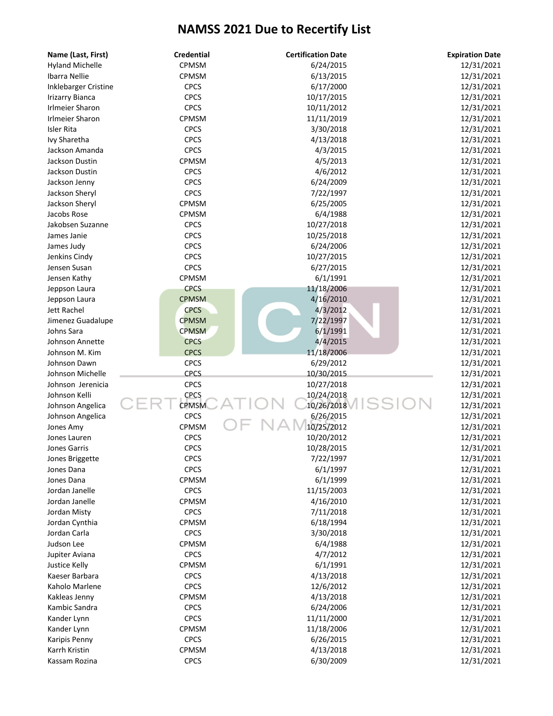| Name (Last, First)     | <b>Credential</b> | <b>Certification Date</b> | <b>Expiration Date</b> |
|------------------------|-------------------|---------------------------|------------------------|
| <b>Hyland Michelle</b> | CPMSM             | 6/24/2015                 | 12/31/2021             |
| Ibarra Nellie          | CPMSM             | 6/13/2015                 | 12/31/2021             |
| Inklebarger Cristine   | <b>CPCS</b>       | 6/17/2000                 | 12/31/2021             |
| <b>Irizarry Bianca</b> | <b>CPCS</b>       | 10/17/2015                | 12/31/2021             |
| <b>Irlmeier Sharon</b> | <b>CPCS</b>       | 10/11/2012                | 12/31/2021             |
| Irlmeier Sharon        | CPMSM             | 11/11/2019                | 12/31/2021             |
| Isler Rita             | <b>CPCS</b>       | 3/30/2018                 | 12/31/2021             |
| Ivy Sharetha           | <b>CPCS</b>       | 4/13/2018                 | 12/31/2021             |
| Jackson Amanda         | <b>CPCS</b>       | 4/3/2015                  | 12/31/2021             |
| Jackson Dustin         | <b>CPMSM</b>      | 4/5/2013                  | 12/31/2021             |
| Jackson Dustin         | <b>CPCS</b>       | 4/6/2012                  | 12/31/2021             |
| Jackson Jenny          | <b>CPCS</b>       | 6/24/2009                 | 12/31/2021             |
| Jackson Sheryl         | <b>CPCS</b>       | 7/22/1997                 | 12/31/2021             |
| Jackson Sheryl         | CPMSM             | 6/25/2005                 | 12/31/2021             |
| Jacobs Rose            | CPMSM             | 6/4/1988                  | 12/31/2021             |
| Jakobsen Suzanne       | <b>CPCS</b>       | 10/27/2018                | 12/31/2021             |
| James Janie            | <b>CPCS</b>       | 10/25/2018                | 12/31/2021             |
| James Judy             | <b>CPCS</b>       | 6/24/2006                 | 12/31/2021             |
| Jenkins Cindy          | <b>CPCS</b>       | 10/27/2015                | 12/31/2021             |
| Jensen Susan           | <b>CPCS</b>       | 6/27/2015                 | 12/31/2021             |
| Jensen Kathy           | CPMSM             | 6/1/1991                  | 12/31/2021             |
| Jeppson Laura          | <b>CPCS</b>       | 11/18/2006                | 12/31/2021             |
| Jeppson Laura          | <b>CPMSM</b>      | 4/16/2010                 | 12/31/2021             |
| Jett Rachel            | <b>CPCS</b>       | 4/3/2012                  | 12/31/2021             |
| Jimenez Guadalupe      | <b>CPMSM</b>      | 7/22/1997                 | 12/31/2021             |
| Johns Sara             | <b>CPMSM</b>      | 6/1/1991                  | 12/31/2021             |
| Johnson Annette        | <b>CPCS</b>       | 4/4/2015                  | 12/31/2021             |
| Johnson M. Kim         | <b>CPCS</b>       | 11/18/2006                | 12/31/2021             |
| Johnson Dawn           | <b>CPCS</b>       | 6/29/2012                 | 12/31/2021             |
| Johnson Michelle       | <b>CPCS</b>       | 10/30/2015                | 12/31/2021             |
| Johnson Jerenicia      | <b>CPCS</b>       | 10/27/2018                | 12/31/2021             |
| Johnson Kelli          | <b>CPCS</b>       | 10/24/2018                | 12/31/2021             |
| Johnson Angelica       | <b>CPMSM</b>      | SS<br>10/26/2018          | 12/31/2021             |
| Johnson Angelica       | <b>CPCS</b>       | 6/26/2015                 | 12/31/2021             |
| Jones Amy              | CPMSM             | 10/25/2012                | 12/31/2021             |
| Jones Lauren           | <b>CPCS</b>       | 10/20/2012                | 12/31/2021             |
| Jones Garris           | <b>CPCS</b>       | 10/28/2015                | 12/31/2021             |
| Jones Briggette        | CPCS              | 7/22/1997                 | 12/31/2021             |
| Jones Dana             | <b>CPCS</b>       | 6/1/1997                  | 12/31/2021             |
| Jones Dana             | CPMSM             | 6/1/1999                  | 12/31/2021             |
| Jordan Janelle         | <b>CPCS</b>       | 11/15/2003                | 12/31/2021             |
| Jordan Janelle         | CPMSM             | 4/16/2010                 | 12/31/2021             |
| Jordan Misty           | <b>CPCS</b>       | 7/11/2018                 | 12/31/2021             |
| Jordan Cynthia         | <b>CPMSM</b>      | 6/18/1994                 | 12/31/2021             |
| Jordan Carla           | <b>CPCS</b>       | 3/30/2018                 | 12/31/2021             |
| Judson Lee             | CPMSM             | 6/4/1988                  | 12/31/2021             |
| Jupiter Aviana         | <b>CPCS</b>       | 4/7/2012                  | 12/31/2021             |
| Justice Kelly          | CPMSM             | 6/1/1991                  | 12/31/2021             |
| Kaeser Barbara         | <b>CPCS</b>       | 4/13/2018                 | 12/31/2021             |
| Kaholo Marlene         | <b>CPCS</b>       | 12/6/2012                 | 12/31/2021             |
| Kakleas Jenny          | CPMSM             | 4/13/2018                 | 12/31/2021             |
| Kambic Sandra          | <b>CPCS</b>       | 6/24/2006                 | 12/31/2021             |
| Kander Lynn            | <b>CPCS</b>       | 11/11/2000                | 12/31/2021             |
| Kander Lynn            | CPMSM             | 11/18/2006                | 12/31/2021             |
| Karipis Penny          | <b>CPCS</b>       | 6/26/2015                 | 12/31/2021             |
| Karrh Kristin          | CPMSM             | 4/13/2018                 | 12/31/2021             |
| Kassam Rozina          | <b>CPCS</b>       | 6/30/2009                 | 12/31/2021             |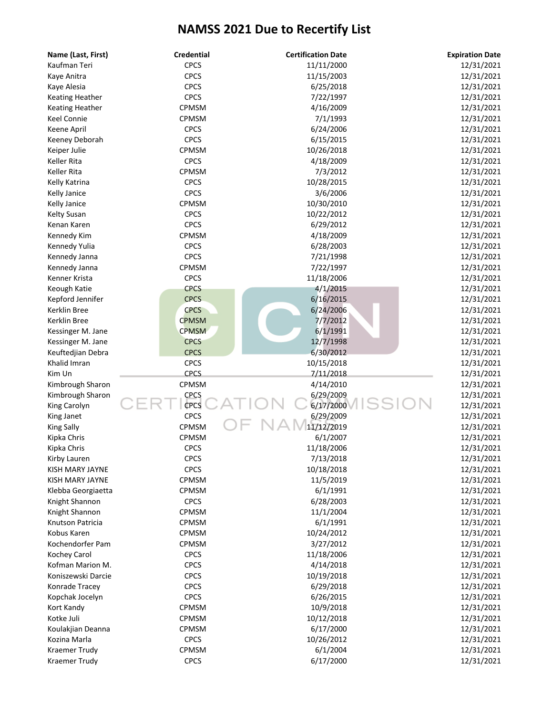| Name (Last, First)     | <b>Credential</b> | <b>Certification Date</b> | <b>Expiration Date</b> |
|------------------------|-------------------|---------------------------|------------------------|
| Kaufman Teri           | <b>CPCS</b>       | 11/11/2000                | 12/31/2021             |
| Kaye Anitra            | <b>CPCS</b>       | 11/15/2003                | 12/31/2021             |
| Kaye Alesia            | <b>CPCS</b>       | 6/25/2018                 | 12/31/2021             |
| <b>Keating Heather</b> | <b>CPCS</b>       | 7/22/1997                 | 12/31/2021             |
| <b>Keating Heather</b> | CPMSM             | 4/16/2009                 | 12/31/2021             |
| Keel Connie            | CPMSM             | 7/1/1993                  | 12/31/2021             |
| Keene April            | <b>CPCS</b>       | 6/24/2006                 | 12/31/2021             |
| Keeney Deborah         | <b>CPCS</b>       | 6/15/2015                 | 12/31/2021             |
| Keiper Julie           | CPMSM             | 10/26/2018                | 12/31/2021             |
| Keller Rita            | <b>CPCS</b>       | 4/18/2009                 | 12/31/2021             |
| Keller Rita            | CPMSM             | 7/3/2012                  | 12/31/2021             |
| Kelly Katrina          | <b>CPCS</b>       | 10/28/2015                | 12/31/2021             |
| Kelly Janice           | <b>CPCS</b>       | 3/6/2006                  | 12/31/2021             |
| Kelly Janice           | CPMSM             | 10/30/2010                | 12/31/2021             |
| <b>Kelty Susan</b>     | <b>CPCS</b>       | 10/22/2012                | 12/31/2021             |
| Kenan Karen            | <b>CPCS</b>       | 6/29/2012                 | 12/31/2021             |
| Kennedy Kim            | CPMSM             | 4/18/2009                 | 12/31/2021             |
| Kennedy Yulia          | <b>CPCS</b>       | 6/28/2003                 | 12/31/2021             |
| Kennedy Janna          | <b>CPCS</b>       | 7/21/1998                 | 12/31/2021             |
| Kennedy Janna          | CPMSM             | 7/22/1997                 | 12/31/2021             |
| Kenner Krista          | <b>CPCS</b>       | 11/18/2006                | 12/31/2021             |
| Keough Katie           | <b>CPCS</b>       | 4/1/2015                  | 12/31/2021             |
| Kepford Jennifer       | <b>CPCS</b>       | 6/16/2015                 | 12/31/2021             |
| Kerklin Bree           | <b>CPCS</b>       | 6/24/2006                 | 12/31/2021             |
| Kerklin Bree           | <b>CPMSM</b>      | 7/7/2012                  | 12/31/2021             |
|                        | <b>CPMSM</b>      | 6/1/1991                  | 12/31/2021             |
| Kessinger M. Jane      |                   | 12/7/1998                 |                        |
| Kessinger M. Jane      | <b>CPCS</b>       |                           | 12/31/2021             |
| Keuftedjian Debra      | <b>CPCS</b>       | 6/30/2012                 | 12/31/2021             |
| Khalid Imran           | <b>CPCS</b>       | 10/15/2018                | 12/31/2021             |
| Kim Un                 | <b>CPCS</b>       | 7/11/2018                 | 12/31/2021             |
| Kimbrough Sharon       | CPMSM             | 4/14/2010                 | 12/31/2021             |
| Kimbrough Sharon       | <b>CPCS</b>       | 6/29/2009                 | 12/31/2021             |
| King Carolyn           | CPCS              | 6/17/2000                 | 12/31/2021             |
| King Janet             | <b>CPCS</b>       | 6/29/2009                 | 12/31/2021             |
| King Sally             | CPMSM             | 11/12/2019                | 12/31/2021             |
| Kipka Chris            | CPMSM             | 6/1/2007                  | 12/31/2021             |
| Kipka Chris            | <b>CPCS</b>       | 11/18/2006                | 12/31/2021             |
| Kirby Lauren           | <b>CPCS</b>       | 7/13/2018                 | 12/31/2021             |
| KISH MARY JAYNE        | <b>CPCS</b>       | 10/18/2018                | 12/31/2021             |
| KISH MARY JAYNE        | CPMSM             | 11/5/2019                 | 12/31/2021             |
| Klebba Georgiaetta     | CPMSM             | 6/1/1991                  | 12/31/2021             |
| Knight Shannon         | <b>CPCS</b>       | 6/28/2003                 | 12/31/2021             |
| Knight Shannon         | CPMSM             | 11/1/2004                 | 12/31/2021             |
| Knutson Patricia       | CPMSM             | 6/1/1991                  | 12/31/2021             |
| Kobus Karen            | CPMSM             | 10/24/2012                | 12/31/2021             |
| Kochendorfer Pam       | CPMSM             | 3/27/2012                 | 12/31/2021             |
| Kochey Carol           | <b>CPCS</b>       | 11/18/2006                | 12/31/2021             |
| Kofman Marion M.       | <b>CPCS</b>       | 4/14/2018                 | 12/31/2021             |
| Koniszewski Darcie     | <b>CPCS</b>       | 10/19/2018                | 12/31/2021             |
| Konrade Tracey         | <b>CPCS</b>       | 6/29/2018                 | 12/31/2021             |
| Kopchak Jocelyn        | <b>CPCS</b>       | 6/26/2015                 | 12/31/2021             |
| Kort Kandy             | CPMSM             | 10/9/2018                 | 12/31/2021             |
| Kotke Juli             | CPMSM             | 10/12/2018                | 12/31/2021             |
| Koulakjian Deanna      | <b>CPMSM</b>      | 6/17/2000                 | 12/31/2021             |
| Kozina Marla           | <b>CPCS</b>       | 10/26/2012                | 12/31/2021             |
| Kraemer Trudy          | CPMSM             | 6/1/2004                  | 12/31/2021             |
| Kraemer Trudy          | <b>CPCS</b>       | 6/17/2000                 | 12/31/2021             |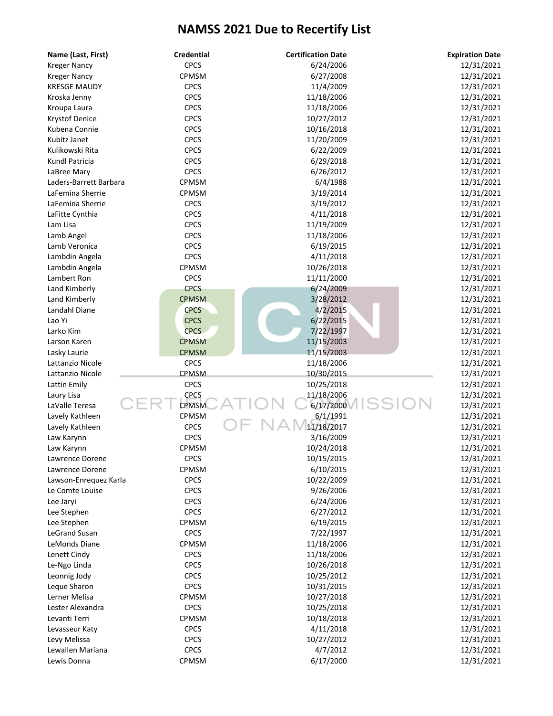| Name (Last, First)     | <b>Credential</b> | <b>Certification Date</b> | <b>Expiration Date</b> |
|------------------------|-------------------|---------------------------|------------------------|
| <b>Kreger Nancy</b>    | <b>CPCS</b>       | 6/24/2006                 | 12/31/2021             |
| <b>Kreger Nancy</b>    | CPMSM             | 6/27/2008                 | 12/31/2021             |
| <b>KRESGE MAUDY</b>    | <b>CPCS</b>       | 11/4/2009                 | 12/31/2021             |
| Kroska Jenny           | <b>CPCS</b>       | 11/18/2006                | 12/31/2021             |
| Kroupa Laura           | <b>CPCS</b>       | 11/18/2006                | 12/31/2021             |
| Krystof Denice         | <b>CPCS</b>       | 10/27/2012                | 12/31/2021             |
| Kubena Connie          | <b>CPCS</b>       | 10/16/2018                | 12/31/2021             |
| Kubitz Janet           | <b>CPCS</b>       | 11/20/2009                | 12/31/2021             |
| Kulikowski Rita        | <b>CPCS</b>       | 6/22/2009                 | 12/31/2021             |
| Kundl Patricia         | <b>CPCS</b>       | 6/29/2018                 | 12/31/2021             |
| LaBree Mary            | <b>CPCS</b>       | 6/26/2012                 | 12/31/2021             |
| Laders-Barrett Barbara | <b>CPMSM</b>      | 6/4/1988                  | 12/31/2021             |
| LaFemina Sherrie       | CPMSM             | 3/19/2014                 | 12/31/2021             |
| LaFemina Sherrie       | <b>CPCS</b>       | 3/19/2012                 | 12/31/2021             |
| LaFitte Cynthia        | <b>CPCS</b>       | 4/11/2018                 | 12/31/2021             |
| Lam Lisa               | <b>CPCS</b>       | 11/19/2009                | 12/31/2021             |
| Lamb Angel             | <b>CPCS</b>       | 11/18/2006                | 12/31/2021             |
| Lamb Veronica          | <b>CPCS</b>       | 6/19/2015                 | 12/31/2021             |
| Lambdin Angela         | <b>CPCS</b>       | 4/11/2018                 | 12/31/2021             |
| Lambdin Angela         | CPMSM             | 10/26/2018                | 12/31/2021             |
| Lambert Ron            | <b>CPCS</b>       | 11/11/2000                | 12/31/2021             |
| Land Kimberly          | <b>CPCS</b>       | 6/24/2009                 | 12/31/2021             |
| Land Kimberly          | <b>CPMSM</b>      | 3/28/2012                 | 12/31/2021             |
| Landahl Diane          | <b>CPCS</b>       | 4/2/2015                  | 12/31/2021             |
| Lao Yi                 | <b>CPCS</b>       | 6/22/2015                 | 12/31/2021             |
| Larko Kim              | <b>CPCS</b>       | 7/22/1997                 | 12/31/2021             |
| Larson Karen           | <b>CPMSM</b>      | 11/15/2003                | 12/31/2021             |
| Lasky Laurie           | <b>CPMSM</b>      | 11/15/2003                | 12/31/2021             |
| Lattanzio Nicole       | <b>CPCS</b>       | 11/18/2006                | 12/31/2021             |
| Lattanzio Nicole       | <b>CPMSM</b>      | 10/30/2015                | 12/31/2021             |
| Lattin Emily           | <b>CPCS</b>       | 10/25/2018                | 12/31/2021             |
| Laury Lisa             | <b>CPCS</b>       | 11/18/2006                | 12/31/2021             |
| LaValle Teresa         | <b>CPMSM</b>      | 6/17/2000                 | 12/31/2021             |
| Lavely Kathleen        | CPMSM             | 6/1/1991                  | 12/31/2021             |
| Lavely Kathleen        | <b>CPCS</b>       | 11/18/2017                | 12/31/2021             |
| Law Karynn             | <b>CPCS</b>       | 3/16/2009                 | 12/31/2021             |
| Law Karynn             | CPMSM             | 10/24/2018                | 12/31/2021             |
| Lawrence Dorene        | <b>CPCS</b>       | 10/15/2015                | 12/31/2021             |
| Lawrence Dorene        | CPMSM             | 6/10/2015                 | 12/31/2021             |
| Lawson-Enrequez Karla  | <b>CPCS</b>       | 10/22/2009                | 12/31/2021             |
| Le Comte Louise        | <b>CPCS</b>       | 9/26/2006                 | 12/31/2021             |
| Lee Jaryi              | <b>CPCS</b>       | 6/24/2006                 | 12/31/2021             |
| Lee Stephen            | <b>CPCS</b>       | 6/27/2012                 | 12/31/2021             |
| Lee Stephen            | CPMSM             | 6/19/2015                 | 12/31/2021             |
| LeGrand Susan          | <b>CPCS</b>       | 7/22/1997                 | 12/31/2021             |
| LeMonds Diane          | CPMSM             | 11/18/2006                | 12/31/2021             |
| Lenett Cindy           | <b>CPCS</b>       | 11/18/2006                | 12/31/2021             |
| Le-Ngo Linda           | <b>CPCS</b>       | 10/26/2018                | 12/31/2021             |
| Leonnig Jody           | <b>CPCS</b>       | 10/25/2012                | 12/31/2021             |
| Leque Sharon           | <b>CPCS</b>       | 10/31/2015                | 12/31/2021             |
| Lerner Melisa          | CPMSM             | 10/27/2018                | 12/31/2021             |
| Lester Alexandra       | <b>CPCS</b>       | 10/25/2018                | 12/31/2021             |
| Levanti Terri          | CPMSM             | 10/18/2018                | 12/31/2021             |
| Levasseur Katy         | <b>CPCS</b>       | 4/11/2018                 | 12/31/2021             |
| Levy Melissa           | <b>CPCS</b>       | 10/27/2012                | 12/31/2021             |
| Lewallen Mariana       | <b>CPCS</b>       | 4/7/2012                  | 12/31/2021             |
|                        |                   | 6/17/2000                 |                        |
| Lewis Donna            | CPMSM             |                           | 12/31/2021             |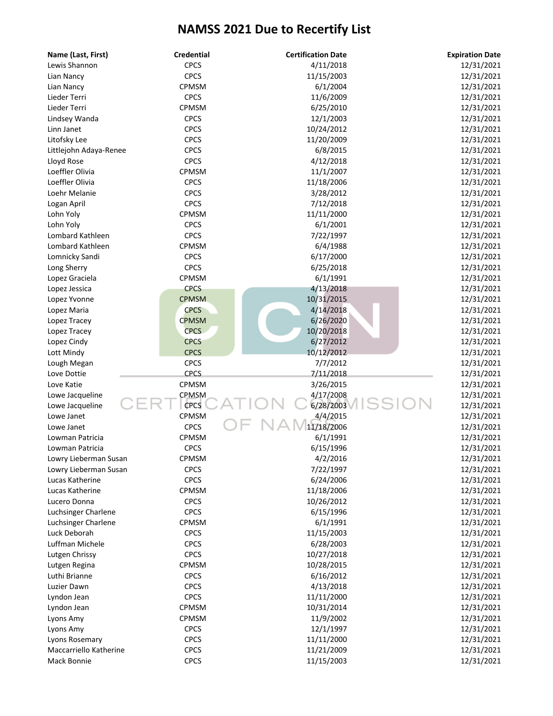| Name (Last, First)            | <b>Credential</b> | <b>Certification Date</b> | <b>Expiration Date</b> |
|-------------------------------|-------------------|---------------------------|------------------------|
| Lewis Shannon                 | <b>CPCS</b>       | 4/11/2018                 | 12/31/2021             |
| Lian Nancy                    | <b>CPCS</b>       | 11/15/2003                | 12/31/2021             |
| Lian Nancy                    | CPMSM             | 6/1/2004                  | 12/31/2021             |
| Lieder Terri                  | <b>CPCS</b>       | 11/6/2009                 | 12/31/2021             |
| Lieder Terri                  | CPMSM             | 6/25/2010                 | 12/31/2021             |
| Lindsey Wanda                 | <b>CPCS</b>       | 12/1/2003                 | 12/31/2021             |
| Linn Janet                    | <b>CPCS</b>       | 10/24/2012                | 12/31/2021             |
| Litofsky Lee                  | <b>CPCS</b>       | 11/20/2009                | 12/31/2021             |
| Littlejohn Adaya-Renee        | <b>CPCS</b>       | 6/8/2015                  | 12/31/2021             |
| Lloyd Rose                    | <b>CPCS</b>       | 4/12/2018                 | 12/31/2021             |
| Loeffler Olivia               | CPMSM             | 11/1/2007                 | 12/31/2021             |
| Loeffler Olivia               | <b>CPCS</b>       | 11/18/2006                | 12/31/2021             |
| Loehr Melanie                 | <b>CPCS</b>       | 3/28/2012                 | 12/31/2021             |
| Logan April                   | <b>CPCS</b>       | 7/12/2018                 | 12/31/2021             |
| Lohn Yoly                     | CPMSM             | 11/11/2000                | 12/31/2021             |
| Lohn Yoly                     | <b>CPCS</b>       | 6/1/2001                  | 12/31/2021             |
| Lombard Kathleen              | <b>CPCS</b>       | 7/22/1997                 | 12/31/2021             |
| Lombard Kathleen              | CPMSM             | 6/4/1988                  | 12/31/2021             |
| Lomnicky Sandi                | <b>CPCS</b>       | 6/17/2000                 | 12/31/2021             |
| Long Sherry                   | <b>CPCS</b>       | 6/25/2018                 | 12/31/2021             |
| Lopez Graciela                | CPMSM             | 6/1/1991                  | 12/31/2021             |
| Lopez Jessica                 | <b>CPCS</b>       | 4/13/2018                 | 12/31/2021             |
| Lopez Yvonne                  | <b>CPMSM</b>      | 10/31/2015                | 12/31/2021             |
| Lopez Maria                   | <b>CPCS</b>       | 4/14/2018                 | 12/31/2021             |
| Lopez Tracey                  | <b>CPMSM</b>      | 6/26/2020                 | 12/31/2021             |
| Lopez Tracey                  | <b>CPCS</b>       | 10/20/2018                | 12/31/2021             |
| Lopez Cindy                   | <b>CPCS</b>       | 6/27/2012                 | 12/31/2021             |
| Lott Mindy                    | <b>CPCS</b>       | 10/12/2012                | 12/31/2021             |
| Lough Megan                   | <b>CPCS</b>       | 7/7/2012                  | 12/31/2021             |
| Love Dottie                   | <b>CPCS</b>       | 7/11/2018                 | 12/31/2021             |
| Love Katie                    | CPMSM             | 3/26/2015                 | 12/31/2021             |
|                               | CPMSM             | 4/17/2008                 | 12/31/2021             |
| Lowe Jacqueline               | <b>CPCS</b>       | 6/28/2003                 |                        |
| Lowe Jacqueline<br>Lowe Janet | CPMSM             |                           | 12/31/2021             |
|                               | <b>CPCS</b>       | 4/4/2015<br>11/18/2006    | 12/31/2021             |
| Lowe Janet                    |                   |                           | 12/31/2021             |
| Lowman Patricia               | CPMSM             | 6/1/1991                  | 12/31/2021             |
| Lowman Patricia               | <b>CPCS</b>       | 6/15/1996                 | 12/31/2021             |
| Lowry Lieberman Susan         | CPMSM             | 4/2/2016                  | 12/31/2021             |
| Lowry Lieberman Susan         | <b>CPCS</b>       | 7/22/1997                 | 12/31/2021             |
| Lucas Katherine               | <b>CPCS</b>       | 6/24/2006                 | 12/31/2021             |
| Lucas Katherine               | CPMSM             | 11/18/2006                | 12/31/2021             |
| Lucero Donna                  | <b>CPCS</b>       | 10/26/2012                | 12/31/2021             |
| Luchsinger Charlene           | <b>CPCS</b>       | 6/15/1996                 | 12/31/2021             |
| Luchsinger Charlene           | CPMSM             | 6/1/1991                  | 12/31/2021             |
| Luck Deborah                  | <b>CPCS</b>       | 11/15/2003                | 12/31/2021             |
| Luffman Michele               | <b>CPCS</b>       | 6/28/2003                 | 12/31/2021             |
| Lutgen Chrissy                | <b>CPCS</b>       | 10/27/2018                | 12/31/2021             |
| Lutgen Regina                 | CPMSM             | 10/28/2015                | 12/31/2021             |
| Luthi Brianne                 | <b>CPCS</b>       | 6/16/2012                 | 12/31/2021             |
| Luzier Dawn                   | <b>CPCS</b>       | 4/13/2018                 | 12/31/2021             |
| Lyndon Jean                   | <b>CPCS</b>       | 11/11/2000                | 12/31/2021             |
| Lyndon Jean                   | CPMSM             | 10/31/2014                | 12/31/2021             |
| Lyons Amy                     | CPMSM             | 11/9/2002                 | 12/31/2021             |
| Lyons Amy                     | <b>CPCS</b>       | 12/1/1997                 | 12/31/2021             |
| Lyons Rosemary                | <b>CPCS</b>       | 11/11/2000                | 12/31/2021             |
| Maccarriello Katherine        | <b>CPCS</b>       | 11/21/2009                | 12/31/2021             |
| Mack Bonnie                   | <b>CPCS</b>       | 11/15/2003                | 12/31/2021             |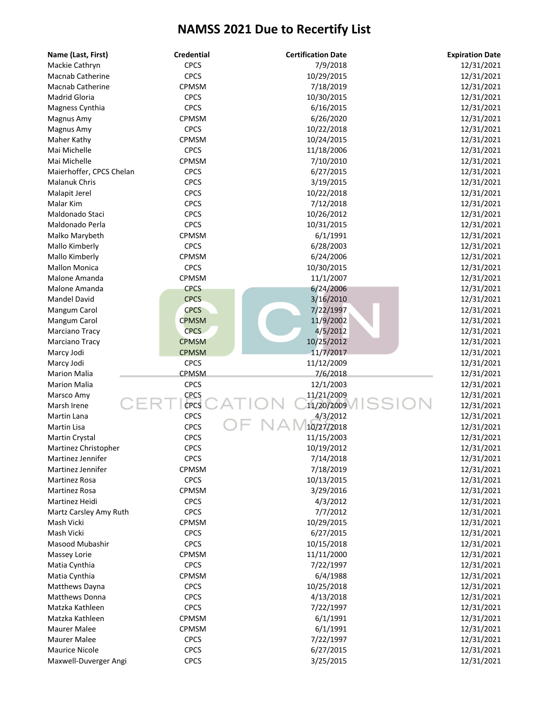| Name (Last, First)       | <b>Credential</b> | <b>Certification Date</b> | <b>Expiration Date</b> |
|--------------------------|-------------------|---------------------------|------------------------|
| Mackie Cathryn           | <b>CPCS</b>       | 7/9/2018                  | 12/31/2021             |
| <b>Macnab Catherine</b>  | <b>CPCS</b>       | 10/29/2015                | 12/31/2021             |
| <b>Macnab Catherine</b>  | CPMSM             | 7/18/2019                 | 12/31/2021             |
| Madrid Gloria            | <b>CPCS</b>       | 10/30/2015                | 12/31/2021             |
| Magness Cynthia          | <b>CPCS</b>       | 6/16/2015                 | 12/31/2021             |
| Magnus Amy               | CPMSM             | 6/26/2020                 | 12/31/2021             |
| Magnus Amy               | <b>CPCS</b>       | 10/22/2018                | 12/31/2021             |
| Maher Kathy              | CPMSM             | 10/24/2015                | 12/31/2021             |
| Mai Michelle             | <b>CPCS</b>       | 11/18/2006                | 12/31/2021             |
| Mai Michelle             | CPMSM             | 7/10/2010                 | 12/31/2021             |
| Maierhoffer, CPCS Chelan | <b>CPCS</b>       | 6/27/2015                 | 12/31/2021             |
| <b>Malanuk Chris</b>     | <b>CPCS</b>       | 3/19/2015                 | 12/31/2021             |
| Malapit Jerel            | <b>CPCS</b>       | 10/22/2018                | 12/31/2021             |
| Malar Kim                | <b>CPCS</b>       | 7/12/2018                 | 12/31/2021             |
| Maldonado Staci          | <b>CPCS</b>       | 10/26/2012                | 12/31/2021             |
| Maldonado Perla          | <b>CPCS</b>       | 10/31/2015                | 12/31/2021             |
| Malko Marybeth           | CPMSM             | 6/1/1991                  | 12/31/2021             |
| Mallo Kimberly           | <b>CPCS</b>       | 6/28/2003                 | 12/31/2021             |
| Mallo Kimberly           | CPMSM             | 6/24/2006                 | 12/31/2021             |
| <b>Mallon Monica</b>     | <b>CPCS</b>       | 10/30/2015                | 12/31/2021             |
| Malone Amanda            | CPMSM             | 11/1/2007                 | 12/31/2021             |
| Malone Amanda            | <b>CPCS</b>       | 6/24/2006                 | 12/31/2021             |
| <b>Mandel David</b>      | <b>CPCS</b>       | 3/16/2010                 | 12/31/2021             |
| Mangum Carol             | <b>CPCS</b>       | 7/22/1997                 | 12/31/2021             |
| Mangum Carol             | <b>CPMSM</b>      | 11/9/2002                 | 12/31/2021             |
| Marciano Tracy           | <b>CPCS</b>       | 4/5/2012                  | 12/31/2021             |
| Marciano Tracy           | <b>CPMSM</b>      | 10/25/2012                | 12/31/2021             |
| Marcy Jodi               | <b>CPMSM</b>      | 11/7/2017                 | 12/31/2021             |
| Marcy Jodi               | <b>CPCS</b>       | 11/12/2009                | 12/31/2021             |
| <b>Marion Malia</b>      | <b>CPMSM</b>      | 7/6/2018                  | 12/31/2021             |
| <b>Marion Malia</b>      | <b>CPCS</b>       | 12/1/2003                 | 12/31/2021             |
| Marsco Amy               | CPCS              | 11/21/2009                | 12/31/2021             |
| Marsh Irene              | CPCS              | 11/20/2009                | 12/31/2021             |
| Martin Lana              | <b>CPCS</b>       | 4/3/2012                  | 12/31/2021             |
| Martin Lisa              | <b>CPCS</b>       | 10/27/2018                | 12/31/2021             |
| Martin Crystal           | CPCS              | 11/15/2003                | 12/31/2021             |
| Martinez Christopher     | <b>CPCS</b>       | 10/19/2012                | 12/31/2021             |
| Martinez Jennifer        | <b>CPCS</b>       | 7/14/2018                 | 12/31/2021             |
| Martinez Jennifer        | CPMSM             | 7/18/2019                 | 12/31/2021             |
| Martinez Rosa            | <b>CPCS</b>       | 10/13/2015                | 12/31/2021             |
| Martinez Rosa            | <b>CPMSM</b>      | 3/29/2016                 | 12/31/2021             |
| Martinez Heidi           | <b>CPCS</b>       | 4/3/2012                  | 12/31/2021             |
| Martz Carsley Amy Ruth   | <b>CPCS</b>       | 7/7/2012                  | 12/31/2021             |
| Mash Vicki               | CPMSM             | 10/29/2015                | 12/31/2021             |
| Mash Vicki               | <b>CPCS</b>       | 6/27/2015                 | 12/31/2021             |
| Masood Mubashir          | <b>CPCS</b>       | 10/15/2018                | 12/31/2021             |
| Massey Lorie             | CPMSM             | 11/11/2000                | 12/31/2021             |
| Matia Cynthia            | <b>CPCS</b>       | 7/22/1997                 | 12/31/2021             |
| Matia Cynthia            | CPMSM             | 6/4/1988                  | 12/31/2021             |
| Matthews Dayna           | <b>CPCS</b>       | 10/25/2018                | 12/31/2021             |
| Matthews Donna           | <b>CPCS</b>       | 4/13/2018                 | 12/31/2021             |
| Matzka Kathleen          | <b>CPCS</b>       | 7/22/1997                 | 12/31/2021             |
| Matzka Kathleen          | CPMSM             | 6/1/1991                  | 12/31/2021             |
| Maurer Malee             | CPMSM             | 6/1/1991                  | 12/31/2021             |
| Maurer Malee             | <b>CPCS</b>       | 7/22/1997                 | 12/31/2021             |
| <b>Maurice Nicole</b>    | <b>CPCS</b>       | 6/27/2015                 | 12/31/2021             |
|                          | <b>CPCS</b>       |                           |                        |
| Maxwell-Duverger Angi    |                   | 3/25/2015                 | 12/31/2021             |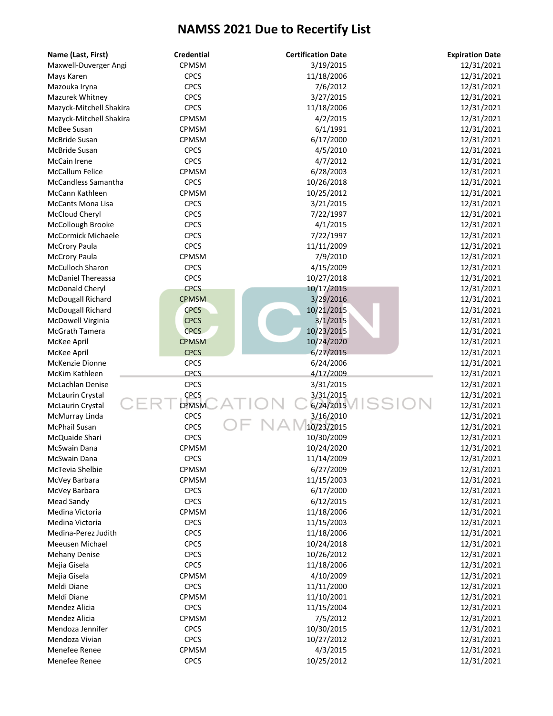| Name (Last, First)         | <b>Credential</b> | <b>Certification Date</b> | <b>Expiration Date</b> |
|----------------------------|-------------------|---------------------------|------------------------|
| Maxwell-Duverger Angi      | CPMSM             | 3/19/2015                 | 12/31/2021             |
| Mays Karen                 | <b>CPCS</b>       | 11/18/2006                | 12/31/2021             |
| Mazouka Iryna              | <b>CPCS</b>       | 7/6/2012                  | 12/31/2021             |
| Mazurek Whitney            | <b>CPCS</b>       | 3/27/2015                 | 12/31/2021             |
| Mazyck-Mitchell Shakira    | <b>CPCS</b>       | 11/18/2006                | 12/31/2021             |
| Mazyck-Mitchell Shakira    | CPMSM             | 4/2/2015                  | 12/31/2021             |
| McBee Susan                | CPMSM             | 6/1/1991                  | 12/31/2021             |
| McBride Susan              | CPMSM             | 6/17/2000                 | 12/31/2021             |
| McBride Susan              | <b>CPCS</b>       | 4/5/2010                  | 12/31/2021             |
| McCain Irene               | <b>CPCS</b>       | 4/7/2012                  | 12/31/2021             |
| <b>McCallum Felice</b>     | CPMSM             | 6/28/2003                 | 12/31/2021             |
| <b>McCandless Samantha</b> | <b>CPCS</b>       | 10/26/2018                | 12/31/2021             |
| McCann Kathleen            | CPMSM             | 10/25/2012                | 12/31/2021             |
| <b>McCants Mona Lisa</b>   | <b>CPCS</b>       | 3/21/2015                 | 12/31/2021             |
| McCloud Cheryl             | <b>CPCS</b>       | 7/22/1997                 | 12/31/2021             |
| McCollough Brooke          | <b>CPCS</b>       | 4/1/2015                  | 12/31/2021             |
| <b>McCormick Michaele</b>  | <b>CPCS</b>       | 7/22/1997                 | 12/31/2021             |
| <b>McCrory Paula</b>       | <b>CPCS</b>       | 11/11/2009                | 12/31/2021             |
| <b>McCrory Paula</b>       | CPMSM             | 7/9/2010                  | 12/31/2021             |
| <b>McCulloch Sharon</b>    | <b>CPCS</b>       | 4/15/2009                 | 12/31/2021             |
| <b>McDaniel Thereassa</b>  | <b>CPCS</b>       | 10/27/2018                | 12/31/2021             |
| McDonald Cheryl            | <b>CPCS</b>       | 10/17/2015                | 12/31/2021             |
| McDougall Richard          | <b>CPMSM</b>      | 3/29/2016                 | 12/31/2021             |
| McDougall Richard          | <b>CPCS</b>       | 10/21/2015                | 12/31/2021             |
| McDowell Virginia          | <b>CPCS</b>       | 3/1/2015                  | 12/31/2021             |
| McGrath Tamera             | <b>CPCS</b>       | 10/23/2015                | 12/31/2021             |
| McKee April                | <b>CPMSM</b>      | 10/24/2020                | 12/31/2021             |
| McKee April                | <b>CPCS</b>       | 6/27/2015                 | 12/31/2021             |
| McKenzie Dionne            | <b>CPCS</b>       | 6/24/2006                 | 12/31/2021             |
| McKim Kathleen             | <b>CPCS</b>       | 4/17/2009                 | 12/31/2021             |
| McLachlan Denise           | <b>CPCS</b>       | 3/31/2015                 | 12/31/2021             |
| <b>McLaurin Crystal</b>    | <b>CPCS</b>       | 3/31/2015                 | 12/31/2021             |
| McLaurin Crystal           | <b>CPMSM</b>      | SS<br>6/24/2015           | 12/31/2021             |
| McMurray Linda             | <b>CPCS</b>       | 3/16/2010                 | 12/31/2021             |
| <b>McPhail Susan</b>       | <b>CPCS</b>       | 10/23/2015                | 12/31/2021             |
| McQuaide Shari             | <b>CPCS</b>       | 10/30/2009                | 12/31/2021             |
| McSwain Dana               | CPMSM             | 10/24/2020                | 12/31/2021             |
| McSwain Dana               | <b>CPCS</b>       | 11/14/2009                | 12/31/2021             |
| McTevia Shelbie            | CPMSM             | 6/27/2009                 | 12/31/2021             |
| McVey Barbara              | <b>CPMSM</b>      | 11/15/2003                | 12/31/2021             |
| McVey Barbara              | <b>CPCS</b>       | 6/17/2000                 | 12/31/2021             |
| Mead Sandy                 | <b>CPCS</b>       | 6/12/2015                 | 12/31/2021             |
| Medina Victoria            | <b>CPMSM</b>      | 11/18/2006                | 12/31/2021             |
| Medina Victoria            | <b>CPCS</b>       | 11/15/2003                | 12/31/2021             |
| Medina-Perez Judith        | <b>CPCS</b>       | 11/18/2006                | 12/31/2021             |
| Meeusen Michael            | <b>CPCS</b>       | 10/24/2018                | 12/31/2021             |
| <b>Mehany Denise</b>       | <b>CPCS</b>       | 10/26/2012                | 12/31/2021             |
| Mejia Gisela               | <b>CPCS</b>       | 11/18/2006                | 12/31/2021             |
| Mejia Gisela               | CPMSM             | 4/10/2009                 | 12/31/2021             |
| Meldi Diane                | <b>CPCS</b>       | 11/11/2000                | 12/31/2021             |
| Meldi Diane                | CPMSM             | 11/10/2001                | 12/31/2021             |
| Mendez Alicia              | <b>CPCS</b>       | 11/15/2004                | 12/31/2021             |
| Mendez Alicia              | <b>CPMSM</b>      | 7/5/2012                  | 12/31/2021             |
| Mendoza Jennifer           | <b>CPCS</b>       | 10/30/2015                | 12/31/2021             |
| Mendoza Vivian             | <b>CPCS</b>       | 10/27/2012                | 12/31/2021             |
| Menefee Renee              | CPMSM             | 4/3/2015                  | 12/31/2021             |
| Menefee Renee              | <b>CPCS</b>       | 10/25/2012                | 12/31/2021             |
|                            |                   |                           |                        |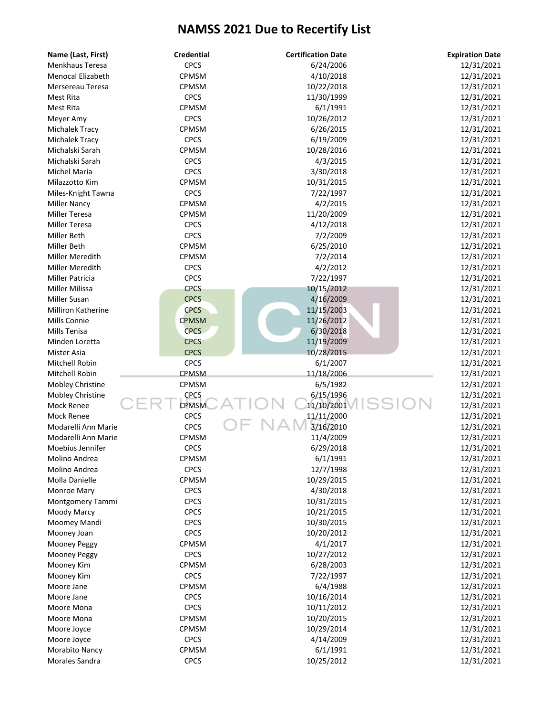| Name (Last, First)       | <b>Credential</b> | <b>Certification Date</b> | <b>Expiration Date</b> |
|--------------------------|-------------------|---------------------------|------------------------|
| Menkhaus Teresa          | <b>CPCS</b>       | 6/24/2006                 | 12/31/2021             |
| <b>Menocal Elizabeth</b> | CPMSM             | 4/10/2018                 | 12/31/2021             |
| Mersereau Teresa         | CPMSM             | 10/22/2018                | 12/31/2021             |
| Mest Rita                | <b>CPCS</b>       | 11/30/1999                | 12/31/2021             |
| Mest Rita                | CPMSM             | 6/1/1991                  | 12/31/2021             |
| Meyer Amy                | <b>CPCS</b>       | 10/26/2012                | 12/31/2021             |
| Michalek Tracy           | CPMSM             | 6/26/2015                 | 12/31/2021             |
| Michalek Tracy           | <b>CPCS</b>       | 6/19/2009                 | 12/31/2021             |
| Michalski Sarah          | CPMSM             | 10/28/2016                | 12/31/2021             |
| Michalski Sarah          | <b>CPCS</b>       | 4/3/2015                  | 12/31/2021             |
| Michel Maria             | <b>CPCS</b>       | 3/30/2018                 | 12/31/2021             |
| Milazzotto Kim           | CPMSM             | 10/31/2015                | 12/31/2021             |
| Miles-Knight Tawna       | <b>CPCS</b>       | 7/22/1997                 | 12/31/2021             |
| <b>Miller Nancy</b>      | CPMSM             | 4/2/2015                  | 12/31/2021             |
| Miller Teresa            | CPMSM             | 11/20/2009                | 12/31/2021             |
| Miller Teresa            | <b>CPCS</b>       | 4/12/2018                 | 12/31/2021             |
| <b>Miller Beth</b>       | <b>CPCS</b>       | 7/2/2009                  | 12/31/2021             |
| Miller Beth              | CPMSM             | 6/25/2010                 | 12/31/2021             |
| Miller Meredith          | <b>CPMSM</b>      | 7/2/2014                  | 12/31/2021             |
| Miller Meredith          | <b>CPCS</b>       | 4/2/2012                  | 12/31/2021             |
| <b>Miller Patricia</b>   | <b>CPCS</b>       | 7/22/1997                 | 12/31/2021             |
| Miller Milissa           | <b>CPCS</b>       | 10/15/2012                | 12/31/2021             |
| Miller Susan             | <b>CPCS</b>       | 4/16/2009                 | 12/31/2021             |
| Milliron Katherine       | <b>CPCS</b>       | 11/15/2003                | 12/31/2021             |
| Mills Connie             | <b>CPMSM</b>      | 11/26/2012                | 12/31/2021             |
| Mills Tenisa             | <b>CPCS</b>       | 6/30/2018                 | 12/31/2021             |
| Minden Loretta           | <b>CPCS</b>       | 11/19/2009                | 12/31/2021             |
| Mister Asia              | <b>CPCS</b>       | 10/28/2015                | 12/31/2021             |
| Mitchell Robin           | <b>CPCS</b>       | 6/1/2007                  | 12/31/2021             |
| Mitchell Robin           | CPMSM             | 11/18/2006                | 12/31/2021             |
| Mobley Christine         | CPMSM             | 6/5/1982                  | 12/31/2021             |
| Mobley Christine         | CPCS              | 6/15/1996                 | 12/31/2021             |
| Mock Renee               | <b>CPMSM</b>      | 11/10/2001                | 12/31/2021             |
| <b>Mock Renee</b>        | <b>CPCS</b>       | 11/11/2000                | 12/31/2021             |
| Modarelli Ann Marie      | <b>CPCS</b>       | 3/16/2010                 | 12/31/2021             |
| Modarelli Ann Marie      | CPMSM             | 11/4/2009                 | 12/31/2021             |
| Moebius Jennifer         | <b>CPCS</b>       | 6/29/2018                 | 12/31/2021             |
| Molino Andrea            | CPMSM             | 6/1/1991                  | 12/31/2021             |
| Molino Andrea            | <b>CPCS</b>       | 12/7/1998                 | 12/31/2021             |
| Molla Danielle           | CPMSM             | 10/29/2015                | 12/31/2021             |
| Monroe Mary              | <b>CPCS</b>       | 4/30/2018                 | 12/31/2021             |
| Montgomery Tammi         | <b>CPCS</b>       | 10/31/2015                | 12/31/2021             |
| Moody Marcy              | <b>CPCS</b>       | 10/21/2015                | 12/31/2021             |
| Moomey Mandi             | <b>CPCS</b>       | 10/30/2015                | 12/31/2021             |
| Mooney Joan              | <b>CPCS</b>       | 10/20/2012                | 12/31/2021             |
| Mooney Peggy             | CPMSM             | 4/1/2017                  | 12/31/2021             |
| Mooney Peggy             | <b>CPCS</b>       | 10/27/2012                | 12/31/2021             |
| Mooney Kim               | CPMSM             | 6/28/2003                 | 12/31/2021             |
| Mooney Kim               | <b>CPCS</b>       | 7/22/1997                 | 12/31/2021             |
| Moore Jane               | CPMSM             | 6/4/1988                  | 12/31/2021             |
| Moore Jane               | <b>CPCS</b>       | 10/16/2014                | 12/31/2021             |
| Moore Mona               | <b>CPCS</b>       | 10/11/2012                | 12/31/2021             |
| Moore Mona               | CPMSM             | 10/20/2015                | 12/31/2021             |
| Moore Joyce              | <b>CPMSM</b>      | 10/29/2014                | 12/31/2021             |
| Moore Joyce              | <b>CPCS</b>       | 4/14/2009                 | 12/31/2021             |
| Morabito Nancy           | CPMSM             | 6/1/1991                  | 12/31/2021             |
| Morales Sandra           | <b>CPCS</b>       | 10/25/2012                | 12/31/2021             |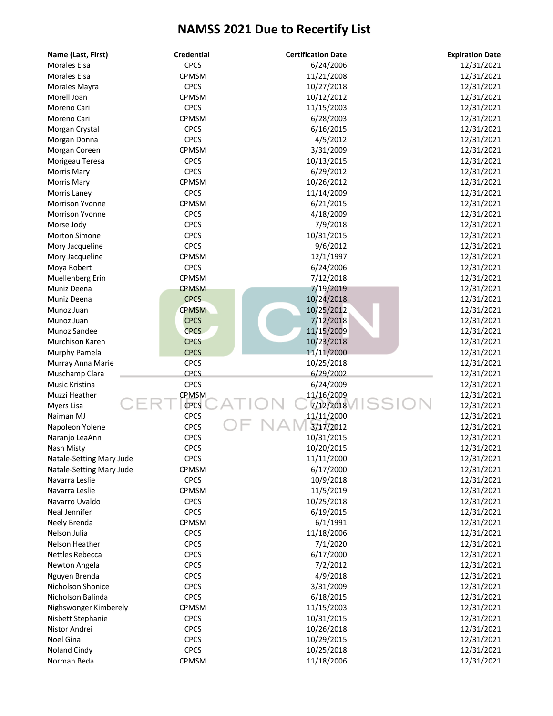| Name (Last, First)                         | <b>Credential</b> | <b>Certification Date</b> | <b>Expiration Date</b>   |
|--------------------------------------------|-------------------|---------------------------|--------------------------|
| <b>Morales Elsa</b>                        | <b>CPCS</b>       | 6/24/2006                 | 12/31/2021               |
| <b>Morales Elsa</b>                        | CPMSM             | 11/21/2008                | 12/31/2021               |
| Morales Mayra                              | <b>CPCS</b>       | 10/27/2018                | 12/31/2021               |
| Morell Joan                                | <b>CPMSM</b>      | 10/12/2012                | 12/31/2021               |
| Moreno Cari                                | <b>CPCS</b>       | 11/15/2003                | 12/31/2021               |
| Moreno Cari                                | <b>CPMSM</b>      | 6/28/2003                 | 12/31/2021               |
| Morgan Crystal                             | <b>CPCS</b>       | 6/16/2015                 | 12/31/2021               |
| Morgan Donna                               | <b>CPCS</b>       | 4/5/2012                  | 12/31/2021               |
| Morgan Coreen                              | CPMSM             | 3/31/2009                 | 12/31/2021               |
| Morigeau Teresa                            | <b>CPCS</b>       | 10/13/2015                | 12/31/2021               |
| <b>Morris Mary</b>                         | <b>CPCS</b>       | 6/29/2012                 | 12/31/2021               |
| <b>Morris Mary</b>                         | CPMSM             | 10/26/2012                | 12/31/2021               |
| Morris Laney                               | <b>CPCS</b>       | 11/14/2009                | 12/31/2021               |
| <b>Morrison Yvonne</b>                     | CPMSM             | 6/21/2015                 | 12/31/2021               |
| <b>Morrison Yvonne</b>                     | <b>CPCS</b>       | 4/18/2009                 | 12/31/2021               |
| Morse Jody                                 | <b>CPCS</b>       | 7/9/2018                  | 12/31/2021               |
| <b>Morton Simone</b>                       | <b>CPCS</b>       | 10/31/2015                | 12/31/2021               |
| Mory Jacqueline                            | <b>CPCS</b>       | 9/6/2012                  | 12/31/2021               |
| Mory Jacqueline                            | <b>CPMSM</b>      | 12/1/1997                 | 12/31/2021               |
| Moya Robert                                | <b>CPCS</b>       | 6/24/2006                 | 12/31/2021               |
| Muellenberg Erin                           | CPMSM             | 7/12/2018                 | 12/31/2021               |
| Muniz Deena                                | <b>CPMSM</b>      | 7/19/2019                 | 12/31/2021               |
| Muniz Deena                                | <b>CPCS</b>       | 10/24/2018                | 12/31/2021               |
| Munoz Juan                                 | <b>CPMSM</b>      | 10/25/2012                | 12/31/2021               |
| Munoz Juan                                 | <b>CPCS</b>       | 7/12/2018                 | 12/31/2021               |
| Munoz Sandee                               | <b>CPCS</b>       | 11/15/2009                | 12/31/2021               |
| Murchison Karen                            | <b>CPCS</b>       | 10/23/2018                | 12/31/2021               |
| Murphy Pamela                              | <b>CPCS</b>       | 11/11/2000                | 12/31/2021               |
| Murray Anna Marie                          | <b>CPCS</b>       | 10/25/2018                | 12/31/2021               |
| Muschamp Clara                             | <b>CPCS</b>       | 6/29/2002                 | 12/31/2021               |
| <b>Music Kristina</b>                      | <b>CPCS</b>       | 6/24/2009                 | 12/31/2021               |
| Muzzi Heather                              | CPMSM             | 11/16/2009                | 12/31/2021               |
| Myers Lisa                                 | <b>CPCS</b>       | 7/12/2018                 | 12/31/2021               |
| Naiman MJ                                  | <b>CPCS</b>       | 11/11/2000                | 12/31/2021               |
| Napoleon Yolene                            | CPCS              | 3/17/2012                 | 12/31/2021               |
|                                            | <b>CPCS</b>       | 10/31/2015                | 12/31/2021               |
| Naranjo LeaAnn                             | <b>CPCS</b>       | 10/20/2015                | 12/31/2021               |
| Nash Misty<br>Natale-Setting Mary Jude     | <b>CPCS</b>       | 11/11/2000                | 12/31/2021               |
|                                            | CPMSM             | 6/17/2000                 | 12/31/2021               |
| Natale-Setting Mary Jude<br>Navarra Leslie | <b>CPCS</b>       | 10/9/2018                 | 12/31/2021               |
|                                            | CPMSM             | 11/5/2019                 |                          |
| Navarra Leslie<br>Navarro Uvaldo           | <b>CPCS</b>       |                           | 12/31/2021               |
| Neal Jennifer                              | <b>CPCS</b>       | 10/25/2018<br>6/19/2015   | 12/31/2021               |
|                                            | <b>CPMSM</b>      |                           | 12/31/2021<br>12/31/2021 |
| Neely Brenda                               |                   | 6/1/1991<br>11/18/2006    | 12/31/2021               |
| Nelson Julia                               | <b>CPCS</b>       |                           | 12/31/2021               |
| Nelson Heather                             | <b>CPCS</b>       | 7/1/2020                  |                          |
| Nettles Rebecca                            | <b>CPCS</b>       | 6/17/2000                 | 12/31/2021               |
| Newton Angela                              | <b>CPCS</b>       | 7/2/2012                  | 12/31/2021               |
| Nguyen Brenda                              | <b>CPCS</b>       | 4/9/2018                  | 12/31/2021               |
| Nicholson Shonice                          | <b>CPCS</b>       | 3/31/2009                 | 12/31/2021               |
| Nicholson Balinda                          | <b>CPCS</b>       | 6/18/2015                 | 12/31/2021               |
| Nighswonger Kimberely                      | <b>CPMSM</b>      | 11/15/2003                | 12/31/2021               |
| Nisbett Stephanie                          | <b>CPCS</b>       | 10/31/2015                | 12/31/2021               |
| Nistor Andrei                              | <b>CPCS</b>       | 10/26/2018                | 12/31/2021               |
| Noel Gina                                  | <b>CPCS</b>       | 10/29/2015                | 12/31/2021               |
| Noland Cindy                               | <b>CPCS</b>       | 10/25/2018                | 12/31/2021               |
| Norman Beda                                | CPMSM             | 11/18/2006                | 12/31/2021               |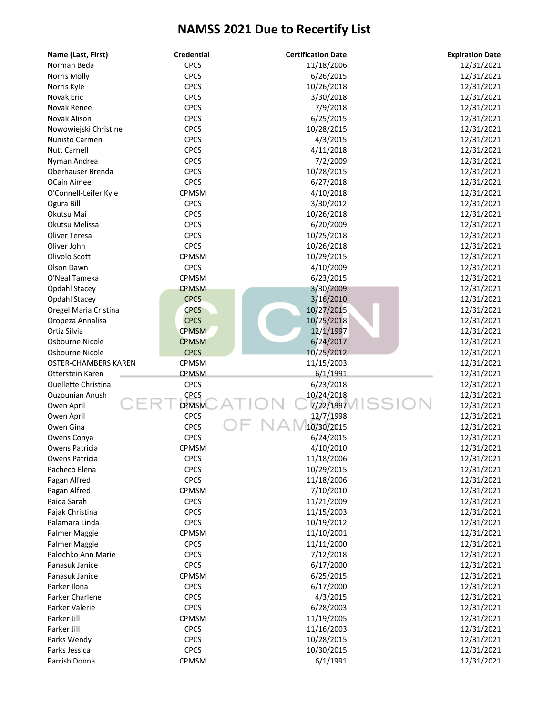| Name (Last, First)          | <b>Credential</b>          | <b>Certification Date</b> | <b>Expiration Date</b> |
|-----------------------------|----------------------------|---------------------------|------------------------|
| Norman Beda                 | <b>CPCS</b>                | 11/18/2006                | 12/31/2021             |
| Norris Molly                | <b>CPCS</b>                | 6/26/2015                 | 12/31/2021             |
| Norris Kyle                 | <b>CPCS</b>                | 10/26/2018                | 12/31/2021             |
| <b>Novak Eric</b>           | <b>CPCS</b>                | 3/30/2018                 | 12/31/2021             |
| Novak Renee                 | <b>CPCS</b>                | 7/9/2018                  | 12/31/2021             |
| Novak Alison                | <b>CPCS</b>                | 6/25/2015                 | 12/31/2021             |
| Nowowiejski Christine       | <b>CPCS</b>                | 10/28/2015                | 12/31/2021             |
| Nunisto Carmen              | <b>CPCS</b>                | 4/3/2015                  | 12/31/2021             |
| <b>Nutt Carnell</b>         | <b>CPCS</b>                | 4/11/2018                 | 12/31/2021             |
| Nyman Andrea                | <b>CPCS</b>                | 7/2/2009                  | 12/31/2021             |
| Oberhauser Brenda           | <b>CPCS</b>                | 10/28/2015                | 12/31/2021             |
| OCain Aimee                 | <b>CPCS</b>                | 6/27/2018                 | 12/31/2021             |
| O'Connell-Leifer Kyle       | CPMSM                      | 4/10/2018                 | 12/31/2021             |
| Ogura Bill                  | <b>CPCS</b>                | 3/30/2012                 | 12/31/2021             |
| Okutsu Mai                  | <b>CPCS</b>                | 10/26/2018                | 12/31/2021             |
| Okutsu Melissa              | <b>CPCS</b>                | 6/20/2009                 | 12/31/2021             |
| Oliver Teresa               | <b>CPCS</b>                | 10/25/2018                | 12/31/2021             |
| Oliver John                 | <b>CPCS</b>                | 10/26/2018                | 12/31/2021             |
| Olivolo Scott               | CPMSM                      | 10/29/2015                | 12/31/2021             |
| Olson Dawn                  | <b>CPCS</b>                | 4/10/2009                 | 12/31/2021             |
| O'Neal Tameka               | CPMSM                      | 6/23/2015                 | 12/31/2021             |
| Opdahl Stacey               | <b>CPMSM</b>               | 3/30/2009                 | 12/31/2021             |
| Opdahl Stacey               | <b>CPCS</b>                | 3/16/2010                 | 12/31/2021             |
| Oregel Maria Cristina       | <b>CPCS</b>                | 10/27/2015                | 12/31/2021             |
| Oropeza Annalisa            | <b>CPCS</b>                | 10/25/2018                | 12/31/2021             |
| Ortiz Silvia                | <b>CPMSM</b>               | 12/1/1997                 | 12/31/2021             |
| Osbourne Nicole             | <b>CPMSM</b>               | 6/24/2017                 | 12/31/2021             |
| Osbourne Nicole             | <b>CPCS</b>                | 10/25/2012                | 12/31/2021             |
| <b>OSTER-CHAMBERS KAREN</b> | CPMSM                      | 11/15/2003                | 12/31/2021             |
| Otterstein Karen            | CPMSM                      | 6/1/1991                  | 12/31/2021             |
| <b>Ouellette Christina</b>  | <b>CPCS</b>                | 6/23/2018                 | 12/31/2021             |
| <b>Ouzounian Anush</b>      | <b>CPCS</b>                | 10/24/2018                | 12/31/2021             |
| Owen April                  | <b>CPMSM</b>               | 7/22/1997                 | 12/31/2021             |
| Owen April                  | <b>CPCS</b>                | 12/7/1998                 | 12/31/2021             |
| Owen Gina                   | <b>CPCS</b>                | 10/30/2015                | 12/31/2021             |
| Owens Conya                 | <b>CPCS</b>                | 6/24/2015                 | 12/31/2021             |
| Owens Patricia              | CPMSM                      | 4/10/2010                 | 12/31/2021             |
| Owens Patricia              | <b>CPCS</b>                | 11/18/2006                | 12/31/2021             |
| Pacheco Elena               | <b>CPCS</b>                | 10/29/2015                | 12/31/2021             |
| Pagan Alfred                | <b>CPCS</b>                | 11/18/2006                | 12/31/2021             |
| Pagan Alfred                | CPMSM                      | 7/10/2010                 | 12/31/2021             |
| Paida Sarah                 | <b>CPCS</b>                | 11/21/2009                | 12/31/2021             |
| Pajak Christina             | <b>CPCS</b>                | 11/15/2003                | 12/31/2021             |
| Palamara Linda              | <b>CPCS</b>                | 10/19/2012                | 12/31/2021             |
| Palmer Maggie               | CPMSM                      | 11/10/2001                | 12/31/2021             |
| Palmer Maggie               | <b>CPCS</b>                | 11/11/2000                | 12/31/2021             |
| Palochko Ann Marie          | <b>CPCS</b>                | 7/12/2018                 | 12/31/2021             |
| Panasuk Janice              | <b>CPCS</b>                | 6/17/2000                 | 12/31/2021             |
| Panasuk Janice              | CPMSM                      | 6/25/2015                 | 12/31/2021             |
| Parker Ilona                | <b>CPCS</b>                | 6/17/2000                 | 12/31/2021             |
| Parker Charlene             | <b>CPCS</b>                | 4/3/2015                  | 12/31/2021             |
| Parker Valerie              | <b>CPCS</b>                | 6/28/2003                 | 12/31/2021             |
| Parker Jill                 | CPMSM                      | 11/19/2005                | 12/31/2021             |
| Parker Jill                 | <b>CPCS</b>                | 11/16/2003                | 12/31/2021             |
|                             |                            |                           |                        |
| Parks Wendy                 | <b>CPCS</b><br><b>CPCS</b> | 10/28/2015                | 12/31/2021             |
| Parks Jessica               |                            | 10/30/2015                | 12/31/2021             |
| Parrish Donna               | CPMSM                      | 6/1/1991                  | 12/31/2021             |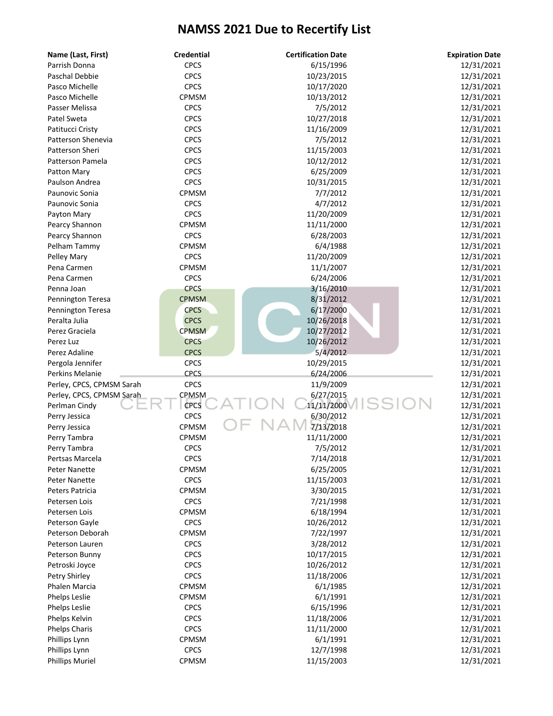| Name (Last, First)        | <b>Credential</b> | <b>Certification Date</b> | <b>Expiration Date</b> |
|---------------------------|-------------------|---------------------------|------------------------|
| Parrish Donna             | <b>CPCS</b>       | 6/15/1996                 | 12/31/2021             |
| Paschal Debbie            | <b>CPCS</b>       | 10/23/2015                | 12/31/2021             |
| Pasco Michelle            | <b>CPCS</b>       | 10/17/2020                | 12/31/2021             |
| Pasco Michelle            | CPMSM             | 10/13/2012                | 12/31/2021             |
| Passer Melissa            | <b>CPCS</b>       | 7/5/2012                  | 12/31/2021             |
| Patel Sweta               | <b>CPCS</b>       | 10/27/2018                | 12/31/2021             |
| Patitucci Cristy          | <b>CPCS</b>       | 11/16/2009                | 12/31/2021             |
| Patterson Shenevia        | <b>CPCS</b>       | 7/5/2012                  | 12/31/2021             |
| Patterson Sheri           | <b>CPCS</b>       | 11/15/2003                | 12/31/2021             |
| Patterson Pamela          | <b>CPCS</b>       | 10/12/2012                | 12/31/2021             |
| Patton Mary               | <b>CPCS</b>       | 6/25/2009                 | 12/31/2021             |
| Paulson Andrea            | <b>CPCS</b>       | 10/31/2015                | 12/31/2021             |
| Paunovic Sonia            | CPMSM             | 7/7/2012                  | 12/31/2021             |
| Paunovic Sonia            | <b>CPCS</b>       | 4/7/2012                  | 12/31/2021             |
| Payton Mary               | <b>CPCS</b>       | 11/20/2009                | 12/31/2021             |
| Pearcy Shannon            | CPMSM             | 11/11/2000                | 12/31/2021             |
| Pearcy Shannon            | <b>CPCS</b>       | 6/28/2003                 | 12/31/2021             |
| Pelham Tammy              | CPMSM             | 6/4/1988                  | 12/31/2021             |
| Pelley Mary               | <b>CPCS</b>       | 11/20/2009                | 12/31/2021             |
| Pena Carmen               | CPMSM             | 11/1/2007                 | 12/31/2021             |
| Pena Carmen               | <b>CPCS</b>       | 6/24/2006                 | 12/31/2021             |
| Penna Joan                | <b>CPCS</b>       | 3/16/2010                 | 12/31/2021             |
| Pennington Teresa         | <b>CPMSM</b>      | 8/31/2012                 | 12/31/2021             |
| Pennington Teresa         | <b>CPCS</b>       | 6/17/2000                 | 12/31/2021             |
| Peralta Julia             | <b>CPCS</b>       | 10/26/2018                | 12/31/2021             |
| Perez Graciela            | <b>CPMSM</b>      | 10/27/2012                | 12/31/2021             |
| Perez Luz                 | <b>CPCS</b>       | 10/26/2012                | 12/31/2021             |
| Perez Adaline             | <b>CPCS</b>       | 5/4/2012                  | 12/31/2021             |
| Pergola Jennifer          | <b>CPCS</b>       | 10/29/2015                | 12/31/2021             |
| Perkins Melanie           | <b>CPCS</b>       | 6/24/2006                 | 12/31/2021             |
| Perley, CPCS, CPMSM Sarah | <b>CPCS</b>       | 11/9/2009                 | 12/31/2021             |
| Perley, CPCS, CPMSM Sarah | CPMSM             | 6/27/2015                 | 12/31/2021             |
| Perlman Cindy             | <b>CPCS</b>       | 11/11/2000                | 12/31/2021             |
| Perry Jessica             | <b>CPCS</b>       | 6/30/2012                 | 12/31/2021             |
| Perry Jessica             | CPMSM             | 7/13/2018                 | 12/31/2021             |
| Perry Tambra              | CPMSM             | 11/11/2000                | 12/31/2021             |
| Perry Tambra              | <b>CPCS</b>       | 7/5/2012                  | 12/31/2021             |
| Pertsas Marcela           | <b>CPCS</b>       | 7/14/2018                 | 12/31/2021             |
| <b>Peter Nanette</b>      | CPMSM             | 6/25/2005                 | 12/31/2021             |
| <b>Peter Nanette</b>      | <b>CPCS</b>       | 11/15/2003                | 12/31/2021             |
| Peters Patricia           | CPMSM             | 3/30/2015                 | 12/31/2021             |
| Petersen Lois             | <b>CPCS</b>       | 7/21/1998                 | 12/31/2021             |
| Petersen Lois             | CPMSM             | 6/18/1994                 | 12/31/2021             |
| Peterson Gayle            | <b>CPCS</b>       | 10/26/2012                | 12/31/2021             |
| Peterson Deborah          | CPMSM             | 7/22/1997                 | 12/31/2021             |
| Peterson Lauren           | <b>CPCS</b>       | 3/28/2012                 | 12/31/2021             |
| Peterson Bunny            | <b>CPCS</b>       | 10/17/2015                | 12/31/2021             |
| Petroski Joyce            | <b>CPCS</b>       | 10/26/2012                | 12/31/2021             |
| Petry Shirley             | <b>CPCS</b>       | 11/18/2006                | 12/31/2021             |
| Phalen Marcia             | CPMSM             | 6/1/1985                  | 12/31/2021             |
| <b>Phelps Leslie</b>      | CPMSM             | 6/1/1991                  | 12/31/2021             |
| <b>Phelps Leslie</b>      | <b>CPCS</b>       | 6/15/1996                 | 12/31/2021             |
| Phelps Kelvin             | <b>CPCS</b>       | 11/18/2006                | 12/31/2021             |
| <b>Phelps Charis</b>      | <b>CPCS</b>       | 11/11/2000                | 12/31/2021             |
| Phillips Lynn             | CPMSM             | 6/1/1991                  | 12/31/2021             |
| Phillips Lynn             | <b>CPCS</b>       | 12/7/1998                 | 12/31/2021             |
| <b>Phillips Muriel</b>    | CPMSM             | 11/15/2003                | 12/31/2021             |
|                           |                   |                           |                        |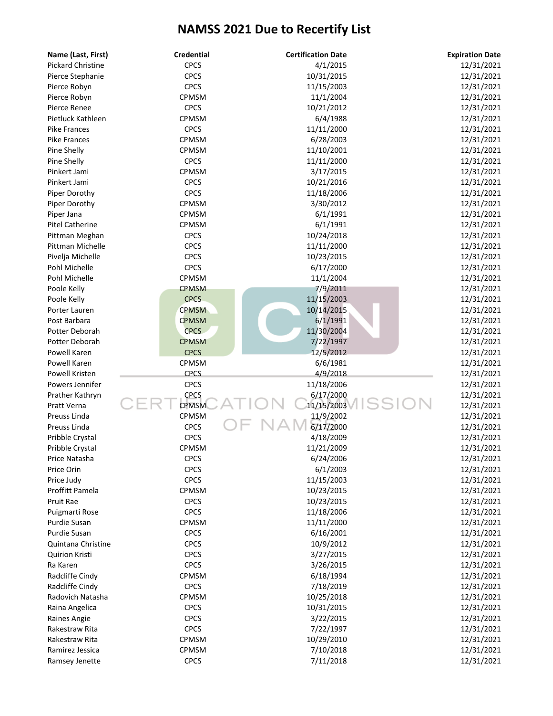| <b>CPCS</b><br>4/1/2015<br><b>Pickard Christine</b><br>12/31/2021<br><b>CPCS</b><br>10/31/2015<br>12/31/2021<br>Pierce Stephanie<br><b>CPCS</b><br>11/15/2003<br>12/31/2021<br>Pierce Robyn<br>CPMSM<br>11/1/2004<br>12/31/2021<br>Pierce Robyn<br><b>CPCS</b><br>Pierce Renee<br>10/21/2012<br>12/31/2021<br>CPMSM<br>6/4/1988<br>12/31/2021<br>Pietluck Kathleen<br><b>CPCS</b><br><b>Pike Frances</b><br>11/11/2000<br>12/31/2021<br>CPMSM<br>6/28/2003<br>12/31/2021<br><b>Pike Frances</b><br>CPMSM<br>11/10/2001<br>Pine Shelly<br>12/31/2021<br><b>CPCS</b><br>Pine Shelly<br>11/11/2000<br>12/31/2021<br>CPMSM<br>3/17/2015<br>Pinkert Jami<br>12/31/2021<br><b>CPCS</b><br>Pinkert Jami<br>10/21/2016<br>12/31/2021<br><b>CPCS</b><br>11/18/2006<br>12/31/2021<br>Piper Dorothy<br>Piper Dorothy<br>CPMSM<br>3/30/2012<br>12/31/2021<br>CPMSM<br>6/1/1991<br>12/31/2021<br>Piper Jana<br><b>Pitel Catherine</b><br>CPMSM<br>6/1/1991<br>12/31/2021<br><b>CPCS</b><br>10/24/2018<br>12/31/2021<br>Pittman Meghan<br><b>CPCS</b><br>Pittman Michelle<br>11/11/2000<br>12/31/2021<br><b>CPCS</b><br>10/23/2015<br>12/31/2021<br>Pivelja Michelle<br><b>CPCS</b><br>Pohl Michelle<br>6/17/2000<br>12/31/2021<br>Pohl Michelle<br>CPMSM<br>11/1/2004<br>12/31/2021<br><b>CPMSM</b><br>Poole Kelly<br>7/9/2011<br>12/31/2021<br><b>CPCS</b><br>11/15/2003<br>12/31/2021<br>Poole Kelly<br><b>CPMSM</b><br>10/14/2015<br>12/31/2021<br>Porter Lauren<br><b>CPMSM</b><br>6/1/1991<br>12/31/2021<br>Post Barbara<br><b>CPCS</b><br>11/30/2004<br>Potter Deborah<br>12/31/2021<br>Potter Deborah<br><b>CPMSM</b><br>7/22/1997<br>12/31/2021<br><b>CPCS</b><br>Powell Karen<br>12/5/2012<br>12/31/2021<br>Powell Karen<br>CPMSM<br>6/6/1981<br>12/31/2021<br><b>CPCS</b><br>4/9/2018<br>Powell Kristen<br>12/31/2021<br><b>CPCS</b><br>11/18/2006<br>Powers Jennifer<br>12/31/2021<br><b>CPCS</b><br>6/17/2000<br>12/31/2021<br>Prather Kathryn<br>11/15/2003<br><b>CPMSM</b><br>Pratt Verna<br>12/31/2021<br><b>CPMSM</b><br>11/9/2002<br>Preuss Linda<br>12/31/2021<br>6/17/2000<br><b>CPCS</b><br>Preuss Linda<br>12/31/2021<br><b>CPCS</b><br>4/18/2009<br>Pribble Crystal<br>12/31/2021<br>CPMSM<br>11/21/2009<br>12/31/2021<br>Pribble Crystal<br>Price Natasha<br><b>CPCS</b><br>6/24/2006<br>12/31/2021<br>Price Orin<br><b>CPCS</b><br>6/1/2003<br>12/31/2021<br><b>CPCS</b><br>11/15/2003<br>12/31/2021<br>Price Judy<br><b>Proffitt Pamela</b><br>CPMSM<br>10/23/2015<br>12/31/2021<br>Pruit Rae<br><b>CPCS</b><br>10/23/2015<br>12/31/2021<br><b>CPCS</b><br>11/18/2006<br>12/31/2021<br>Puigmarti Rose<br>CPMSM<br>11/11/2000<br>12/31/2021<br>Purdie Susan<br>Purdie Susan<br><b>CPCS</b><br>6/16/2001<br>12/31/2021<br><b>CPCS</b><br>10/9/2012<br>12/31/2021<br>Quintana Christine<br>Quirion Kristi<br><b>CPCS</b><br>3/27/2015<br>12/31/2021<br><b>CPCS</b><br>3/26/2015<br>12/31/2021<br>Ra Karen<br>Radcliffe Cindy<br>CPMSM<br>6/18/1994<br>12/31/2021<br><b>CPCS</b><br>7/18/2019<br>12/31/2021<br>Radcliffe Cindy<br>CPMSM<br>10/25/2018<br>12/31/2021<br>Radovich Natasha<br><b>CPCS</b><br>10/31/2015<br>12/31/2021<br>Raina Angelica<br><b>CPCS</b><br>3/22/2015<br>12/31/2021<br>Raines Angie<br><b>CPCS</b><br>7/22/1997<br>12/31/2021<br>Rakestraw Rita<br>CPMSM<br>10/29/2010<br>12/31/2021<br>Rakestraw Rita<br>CPMSM<br>7/10/2018<br>12/31/2021<br>Ramirez Jessica<br><b>CPCS</b><br>7/11/2018<br>12/31/2021<br>Ramsey Jenette | Name (Last, First) | <b>Credential</b> | <b>Certification Date</b> | <b>Expiration Date</b> |
|--------------------------------------------------------------------------------------------------------------------------------------------------------------------------------------------------------------------------------------------------------------------------------------------------------------------------------------------------------------------------------------------------------------------------------------------------------------------------------------------------------------------------------------------------------------------------------------------------------------------------------------------------------------------------------------------------------------------------------------------------------------------------------------------------------------------------------------------------------------------------------------------------------------------------------------------------------------------------------------------------------------------------------------------------------------------------------------------------------------------------------------------------------------------------------------------------------------------------------------------------------------------------------------------------------------------------------------------------------------------------------------------------------------------------------------------------------------------------------------------------------------------------------------------------------------------------------------------------------------------------------------------------------------------------------------------------------------------------------------------------------------------------------------------------------------------------------------------------------------------------------------------------------------------------------------------------------------------------------------------------------------------------------------------------------------------------------------------------------------------------------------------------------------------------------------------------------------------------------------------------------------------------------------------------------------------------------------------------------------------------------------------------------------------------------------------------------------------------------------------------------------------------------------------------------------------------------------------------------------------------------------------------------------------------------------------------------------------------------------------------------------------------------------------------------------------------------------------------------------------------------------------------------------------------------------------------------------------------------------------------------------------------------------------------------------------------------------------------------------------------------------------------------------------------------------------------------------------------------------------------------------------------------------------------------------------------------------------------------------------------------------------------------------------------------------------------------------|--------------------|-------------------|---------------------------|------------------------|
|                                                                                                                                                                                                                                                                                                                                                                                                                                                                                                                                                                                                                                                                                                                                                                                                                                                                                                                                                                                                                                                                                                                                                                                                                                                                                                                                                                                                                                                                                                                                                                                                                                                                                                                                                                                                                                                                                                                                                                                                                                                                                                                                                                                                                                                                                                                                                                                                                                                                                                                                                                                                                                                                                                                                                                                                                                                                                                                                                                                                                                                                                                                                                                                                                                                                                                                                                                                                                                                              |                    |                   |                           |                        |
|                                                                                                                                                                                                                                                                                                                                                                                                                                                                                                                                                                                                                                                                                                                                                                                                                                                                                                                                                                                                                                                                                                                                                                                                                                                                                                                                                                                                                                                                                                                                                                                                                                                                                                                                                                                                                                                                                                                                                                                                                                                                                                                                                                                                                                                                                                                                                                                                                                                                                                                                                                                                                                                                                                                                                                                                                                                                                                                                                                                                                                                                                                                                                                                                                                                                                                                                                                                                                                                              |                    |                   |                           |                        |
|                                                                                                                                                                                                                                                                                                                                                                                                                                                                                                                                                                                                                                                                                                                                                                                                                                                                                                                                                                                                                                                                                                                                                                                                                                                                                                                                                                                                                                                                                                                                                                                                                                                                                                                                                                                                                                                                                                                                                                                                                                                                                                                                                                                                                                                                                                                                                                                                                                                                                                                                                                                                                                                                                                                                                                                                                                                                                                                                                                                                                                                                                                                                                                                                                                                                                                                                                                                                                                                              |                    |                   |                           |                        |
|                                                                                                                                                                                                                                                                                                                                                                                                                                                                                                                                                                                                                                                                                                                                                                                                                                                                                                                                                                                                                                                                                                                                                                                                                                                                                                                                                                                                                                                                                                                                                                                                                                                                                                                                                                                                                                                                                                                                                                                                                                                                                                                                                                                                                                                                                                                                                                                                                                                                                                                                                                                                                                                                                                                                                                                                                                                                                                                                                                                                                                                                                                                                                                                                                                                                                                                                                                                                                                                              |                    |                   |                           |                        |
|                                                                                                                                                                                                                                                                                                                                                                                                                                                                                                                                                                                                                                                                                                                                                                                                                                                                                                                                                                                                                                                                                                                                                                                                                                                                                                                                                                                                                                                                                                                                                                                                                                                                                                                                                                                                                                                                                                                                                                                                                                                                                                                                                                                                                                                                                                                                                                                                                                                                                                                                                                                                                                                                                                                                                                                                                                                                                                                                                                                                                                                                                                                                                                                                                                                                                                                                                                                                                                                              |                    |                   |                           |                        |
|                                                                                                                                                                                                                                                                                                                                                                                                                                                                                                                                                                                                                                                                                                                                                                                                                                                                                                                                                                                                                                                                                                                                                                                                                                                                                                                                                                                                                                                                                                                                                                                                                                                                                                                                                                                                                                                                                                                                                                                                                                                                                                                                                                                                                                                                                                                                                                                                                                                                                                                                                                                                                                                                                                                                                                                                                                                                                                                                                                                                                                                                                                                                                                                                                                                                                                                                                                                                                                                              |                    |                   |                           |                        |
|                                                                                                                                                                                                                                                                                                                                                                                                                                                                                                                                                                                                                                                                                                                                                                                                                                                                                                                                                                                                                                                                                                                                                                                                                                                                                                                                                                                                                                                                                                                                                                                                                                                                                                                                                                                                                                                                                                                                                                                                                                                                                                                                                                                                                                                                                                                                                                                                                                                                                                                                                                                                                                                                                                                                                                                                                                                                                                                                                                                                                                                                                                                                                                                                                                                                                                                                                                                                                                                              |                    |                   |                           |                        |
|                                                                                                                                                                                                                                                                                                                                                                                                                                                                                                                                                                                                                                                                                                                                                                                                                                                                                                                                                                                                                                                                                                                                                                                                                                                                                                                                                                                                                                                                                                                                                                                                                                                                                                                                                                                                                                                                                                                                                                                                                                                                                                                                                                                                                                                                                                                                                                                                                                                                                                                                                                                                                                                                                                                                                                                                                                                                                                                                                                                                                                                                                                                                                                                                                                                                                                                                                                                                                                                              |                    |                   |                           |                        |
|                                                                                                                                                                                                                                                                                                                                                                                                                                                                                                                                                                                                                                                                                                                                                                                                                                                                                                                                                                                                                                                                                                                                                                                                                                                                                                                                                                                                                                                                                                                                                                                                                                                                                                                                                                                                                                                                                                                                                                                                                                                                                                                                                                                                                                                                                                                                                                                                                                                                                                                                                                                                                                                                                                                                                                                                                                                                                                                                                                                                                                                                                                                                                                                                                                                                                                                                                                                                                                                              |                    |                   |                           |                        |
|                                                                                                                                                                                                                                                                                                                                                                                                                                                                                                                                                                                                                                                                                                                                                                                                                                                                                                                                                                                                                                                                                                                                                                                                                                                                                                                                                                                                                                                                                                                                                                                                                                                                                                                                                                                                                                                                                                                                                                                                                                                                                                                                                                                                                                                                                                                                                                                                                                                                                                                                                                                                                                                                                                                                                                                                                                                                                                                                                                                                                                                                                                                                                                                                                                                                                                                                                                                                                                                              |                    |                   |                           |                        |
|                                                                                                                                                                                                                                                                                                                                                                                                                                                                                                                                                                                                                                                                                                                                                                                                                                                                                                                                                                                                                                                                                                                                                                                                                                                                                                                                                                                                                                                                                                                                                                                                                                                                                                                                                                                                                                                                                                                                                                                                                                                                                                                                                                                                                                                                                                                                                                                                                                                                                                                                                                                                                                                                                                                                                                                                                                                                                                                                                                                                                                                                                                                                                                                                                                                                                                                                                                                                                                                              |                    |                   |                           |                        |
|                                                                                                                                                                                                                                                                                                                                                                                                                                                                                                                                                                                                                                                                                                                                                                                                                                                                                                                                                                                                                                                                                                                                                                                                                                                                                                                                                                                                                                                                                                                                                                                                                                                                                                                                                                                                                                                                                                                                                                                                                                                                                                                                                                                                                                                                                                                                                                                                                                                                                                                                                                                                                                                                                                                                                                                                                                                                                                                                                                                                                                                                                                                                                                                                                                                                                                                                                                                                                                                              |                    |                   |                           |                        |
|                                                                                                                                                                                                                                                                                                                                                                                                                                                                                                                                                                                                                                                                                                                                                                                                                                                                                                                                                                                                                                                                                                                                                                                                                                                                                                                                                                                                                                                                                                                                                                                                                                                                                                                                                                                                                                                                                                                                                                                                                                                                                                                                                                                                                                                                                                                                                                                                                                                                                                                                                                                                                                                                                                                                                                                                                                                                                                                                                                                                                                                                                                                                                                                                                                                                                                                                                                                                                                                              |                    |                   |                           |                        |
|                                                                                                                                                                                                                                                                                                                                                                                                                                                                                                                                                                                                                                                                                                                                                                                                                                                                                                                                                                                                                                                                                                                                                                                                                                                                                                                                                                                                                                                                                                                                                                                                                                                                                                                                                                                                                                                                                                                                                                                                                                                                                                                                                                                                                                                                                                                                                                                                                                                                                                                                                                                                                                                                                                                                                                                                                                                                                                                                                                                                                                                                                                                                                                                                                                                                                                                                                                                                                                                              |                    |                   |                           |                        |
|                                                                                                                                                                                                                                                                                                                                                                                                                                                                                                                                                                                                                                                                                                                                                                                                                                                                                                                                                                                                                                                                                                                                                                                                                                                                                                                                                                                                                                                                                                                                                                                                                                                                                                                                                                                                                                                                                                                                                                                                                                                                                                                                                                                                                                                                                                                                                                                                                                                                                                                                                                                                                                                                                                                                                                                                                                                                                                                                                                                                                                                                                                                                                                                                                                                                                                                                                                                                                                                              |                    |                   |                           |                        |
|                                                                                                                                                                                                                                                                                                                                                                                                                                                                                                                                                                                                                                                                                                                                                                                                                                                                                                                                                                                                                                                                                                                                                                                                                                                                                                                                                                                                                                                                                                                                                                                                                                                                                                                                                                                                                                                                                                                                                                                                                                                                                                                                                                                                                                                                                                                                                                                                                                                                                                                                                                                                                                                                                                                                                                                                                                                                                                                                                                                                                                                                                                                                                                                                                                                                                                                                                                                                                                                              |                    |                   |                           |                        |
|                                                                                                                                                                                                                                                                                                                                                                                                                                                                                                                                                                                                                                                                                                                                                                                                                                                                                                                                                                                                                                                                                                                                                                                                                                                                                                                                                                                                                                                                                                                                                                                                                                                                                                                                                                                                                                                                                                                                                                                                                                                                                                                                                                                                                                                                                                                                                                                                                                                                                                                                                                                                                                                                                                                                                                                                                                                                                                                                                                                                                                                                                                                                                                                                                                                                                                                                                                                                                                                              |                    |                   |                           |                        |
|                                                                                                                                                                                                                                                                                                                                                                                                                                                                                                                                                                                                                                                                                                                                                                                                                                                                                                                                                                                                                                                                                                                                                                                                                                                                                                                                                                                                                                                                                                                                                                                                                                                                                                                                                                                                                                                                                                                                                                                                                                                                                                                                                                                                                                                                                                                                                                                                                                                                                                                                                                                                                                                                                                                                                                                                                                                                                                                                                                                                                                                                                                                                                                                                                                                                                                                                                                                                                                                              |                    |                   |                           |                        |
|                                                                                                                                                                                                                                                                                                                                                                                                                                                                                                                                                                                                                                                                                                                                                                                                                                                                                                                                                                                                                                                                                                                                                                                                                                                                                                                                                                                                                                                                                                                                                                                                                                                                                                                                                                                                                                                                                                                                                                                                                                                                                                                                                                                                                                                                                                                                                                                                                                                                                                                                                                                                                                                                                                                                                                                                                                                                                                                                                                                                                                                                                                                                                                                                                                                                                                                                                                                                                                                              |                    |                   |                           |                        |
|                                                                                                                                                                                                                                                                                                                                                                                                                                                                                                                                                                                                                                                                                                                                                                                                                                                                                                                                                                                                                                                                                                                                                                                                                                                                                                                                                                                                                                                                                                                                                                                                                                                                                                                                                                                                                                                                                                                                                                                                                                                                                                                                                                                                                                                                                                                                                                                                                                                                                                                                                                                                                                                                                                                                                                                                                                                                                                                                                                                                                                                                                                                                                                                                                                                                                                                                                                                                                                                              |                    |                   |                           |                        |
|                                                                                                                                                                                                                                                                                                                                                                                                                                                                                                                                                                                                                                                                                                                                                                                                                                                                                                                                                                                                                                                                                                                                                                                                                                                                                                                                                                                                                                                                                                                                                                                                                                                                                                                                                                                                                                                                                                                                                                                                                                                                                                                                                                                                                                                                                                                                                                                                                                                                                                                                                                                                                                                                                                                                                                                                                                                                                                                                                                                                                                                                                                                                                                                                                                                                                                                                                                                                                                                              |                    |                   |                           |                        |
|                                                                                                                                                                                                                                                                                                                                                                                                                                                                                                                                                                                                                                                                                                                                                                                                                                                                                                                                                                                                                                                                                                                                                                                                                                                                                                                                                                                                                                                                                                                                                                                                                                                                                                                                                                                                                                                                                                                                                                                                                                                                                                                                                                                                                                                                                                                                                                                                                                                                                                                                                                                                                                                                                                                                                                                                                                                                                                                                                                                                                                                                                                                                                                                                                                                                                                                                                                                                                                                              |                    |                   |                           |                        |
|                                                                                                                                                                                                                                                                                                                                                                                                                                                                                                                                                                                                                                                                                                                                                                                                                                                                                                                                                                                                                                                                                                                                                                                                                                                                                                                                                                                                                                                                                                                                                                                                                                                                                                                                                                                                                                                                                                                                                                                                                                                                                                                                                                                                                                                                                                                                                                                                                                                                                                                                                                                                                                                                                                                                                                                                                                                                                                                                                                                                                                                                                                                                                                                                                                                                                                                                                                                                                                                              |                    |                   |                           |                        |
|                                                                                                                                                                                                                                                                                                                                                                                                                                                                                                                                                                                                                                                                                                                                                                                                                                                                                                                                                                                                                                                                                                                                                                                                                                                                                                                                                                                                                                                                                                                                                                                                                                                                                                                                                                                                                                                                                                                                                                                                                                                                                                                                                                                                                                                                                                                                                                                                                                                                                                                                                                                                                                                                                                                                                                                                                                                                                                                                                                                                                                                                                                                                                                                                                                                                                                                                                                                                                                                              |                    |                   |                           |                        |
|                                                                                                                                                                                                                                                                                                                                                                                                                                                                                                                                                                                                                                                                                                                                                                                                                                                                                                                                                                                                                                                                                                                                                                                                                                                                                                                                                                                                                                                                                                                                                                                                                                                                                                                                                                                                                                                                                                                                                                                                                                                                                                                                                                                                                                                                                                                                                                                                                                                                                                                                                                                                                                                                                                                                                                                                                                                                                                                                                                                                                                                                                                                                                                                                                                                                                                                                                                                                                                                              |                    |                   |                           |                        |
|                                                                                                                                                                                                                                                                                                                                                                                                                                                                                                                                                                                                                                                                                                                                                                                                                                                                                                                                                                                                                                                                                                                                                                                                                                                                                                                                                                                                                                                                                                                                                                                                                                                                                                                                                                                                                                                                                                                                                                                                                                                                                                                                                                                                                                                                                                                                                                                                                                                                                                                                                                                                                                                                                                                                                                                                                                                                                                                                                                                                                                                                                                                                                                                                                                                                                                                                                                                                                                                              |                    |                   |                           |                        |
|                                                                                                                                                                                                                                                                                                                                                                                                                                                                                                                                                                                                                                                                                                                                                                                                                                                                                                                                                                                                                                                                                                                                                                                                                                                                                                                                                                                                                                                                                                                                                                                                                                                                                                                                                                                                                                                                                                                                                                                                                                                                                                                                                                                                                                                                                                                                                                                                                                                                                                                                                                                                                                                                                                                                                                                                                                                                                                                                                                                                                                                                                                                                                                                                                                                                                                                                                                                                                                                              |                    |                   |                           |                        |
|                                                                                                                                                                                                                                                                                                                                                                                                                                                                                                                                                                                                                                                                                                                                                                                                                                                                                                                                                                                                                                                                                                                                                                                                                                                                                                                                                                                                                                                                                                                                                                                                                                                                                                                                                                                                                                                                                                                                                                                                                                                                                                                                                                                                                                                                                                                                                                                                                                                                                                                                                                                                                                                                                                                                                                                                                                                                                                                                                                                                                                                                                                                                                                                                                                                                                                                                                                                                                                                              |                    |                   |                           |                        |
|                                                                                                                                                                                                                                                                                                                                                                                                                                                                                                                                                                                                                                                                                                                                                                                                                                                                                                                                                                                                                                                                                                                                                                                                                                                                                                                                                                                                                                                                                                                                                                                                                                                                                                                                                                                                                                                                                                                                                                                                                                                                                                                                                                                                                                                                                                                                                                                                                                                                                                                                                                                                                                                                                                                                                                                                                                                                                                                                                                                                                                                                                                                                                                                                                                                                                                                                                                                                                                                              |                    |                   |                           |                        |
|                                                                                                                                                                                                                                                                                                                                                                                                                                                                                                                                                                                                                                                                                                                                                                                                                                                                                                                                                                                                                                                                                                                                                                                                                                                                                                                                                                                                                                                                                                                                                                                                                                                                                                                                                                                                                                                                                                                                                                                                                                                                                                                                                                                                                                                                                                                                                                                                                                                                                                                                                                                                                                                                                                                                                                                                                                                                                                                                                                                                                                                                                                                                                                                                                                                                                                                                                                                                                                                              |                    |                   |                           |                        |
|                                                                                                                                                                                                                                                                                                                                                                                                                                                                                                                                                                                                                                                                                                                                                                                                                                                                                                                                                                                                                                                                                                                                                                                                                                                                                                                                                                                                                                                                                                                                                                                                                                                                                                                                                                                                                                                                                                                                                                                                                                                                                                                                                                                                                                                                                                                                                                                                                                                                                                                                                                                                                                                                                                                                                                                                                                                                                                                                                                                                                                                                                                                                                                                                                                                                                                                                                                                                                                                              |                    |                   |                           |                        |
|                                                                                                                                                                                                                                                                                                                                                                                                                                                                                                                                                                                                                                                                                                                                                                                                                                                                                                                                                                                                                                                                                                                                                                                                                                                                                                                                                                                                                                                                                                                                                                                                                                                                                                                                                                                                                                                                                                                                                                                                                                                                                                                                                                                                                                                                                                                                                                                                                                                                                                                                                                                                                                                                                                                                                                                                                                                                                                                                                                                                                                                                                                                                                                                                                                                                                                                                                                                                                                                              |                    |                   |                           |                        |
|                                                                                                                                                                                                                                                                                                                                                                                                                                                                                                                                                                                                                                                                                                                                                                                                                                                                                                                                                                                                                                                                                                                                                                                                                                                                                                                                                                                                                                                                                                                                                                                                                                                                                                                                                                                                                                                                                                                                                                                                                                                                                                                                                                                                                                                                                                                                                                                                                                                                                                                                                                                                                                                                                                                                                                                                                                                                                                                                                                                                                                                                                                                                                                                                                                                                                                                                                                                                                                                              |                    |                   |                           |                        |
|                                                                                                                                                                                                                                                                                                                                                                                                                                                                                                                                                                                                                                                                                                                                                                                                                                                                                                                                                                                                                                                                                                                                                                                                                                                                                                                                                                                                                                                                                                                                                                                                                                                                                                                                                                                                                                                                                                                                                                                                                                                                                                                                                                                                                                                                                                                                                                                                                                                                                                                                                                                                                                                                                                                                                                                                                                                                                                                                                                                                                                                                                                                                                                                                                                                                                                                                                                                                                                                              |                    |                   |                           |                        |
|                                                                                                                                                                                                                                                                                                                                                                                                                                                                                                                                                                                                                                                                                                                                                                                                                                                                                                                                                                                                                                                                                                                                                                                                                                                                                                                                                                                                                                                                                                                                                                                                                                                                                                                                                                                                                                                                                                                                                                                                                                                                                                                                                                                                                                                                                                                                                                                                                                                                                                                                                                                                                                                                                                                                                                                                                                                                                                                                                                                                                                                                                                                                                                                                                                                                                                                                                                                                                                                              |                    |                   |                           |                        |
|                                                                                                                                                                                                                                                                                                                                                                                                                                                                                                                                                                                                                                                                                                                                                                                                                                                                                                                                                                                                                                                                                                                                                                                                                                                                                                                                                                                                                                                                                                                                                                                                                                                                                                                                                                                                                                                                                                                                                                                                                                                                                                                                                                                                                                                                                                                                                                                                                                                                                                                                                                                                                                                                                                                                                                                                                                                                                                                                                                                                                                                                                                                                                                                                                                                                                                                                                                                                                                                              |                    |                   |                           |                        |
|                                                                                                                                                                                                                                                                                                                                                                                                                                                                                                                                                                                                                                                                                                                                                                                                                                                                                                                                                                                                                                                                                                                                                                                                                                                                                                                                                                                                                                                                                                                                                                                                                                                                                                                                                                                                                                                                                                                                                                                                                                                                                                                                                                                                                                                                                                                                                                                                                                                                                                                                                                                                                                                                                                                                                                                                                                                                                                                                                                                                                                                                                                                                                                                                                                                                                                                                                                                                                                                              |                    |                   |                           |                        |
|                                                                                                                                                                                                                                                                                                                                                                                                                                                                                                                                                                                                                                                                                                                                                                                                                                                                                                                                                                                                                                                                                                                                                                                                                                                                                                                                                                                                                                                                                                                                                                                                                                                                                                                                                                                                                                                                                                                                                                                                                                                                                                                                                                                                                                                                                                                                                                                                                                                                                                                                                                                                                                                                                                                                                                                                                                                                                                                                                                                                                                                                                                                                                                                                                                                                                                                                                                                                                                                              |                    |                   |                           |                        |
|                                                                                                                                                                                                                                                                                                                                                                                                                                                                                                                                                                                                                                                                                                                                                                                                                                                                                                                                                                                                                                                                                                                                                                                                                                                                                                                                                                                                                                                                                                                                                                                                                                                                                                                                                                                                                                                                                                                                                                                                                                                                                                                                                                                                                                                                                                                                                                                                                                                                                                                                                                                                                                                                                                                                                                                                                                                                                                                                                                                                                                                                                                                                                                                                                                                                                                                                                                                                                                                              |                    |                   |                           |                        |
|                                                                                                                                                                                                                                                                                                                                                                                                                                                                                                                                                                                                                                                                                                                                                                                                                                                                                                                                                                                                                                                                                                                                                                                                                                                                                                                                                                                                                                                                                                                                                                                                                                                                                                                                                                                                                                                                                                                                                                                                                                                                                                                                                                                                                                                                                                                                                                                                                                                                                                                                                                                                                                                                                                                                                                                                                                                                                                                                                                                                                                                                                                                                                                                                                                                                                                                                                                                                                                                              |                    |                   |                           |                        |
|                                                                                                                                                                                                                                                                                                                                                                                                                                                                                                                                                                                                                                                                                                                                                                                                                                                                                                                                                                                                                                                                                                                                                                                                                                                                                                                                                                                                                                                                                                                                                                                                                                                                                                                                                                                                                                                                                                                                                                                                                                                                                                                                                                                                                                                                                                                                                                                                                                                                                                                                                                                                                                                                                                                                                                                                                                                                                                                                                                                                                                                                                                                                                                                                                                                                                                                                                                                                                                                              |                    |                   |                           |                        |
|                                                                                                                                                                                                                                                                                                                                                                                                                                                                                                                                                                                                                                                                                                                                                                                                                                                                                                                                                                                                                                                                                                                                                                                                                                                                                                                                                                                                                                                                                                                                                                                                                                                                                                                                                                                                                                                                                                                                                                                                                                                                                                                                                                                                                                                                                                                                                                                                                                                                                                                                                                                                                                                                                                                                                                                                                                                                                                                                                                                                                                                                                                                                                                                                                                                                                                                                                                                                                                                              |                    |                   |                           |                        |
|                                                                                                                                                                                                                                                                                                                                                                                                                                                                                                                                                                                                                                                                                                                                                                                                                                                                                                                                                                                                                                                                                                                                                                                                                                                                                                                                                                                                                                                                                                                                                                                                                                                                                                                                                                                                                                                                                                                                                                                                                                                                                                                                                                                                                                                                                                                                                                                                                                                                                                                                                                                                                                                                                                                                                                                                                                                                                                                                                                                                                                                                                                                                                                                                                                                                                                                                                                                                                                                              |                    |                   |                           |                        |
|                                                                                                                                                                                                                                                                                                                                                                                                                                                                                                                                                                                                                                                                                                                                                                                                                                                                                                                                                                                                                                                                                                                                                                                                                                                                                                                                                                                                                                                                                                                                                                                                                                                                                                                                                                                                                                                                                                                                                                                                                                                                                                                                                                                                                                                                                                                                                                                                                                                                                                                                                                                                                                                                                                                                                                                                                                                                                                                                                                                                                                                                                                                                                                                                                                                                                                                                                                                                                                                              |                    |                   |                           |                        |
|                                                                                                                                                                                                                                                                                                                                                                                                                                                                                                                                                                                                                                                                                                                                                                                                                                                                                                                                                                                                                                                                                                                                                                                                                                                                                                                                                                                                                                                                                                                                                                                                                                                                                                                                                                                                                                                                                                                                                                                                                                                                                                                                                                                                                                                                                                                                                                                                                                                                                                                                                                                                                                                                                                                                                                                                                                                                                                                                                                                                                                                                                                                                                                                                                                                                                                                                                                                                                                                              |                    |                   |                           |                        |
|                                                                                                                                                                                                                                                                                                                                                                                                                                                                                                                                                                                                                                                                                                                                                                                                                                                                                                                                                                                                                                                                                                                                                                                                                                                                                                                                                                                                                                                                                                                                                                                                                                                                                                                                                                                                                                                                                                                                                                                                                                                                                                                                                                                                                                                                                                                                                                                                                                                                                                                                                                                                                                                                                                                                                                                                                                                                                                                                                                                                                                                                                                                                                                                                                                                                                                                                                                                                                                                              |                    |                   |                           |                        |
|                                                                                                                                                                                                                                                                                                                                                                                                                                                                                                                                                                                                                                                                                                                                                                                                                                                                                                                                                                                                                                                                                                                                                                                                                                                                                                                                                                                                                                                                                                                                                                                                                                                                                                                                                                                                                                                                                                                                                                                                                                                                                                                                                                                                                                                                                                                                                                                                                                                                                                                                                                                                                                                                                                                                                                                                                                                                                                                                                                                                                                                                                                                                                                                                                                                                                                                                                                                                                                                              |                    |                   |                           |                        |
|                                                                                                                                                                                                                                                                                                                                                                                                                                                                                                                                                                                                                                                                                                                                                                                                                                                                                                                                                                                                                                                                                                                                                                                                                                                                                                                                                                                                                                                                                                                                                                                                                                                                                                                                                                                                                                                                                                                                                                                                                                                                                                                                                                                                                                                                                                                                                                                                                                                                                                                                                                                                                                                                                                                                                                                                                                                                                                                                                                                                                                                                                                                                                                                                                                                                                                                                                                                                                                                              |                    |                   |                           |                        |
|                                                                                                                                                                                                                                                                                                                                                                                                                                                                                                                                                                                                                                                                                                                                                                                                                                                                                                                                                                                                                                                                                                                                                                                                                                                                                                                                                                                                                                                                                                                                                                                                                                                                                                                                                                                                                                                                                                                                                                                                                                                                                                                                                                                                                                                                                                                                                                                                                                                                                                                                                                                                                                                                                                                                                                                                                                                                                                                                                                                                                                                                                                                                                                                                                                                                                                                                                                                                                                                              |                    |                   |                           |                        |
|                                                                                                                                                                                                                                                                                                                                                                                                                                                                                                                                                                                                                                                                                                                                                                                                                                                                                                                                                                                                                                                                                                                                                                                                                                                                                                                                                                                                                                                                                                                                                                                                                                                                                                                                                                                                                                                                                                                                                                                                                                                                                                                                                                                                                                                                                                                                                                                                                                                                                                                                                                                                                                                                                                                                                                                                                                                                                                                                                                                                                                                                                                                                                                                                                                                                                                                                                                                                                                                              |                    |                   |                           |                        |
|                                                                                                                                                                                                                                                                                                                                                                                                                                                                                                                                                                                                                                                                                                                                                                                                                                                                                                                                                                                                                                                                                                                                                                                                                                                                                                                                                                                                                                                                                                                                                                                                                                                                                                                                                                                                                                                                                                                                                                                                                                                                                                                                                                                                                                                                                                                                                                                                                                                                                                                                                                                                                                                                                                                                                                                                                                                                                                                                                                                                                                                                                                                                                                                                                                                                                                                                                                                                                                                              |                    |                   |                           |                        |
|                                                                                                                                                                                                                                                                                                                                                                                                                                                                                                                                                                                                                                                                                                                                                                                                                                                                                                                                                                                                                                                                                                                                                                                                                                                                                                                                                                                                                                                                                                                                                                                                                                                                                                                                                                                                                                                                                                                                                                                                                                                                                                                                                                                                                                                                                                                                                                                                                                                                                                                                                                                                                                                                                                                                                                                                                                                                                                                                                                                                                                                                                                                                                                                                                                                                                                                                                                                                                                                              |                    |                   |                           |                        |
|                                                                                                                                                                                                                                                                                                                                                                                                                                                                                                                                                                                                                                                                                                                                                                                                                                                                                                                                                                                                                                                                                                                                                                                                                                                                                                                                                                                                                                                                                                                                                                                                                                                                                                                                                                                                                                                                                                                                                                                                                                                                                                                                                                                                                                                                                                                                                                                                                                                                                                                                                                                                                                                                                                                                                                                                                                                                                                                                                                                                                                                                                                                                                                                                                                                                                                                                                                                                                                                              |                    |                   |                           |                        |
|                                                                                                                                                                                                                                                                                                                                                                                                                                                                                                                                                                                                                                                                                                                                                                                                                                                                                                                                                                                                                                                                                                                                                                                                                                                                                                                                                                                                                                                                                                                                                                                                                                                                                                                                                                                                                                                                                                                                                                                                                                                                                                                                                                                                                                                                                                                                                                                                                                                                                                                                                                                                                                                                                                                                                                                                                                                                                                                                                                                                                                                                                                                                                                                                                                                                                                                                                                                                                                                              |                    |                   |                           |                        |
|                                                                                                                                                                                                                                                                                                                                                                                                                                                                                                                                                                                                                                                                                                                                                                                                                                                                                                                                                                                                                                                                                                                                                                                                                                                                                                                                                                                                                                                                                                                                                                                                                                                                                                                                                                                                                                                                                                                                                                                                                                                                                                                                                                                                                                                                                                                                                                                                                                                                                                                                                                                                                                                                                                                                                                                                                                                                                                                                                                                                                                                                                                                                                                                                                                                                                                                                                                                                                                                              |                    |                   |                           |                        |
|                                                                                                                                                                                                                                                                                                                                                                                                                                                                                                                                                                                                                                                                                                                                                                                                                                                                                                                                                                                                                                                                                                                                                                                                                                                                                                                                                                                                                                                                                                                                                                                                                                                                                                                                                                                                                                                                                                                                                                                                                                                                                                                                                                                                                                                                                                                                                                                                                                                                                                                                                                                                                                                                                                                                                                                                                                                                                                                                                                                                                                                                                                                                                                                                                                                                                                                                                                                                                                                              |                    |                   |                           |                        |
|                                                                                                                                                                                                                                                                                                                                                                                                                                                                                                                                                                                                                                                                                                                                                                                                                                                                                                                                                                                                                                                                                                                                                                                                                                                                                                                                                                                                                                                                                                                                                                                                                                                                                                                                                                                                                                                                                                                                                                                                                                                                                                                                                                                                                                                                                                                                                                                                                                                                                                                                                                                                                                                                                                                                                                                                                                                                                                                                                                                                                                                                                                                                                                                                                                                                                                                                                                                                                                                              |                    |                   |                           |                        |
|                                                                                                                                                                                                                                                                                                                                                                                                                                                                                                                                                                                                                                                                                                                                                                                                                                                                                                                                                                                                                                                                                                                                                                                                                                                                                                                                                                                                                                                                                                                                                                                                                                                                                                                                                                                                                                                                                                                                                                                                                                                                                                                                                                                                                                                                                                                                                                                                                                                                                                                                                                                                                                                                                                                                                                                                                                                                                                                                                                                                                                                                                                                                                                                                                                                                                                                                                                                                                                                              |                    |                   |                           |                        |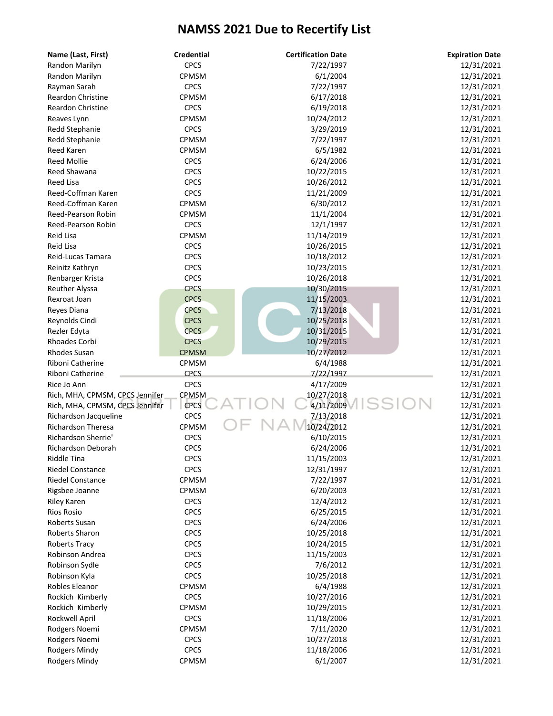| Name (Last, First)              | <b>Credential</b> | <b>Certification Date</b> | <b>Expiration Date</b> |
|---------------------------------|-------------------|---------------------------|------------------------|
| Randon Marilyn                  | <b>CPCS</b>       | 7/22/1997                 | 12/31/2021             |
| Randon Marilyn                  | CPMSM             | 6/1/2004                  | 12/31/2021             |
| Rayman Sarah                    | <b>CPCS</b>       | 7/22/1997                 | 12/31/2021             |
| <b>Reardon Christine</b>        | CPMSM             | 6/17/2018                 | 12/31/2021             |
| <b>Reardon Christine</b>        | <b>CPCS</b>       | 6/19/2018                 | 12/31/2021             |
| Reaves Lynn                     | CPMSM             | 10/24/2012                | 12/31/2021             |
| Redd Stephanie                  | <b>CPCS</b>       | 3/29/2019                 | 12/31/2021             |
| Redd Stephanie                  | CPMSM             | 7/22/1997                 | 12/31/2021             |
| Reed Karen                      | <b>CPMSM</b>      | 6/5/1982                  | 12/31/2021             |
| <b>Reed Mollie</b>              | <b>CPCS</b>       | 6/24/2006                 | 12/31/2021             |
| Reed Shawana                    | <b>CPCS</b>       | 10/22/2015                | 12/31/2021             |
| <b>Reed Lisa</b>                | <b>CPCS</b>       | 10/26/2012                | 12/31/2021             |
| Reed-Coffman Karen              | <b>CPCS</b>       | 11/21/2009                | 12/31/2021             |
| Reed-Coffman Karen              | CPMSM             | 6/30/2012                 | 12/31/2021             |
| Reed-Pearson Robin              | CPMSM             | 11/1/2004                 | 12/31/2021             |
| Reed-Pearson Robin              | <b>CPCS</b>       | 12/1/1997                 | 12/31/2021             |
| Reid Lisa                       | CPMSM             | 11/14/2019                | 12/31/2021             |
| Reid Lisa                       | <b>CPCS</b>       | 10/26/2015                | 12/31/2021             |
| Reid-Lucas Tamara               | <b>CPCS</b>       | 10/18/2012                | 12/31/2021             |
| Reinitz Kathryn                 | <b>CPCS</b>       | 10/23/2015                | 12/31/2021             |
| Renbarger Krista                | <b>CPCS</b>       | 10/26/2018                | 12/31/2021             |
| Reuther Alyssa                  | <b>CPCS</b>       | 10/30/2015                | 12/31/2021             |
| Rexroat Joan                    | <b>CPCS</b>       | 11/15/2003                | 12/31/2021             |
| Reyes Diana                     | <b>CPCS</b>       | 7/13/2018                 | 12/31/2021             |
| Reynolds Cindi                  | <b>CPCS</b>       | 10/25/2018                | 12/31/2021             |
| Rezler Edyta                    | <b>CPCS</b>       | 10/31/2015                | 12/31/2021             |
| Rhoades Corbi                   | <b>CPCS</b>       | 10/29/2015                | 12/31/2021             |
| <b>Rhodes Susan</b>             | <b>CPMSM</b>      | 10/27/2012                | 12/31/2021             |
| Riboni Catherine                | CPMSM             | 6/4/1988                  | 12/31/2021             |
| Riboni Catherine                | <b>CPCS</b>       | 7/22/1997                 | 12/31/2021             |
| Rice Jo Ann                     | <b>CPCS</b>       | 4/17/2009                 | 12/31/2021             |
| Rich, MHA, CPMSM, CPCS Jennifer | CPMSM             | 10/27/2018                | 12/31/2021             |
| Rich, MHA, CPMSM, CPCS Jennifer | <b>CPCS</b>       | 4/11/2009                 | 12/31/2021             |
| Richardson Jacqueline           | <b>CPCS</b>       | 7/13/2018                 | 12/31/2021             |
| <b>Richardson Theresa</b>       | CPMSM             | 10/24/2012                | 12/31/2021             |
| Richardson Sherrie'             | <b>CPCS</b>       | 6/10/2015                 | 12/31/2021             |
| <b>Richardson Deborah</b>       | <b>CPCS</b>       | 6/24/2006                 | 12/31/2021             |
| <b>Riddle Tina</b>              | CPCS              | 11/15/2003                | 12/31/2021             |
| <b>Riedel Constance</b>         | <b>CPCS</b>       | 12/31/1997                | 12/31/2021             |
| <b>Riedel Constance</b>         | CPMSM             | 7/22/1997                 | 12/31/2021             |
| Rigsbee Joanne                  | CPMSM             | 6/20/2003                 | 12/31/2021             |
| <b>Riley Karen</b>              | <b>CPCS</b>       | 12/4/2012                 | 12/31/2021             |
| <b>Rios Rosio</b>               | <b>CPCS</b>       | 6/25/2015                 | 12/31/2021             |
| Roberts Susan                   | <b>CPCS</b>       | 6/24/2006                 | 12/31/2021             |
| Roberts Sharon                  | <b>CPCS</b>       | 10/25/2018                | 12/31/2021             |
| Roberts Tracy                   | <b>CPCS</b>       | 10/24/2015                | 12/31/2021             |
| Robinson Andrea                 | <b>CPCS</b>       | 11/15/2003                | 12/31/2021             |
| Robinson Sydle                  | <b>CPCS</b>       | 7/6/2012                  | 12/31/2021             |
| Robinson Kyla                   | <b>CPCS</b>       | 10/25/2018                | 12/31/2021             |
| Robles Eleanor                  | CPMSM             | 6/4/1988                  | 12/31/2021             |
| Rockich Kimberly                | <b>CPCS</b>       | 10/27/2016                | 12/31/2021             |
| Rockich Kimberly                | CPMSM             | 10/29/2015                | 12/31/2021             |
| Rockwell April                  | <b>CPCS</b>       | 11/18/2006                | 12/31/2021             |
| Rodgers Noemi                   | CPMSM             | 7/11/2020                 | 12/31/2021             |
| Rodgers Noemi                   | <b>CPCS</b>       | 10/27/2018                | 12/31/2021             |
| Rodgers Mindy                   | <b>CPCS</b>       | 11/18/2006                | 12/31/2021             |
| Rodgers Mindy                   | CPMSM             | 6/1/2007                  | 12/31/2021             |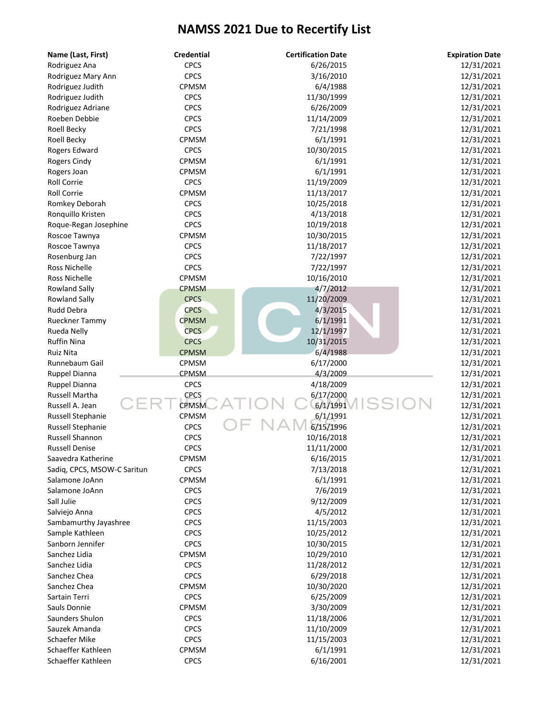| Name (Last, First)          | <b>Credential</b> | <b>Certification Date</b> | <b>Expiration Date</b> |
|-----------------------------|-------------------|---------------------------|------------------------|
| Rodriguez Ana               | <b>CPCS</b>       | 6/26/2015                 | 12/31/2021             |
| Rodriguez Mary Ann          | <b>CPCS</b>       | 3/16/2010                 | 12/31/2021             |
| Rodriguez Judith            | CPMSM             | 6/4/1988                  | 12/31/2021             |
| Rodriguez Judith            | <b>CPCS</b>       | 11/30/1999                | 12/31/2021             |
| Rodriguez Adriane           | <b>CPCS</b>       | 6/26/2009                 | 12/31/2021             |
| Roeben Debbie               | <b>CPCS</b>       | 11/14/2009                | 12/31/2021             |
| Roell Becky                 | <b>CPCS</b>       | 7/21/1998                 | 12/31/2021             |
| Roell Becky                 | <b>CPMSM</b>      | 6/1/1991                  | 12/31/2021             |
| Rogers Edward               | <b>CPCS</b>       | 10/30/2015                | 12/31/2021             |
| Rogers Cindy                | CPMSM             | 6/1/1991                  | 12/31/2021             |
| Rogers Joan                 | CPMSM             | 6/1/1991                  | 12/31/2021             |
| <b>Roll Corrie</b>          | <b>CPCS</b>       | 11/19/2009                | 12/31/2021             |
| <b>Roll Corrie</b>          | CPMSM             | 11/13/2017                | 12/31/2021             |
| Romkey Deborah              | <b>CPCS</b>       | 10/25/2018                | 12/31/2021             |
| Ronquillo Kristen           | <b>CPCS</b>       | 4/13/2018                 | 12/31/2021             |
| Roque-Regan Josephine       | <b>CPCS</b>       | 10/19/2018                | 12/31/2021             |
| Roscoe Tawnya               | CPMSM             | 10/30/2015                | 12/31/2021             |
| Roscoe Tawnya               | <b>CPCS</b>       | 11/18/2017                | 12/31/2021             |
| Rosenburg Jan               | <b>CPCS</b>       | 7/22/1997                 | 12/31/2021             |
| <b>Ross Nichelle</b>        | <b>CPCS</b>       | 7/22/1997                 | 12/31/2021             |
| Ross Nichelle               | CPMSM             | 10/16/2010                | 12/31/2021             |
| <b>Rowland Sally</b>        | <b>CPMSM</b>      | 4/7/2012                  | 12/31/2021             |
| <b>Rowland Sally</b>        | <b>CPCS</b>       | 11/20/2009                | 12/31/2021             |
| Rudd Debra                  | <b>CPCS</b>       | 4/3/2015                  | 12/31/2021             |
| Rueckner Tammy              | <b>CPMSM</b>      | 6/1/1991                  | 12/31/2021             |
| Rueda Nelly                 | <b>CPCS</b>       | 12/1/1997                 | 12/31/2021             |
| <b>Ruffin Nina</b>          | <b>CPCS</b>       | 10/31/2015                | 12/31/2021             |
| <b>Ruiz Nita</b>            | <b>CPMSM</b>      | 6/4/1988                  | 12/31/2021             |
| Runnebaum Gail              | CPMSM             | 6/17/2000                 | 12/31/2021             |
|                             | <b>CPMSM</b>      | 4/3/2009                  |                        |
| Ruppel Dianna               | <b>CPCS</b>       | 4/18/2009                 | 12/31/2021             |
| Ruppel Dianna               |                   |                           | 12/31/2021             |
| Russell Martha              | <b>CPCS</b>       | 6/17/2000<br>6/1/1991     | 12/31/2021             |
| Russell A. Jean             | <b>CPMSM</b>      |                           | 12/31/2021             |
| Russell Stephanie           | CPMSM             | 6/1/1991                  | 12/31/2021             |
| Russell Stephanie           | <b>CPCS</b>       | 6/15/1996                 | 12/31/2021             |
| <b>Russell Shannon</b>      | <b>CPCS</b>       | 10/16/2018                | 12/31/2021             |
| <b>Russell Denise</b>       | <b>CPCS</b>       | 11/11/2000                | 12/31/2021             |
| Saavedra Katherine          | CPMSM             | 6/16/2015                 | 12/31/2021             |
| Sadiq, CPCS, MSOW-C Saritun | <b>CPCS</b>       | 7/13/2018                 | 12/31/2021             |
| Salamone JoAnn              | CPMSM             | 6/1/1991                  | 12/31/2021             |
| Salamone JoAnn              | <b>CPCS</b>       | 7/6/2019                  | 12/31/2021             |
| Sall Julie                  | <b>CPCS</b>       | 9/12/2009                 | 12/31/2021             |
| Salviejo Anna               | <b>CPCS</b>       | 4/5/2012                  | 12/31/2021             |
| Sambamurthy Jayashree       | <b>CPCS</b>       | 11/15/2003                | 12/31/2021             |
| Sample Kathleen             | <b>CPCS</b>       | 10/25/2012                | 12/31/2021             |
| Sanborn Jennifer            | <b>CPCS</b>       | 10/30/2015                | 12/31/2021             |
| Sanchez Lidia               | CPMSM             | 10/29/2010                | 12/31/2021             |
| Sanchez Lidia               | <b>CPCS</b>       | 11/28/2012                | 12/31/2021             |
| Sanchez Chea                | <b>CPCS</b>       | 6/29/2018                 | 12/31/2021             |
| Sanchez Chea                | CPMSM             | 10/30/2020                | 12/31/2021             |
| Sartain Terri               | <b>CPCS</b>       | 6/25/2009                 | 12/31/2021             |
| Sauls Donnie                | <b>CPMSM</b>      | 3/30/2009                 | 12/31/2021             |
| Saunders Shulon             | <b>CPCS</b>       | 11/18/2006                | 12/31/2021             |
| Sauzek Amanda               | <b>CPCS</b>       | 11/10/2009                | 12/31/2021             |
| Schaefer Mike               | <b>CPCS</b>       | 11/15/2003                | 12/31/2021             |
| Schaeffer Kathleen          | CPMSM             | 6/1/1991                  | 12/31/2021             |
| Schaeffer Kathleen          | <b>CPCS</b>       | 6/16/2001                 | 12/31/2021             |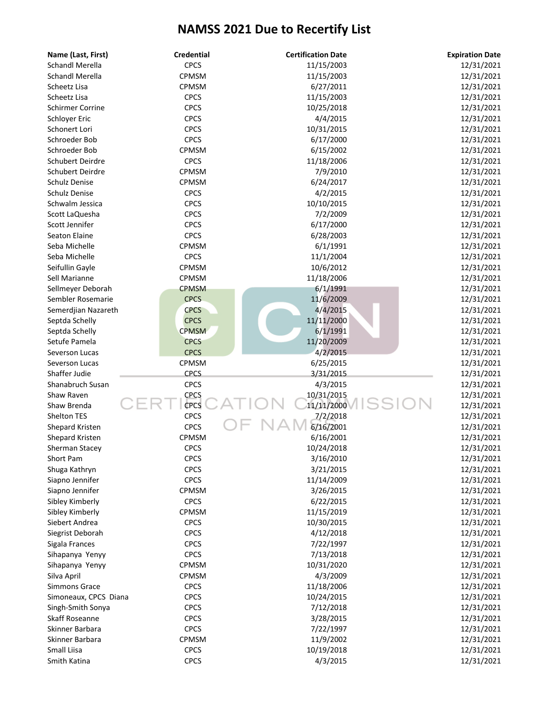| Name (Last, First)      | <b>Credential</b> | <b>Certification Date</b> | <b>Expiration Date</b> |
|-------------------------|-------------------|---------------------------|------------------------|
| <b>Schandl Merella</b>  | <b>CPCS</b>       | 11/15/2003                | 12/31/2021             |
| <b>Schandl Merella</b>  | CPMSM             | 11/15/2003                | 12/31/2021             |
| Scheetz Lisa            | CPMSM             | 6/27/2011                 | 12/31/2021             |
| Scheetz Lisa            | <b>CPCS</b>       | 11/15/2003                | 12/31/2021             |
| <b>Schirmer Corrine</b> | <b>CPCS</b>       | 10/25/2018                | 12/31/2021             |
| Schloyer Eric           | <b>CPCS</b>       | 4/4/2015                  | 12/31/2021             |
| Schonert Lori           | <b>CPCS</b>       | 10/31/2015                | 12/31/2021             |
| Schroeder Bob           | <b>CPCS</b>       | 6/17/2000                 | 12/31/2021             |
| Schroeder Bob           | CPMSM             | 6/15/2002                 | 12/31/2021             |
| Schubert Deirdre        | <b>CPCS</b>       | 11/18/2006                | 12/31/2021             |
| Schubert Deirdre        | CPMSM             | 7/9/2010                  | 12/31/2021             |
| Schulz Denise           | CPMSM             | 6/24/2017                 | 12/31/2021             |
| Schulz Denise           | <b>CPCS</b>       | 4/2/2015                  | 12/31/2021             |
| Schwalm Jessica         | <b>CPCS</b>       | 10/10/2015                | 12/31/2021             |
| Scott LaQuesha          | <b>CPCS</b>       | 7/2/2009                  | 12/31/2021             |
| Scott Jennifer          | <b>CPCS</b>       | 6/17/2000                 | 12/31/2021             |
| <b>Seaton Elaine</b>    | <b>CPCS</b>       | 6/28/2003                 | 12/31/2021             |
| Seba Michelle           | CPMSM             | 6/1/1991                  | 12/31/2021             |
| Seba Michelle           | <b>CPCS</b>       | 11/1/2004                 | 12/31/2021             |
| Seifullin Gayle         | CPMSM             | 10/6/2012                 | 12/31/2021             |
| Sell Marianne           | CPMSM             | 11/18/2006                | 12/31/2021             |
| Sellmeyer Deborah       | <b>CPMSM</b>      | 6/1/1991                  | 12/31/2021             |
| Sembler Rosemarie       | <b>CPCS</b>       | 11/6/2009                 | 12/31/2021             |
| Semerdjian Nazareth     | <b>CPCS</b>       | 4/4/2015                  | 12/31/2021             |
| Septda Schelly          | <b>CPCS</b>       | 11/11/2000                | 12/31/2021             |
| Septda Schelly          | <b>CPMSM</b>      | 6/1/1991                  | 12/31/2021             |
| Setufe Pamela           | <b>CPCS</b>       | 11/20/2009                | 12/31/2021             |
| Severson Lucas          | <b>CPCS</b>       | 4/2/2015                  | 12/31/2021             |
| Severson Lucas          | CPMSM             | 6/25/2015                 | 12/31/2021             |
| Shaffer Judie           | <b>CPCS</b>       | 3/31/2015                 | 12/31/2021             |
| Shanabruch Susan        | <b>CPCS</b>       | 4/3/2015                  | 12/31/2021             |
| Shaw Raven              | <b>CPCS</b>       | 10/31/2015                | 12/31/2021             |
| Shaw Brenda             | <b>CPCS</b>       | 11/11/2000                | 12/31/2021             |
| Shelton TES             | <b>CPCS</b>       | 7/2/2018                  | 12/31/2021             |
| Shepard Kristen         | <b>CPCS</b>       | 6/16/2001                 | 12/31/2021             |
| Shepard Kristen         | <b>CPMSM</b>      | 6/16/2001                 | 12/31/2021             |
| Sherman Stacey          | <b>CPCS</b>       | 10/24/2018                | 12/31/2021             |
| Short Pam               | <b>CPCS</b>       | 3/16/2010                 | 12/31/2021             |
| Shuga Kathryn           | <b>CPCS</b>       | 3/21/2015                 | 12/31/2021             |
| Siapno Jennifer         | <b>CPCS</b>       | 11/14/2009                | 12/31/2021             |
| Siapno Jennifer         | CPMSM             | 3/26/2015                 | 12/31/2021             |
| Sibley Kimberly         | <b>CPCS</b>       | 6/22/2015                 | 12/31/2021             |
| Sibley Kimberly         | <b>CPMSM</b>      | 11/15/2019                | 12/31/2021             |
| Siebert Andrea          | <b>CPCS</b>       | 10/30/2015                | 12/31/2021             |
| Siegrist Deborah        | <b>CPCS</b>       | 4/12/2018                 | 12/31/2021             |
| Sigala Frances          | <b>CPCS</b>       | 7/22/1997                 | 12/31/2021             |
| Sihapanya Yenyy         | <b>CPCS</b>       | 7/13/2018                 | 12/31/2021             |
| Sihapanya Yenyy         | CPMSM             | 10/31/2020                | 12/31/2021             |
| Silva April             | CPMSM             | 4/3/2009                  | 12/31/2021             |
| <b>Simmons Grace</b>    | <b>CPCS</b>       | 11/18/2006                | 12/31/2021             |
| Simoneaux, CPCS Diana   | <b>CPCS</b>       | 10/24/2015                | 12/31/2021             |
| Singh-Smith Sonya       | <b>CPCS</b>       | 7/12/2018                 | 12/31/2021             |
| Skaff Roseanne          | <b>CPCS</b>       | 3/28/2015                 | 12/31/2021             |
| Skinner Barbara         | <b>CPCS</b>       | 7/22/1997                 | 12/31/2021             |
| Skinner Barbara         | <b>CPMSM</b>      | 11/9/2002                 | 12/31/2021             |
| Small Liisa             | <b>CPCS</b>       | 10/19/2018                | 12/31/2021             |
| Smith Katina            | <b>CPCS</b>       | 4/3/2015                  | 12/31/2021             |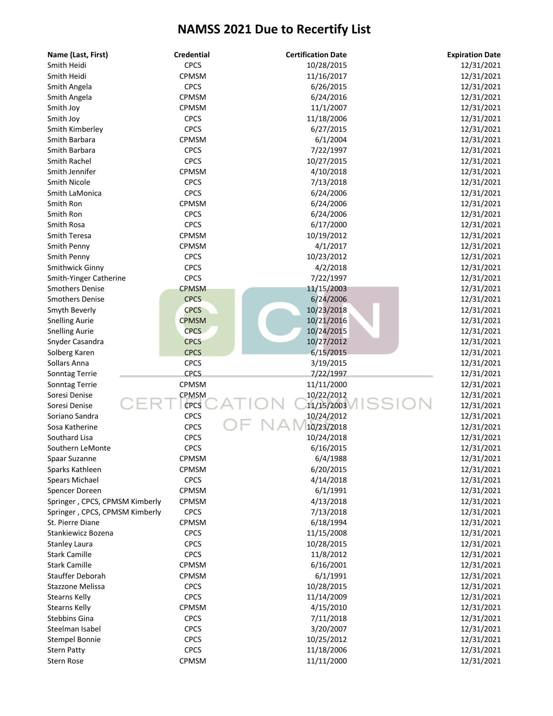| Name (Last, First)             | <b>Credential</b>          | <b>Certification Date</b> | <b>Expiration Date</b> |
|--------------------------------|----------------------------|---------------------------|------------------------|
| Smith Heidi                    | <b>CPCS</b>                | 10/28/2015                | 12/31/2021             |
| Smith Heidi                    | CPMSM                      | 11/16/2017                | 12/31/2021             |
| Smith Angela                   | <b>CPCS</b>                | 6/26/2015                 | 12/31/2021             |
| Smith Angela                   | CPMSM                      | 6/24/2016                 | 12/31/2021             |
| Smith Joy                      | CPMSM                      | 11/1/2007                 | 12/31/2021             |
| Smith Joy                      | <b>CPCS</b>                | 11/18/2006                | 12/31/2021             |
| Smith Kimberley                | <b>CPCS</b>                | 6/27/2015                 | 12/31/2021             |
| Smith Barbara                  | CPMSM                      | 6/1/2004                  | 12/31/2021             |
| Smith Barbara                  | <b>CPCS</b>                | 7/22/1997                 | 12/31/2021             |
| Smith Rachel                   | <b>CPCS</b>                | 10/27/2015                | 12/31/2021             |
| Smith Jennifer                 | CPMSM                      | 4/10/2018                 | 12/31/2021             |
| <b>Smith Nicole</b>            | <b>CPCS</b>                | 7/13/2018                 | 12/31/2021             |
| Smith LaMonica                 | <b>CPCS</b>                | 6/24/2006                 | 12/31/2021             |
| Smith Ron                      | CPMSM                      | 6/24/2006                 | 12/31/2021             |
| Smith Ron                      | <b>CPCS</b>                | 6/24/2006                 | 12/31/2021             |
| Smith Rosa                     | <b>CPCS</b>                | 6/17/2000                 | 12/31/2021             |
| Smith Teresa                   | CPMSM                      | 10/19/2012                | 12/31/2021             |
| Smith Penny                    | CPMSM                      | 4/1/2017                  | 12/31/2021             |
| Smith Penny                    | <b>CPCS</b>                | 10/23/2012                | 12/31/2021             |
| Smithwick Ginny                | <b>CPCS</b>                | 4/2/2018                  | 12/31/2021             |
| Smith-Yinger Catherine         | <b>CPCS</b>                | 7/22/1997                 | 12/31/2021             |
| <b>Smothers Denise</b>         | <b>CPMSM</b>               | 11/15/2003                | 12/31/2021             |
| <b>Smothers Denise</b>         | <b>CPCS</b>                | 6/24/2006                 | 12/31/2021             |
| Smyth Beverly                  | <b>CPCS</b>                | 10/23/2018                | 12/31/2021             |
| <b>Snelling Aurie</b>          | <b>CPMSM</b>               | 10/21/2016                | 12/31/2021             |
| <b>Snelling Aurie</b>          | <b>CPCS</b>                | 10/24/2015                | 12/31/2021             |
| Snyder Casandra                | <b>CPCS</b>                | 10/27/2012                | 12/31/2021             |
|                                | <b>CPCS</b>                | 6/15/2015                 |                        |
| Solberg Karen<br>Sollars Anna  |                            |                           | 12/31/2021             |
|                                | <b>CPCS</b><br><b>CPCS</b> | 3/19/2015<br>7/22/1997    | 12/31/2021             |
| Sonntag Terrie                 | CPMSM                      | 11/11/2000                | 12/31/2021             |
| Sonntag Terrie                 |                            |                           | 12/31/2021             |
| Soresi Denise                  | CPMSM<br><b>CPCS</b>       | 10/22/2012<br>11/15/2003  | 12/31/2021             |
| Soresi Denise                  |                            |                           | 12/31/2021             |
| Soriano Sandra                 | <b>CPCS</b>                | 10/24/2012                | 12/31/2021             |
| Sosa Katherine                 | <b>CPCS</b>                | 10/23/2018                | 12/31/2021             |
| Southard Lisa                  | <b>CPCS</b>                | 10/24/2018                | 12/31/2021             |
| Southern LeMonte               | <b>CPCS</b>                | 6/16/2015                 | 12/31/2021             |
| Spaar Suzanne                  | CPMSM                      | 6/4/1988                  | 12/31/2021             |
| Sparks Kathleen                | CPMSM                      | 6/20/2015                 | 12/31/2021             |
| Spears Michael                 | <b>CPCS</b>                | 4/14/2018                 | 12/31/2021             |
| Spencer Doreen                 | CPMSM                      | 6/1/1991                  | 12/31/2021             |
| Springer, CPCS, CPMSM Kimberly | CPMSM                      | 4/13/2018                 | 12/31/2021             |
| Springer, CPCS, CPMSM Kimberly | <b>CPCS</b>                | 7/13/2018                 | 12/31/2021             |
| St. Pierre Diane               | CPMSM                      | 6/18/1994                 | 12/31/2021             |
| Stankiewicz Bozena             | <b>CPCS</b>                | 11/15/2008                | 12/31/2021             |
| <b>Stanley Laura</b>           | <b>CPCS</b>                | 10/28/2015                | 12/31/2021             |
| <b>Stark Camille</b>           | <b>CPCS</b>                | 11/8/2012                 | 12/31/2021             |
| <b>Stark Camille</b>           | CPMSM                      | 6/16/2001                 | 12/31/2021             |
| Stauffer Deborah               | CPMSM                      | 6/1/1991                  | 12/31/2021             |
| Stazzone Melissa               | <b>CPCS</b>                | 10/28/2015                | 12/31/2021             |
| <b>Stearns Kelly</b>           | <b>CPCS</b>                | 11/14/2009                | 12/31/2021             |
| <b>Stearns Kelly</b>           | CPMSM                      | 4/15/2010                 | 12/31/2021             |
| Stebbins Gina                  | <b>CPCS</b>                | 7/11/2018                 | 12/31/2021             |
| Steelman Isabel                | <b>CPCS</b>                | 3/20/2007                 | 12/31/2021             |
| <b>Stempel Bonnie</b>          | <b>CPCS</b>                | 10/25/2012                | 12/31/2021             |
| <b>Stern Patty</b>             | <b>CPCS</b>                | 11/18/2006                | 12/31/2021             |
| <b>Stern Rose</b>              | CPMSM                      | 11/11/2000                | 12/31/2021             |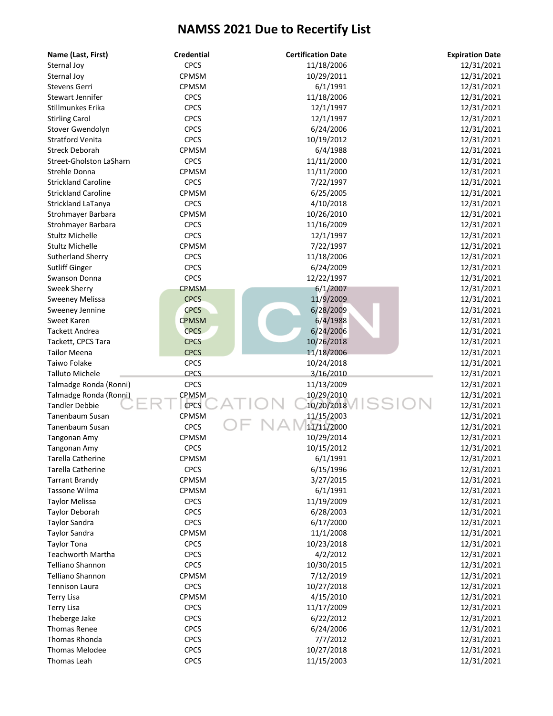| Name (Last, First)             | <b>Credential</b> | <b>Certification Date</b> | <b>Expiration Date</b> |
|--------------------------------|-------------------|---------------------------|------------------------|
| Sternal Joy                    | <b>CPCS</b>       | 11/18/2006                | 12/31/2021             |
| Sternal Joy                    | CPMSM             | 10/29/2011                | 12/31/2021             |
| Stevens Gerri                  | CPMSM             | 6/1/1991                  | 12/31/2021             |
| Stewart Jennifer               | <b>CPCS</b>       | 11/18/2006                | 12/31/2021             |
| Stillmunkes Erika              | <b>CPCS</b>       | 12/1/1997                 | 12/31/2021             |
| <b>Stirling Carol</b>          | <b>CPCS</b>       | 12/1/1997                 | 12/31/2021             |
| Stover Gwendolyn               | <b>CPCS</b>       | 6/24/2006                 | 12/31/2021             |
| <b>Stratford Venita</b>        | <b>CPCS</b>       | 10/19/2012                | 12/31/2021             |
| <b>Streck Deborah</b>          | CPMSM             | 6/4/1988                  | 12/31/2021             |
| <b>Street-Gholston LaSharn</b> | <b>CPCS</b>       | 11/11/2000                | 12/31/2021             |
| Strehle Donna                  | CPMSM             | 11/11/2000                | 12/31/2021             |
| <b>Strickland Caroline</b>     | <b>CPCS</b>       | 7/22/1997                 | 12/31/2021             |
| <b>Strickland Caroline</b>     | CPMSM             | 6/25/2005                 | 12/31/2021             |
| Strickland LaTanya             | <b>CPCS</b>       | 4/10/2018                 | 12/31/2021             |
| Strohmayer Barbara             | CPMSM             | 10/26/2010                | 12/31/2021             |
| Strohmayer Barbara             | <b>CPCS</b>       | 11/16/2009                | 12/31/2021             |
| <b>Stultz Michelle</b>         | <b>CPCS</b>       | 12/1/1997                 | 12/31/2021             |
| <b>Stultz Michelle</b>         | CPMSM             | 7/22/1997                 | 12/31/2021             |
| Sutherland Sherry              | <b>CPCS</b>       | 11/18/2006                | 12/31/2021             |
| <b>Sutliff Ginger</b>          | <b>CPCS</b>       | 6/24/2009                 | 12/31/2021             |
| <b>Swanson Donna</b>           | <b>CPCS</b>       | 12/22/1997                | 12/31/2021             |
| Sweek Sherry                   | <b>CPMSM</b>      | 6/1/2007                  | 12/31/2021             |
| Sweeney Melissa                | <b>CPCS</b>       | 11/9/2009                 | 12/31/2021             |
| Sweeney Jennine                | <b>CPCS</b>       | 6/28/2009                 | 12/31/2021             |
| Sweet Karen                    | <b>CPMSM</b>      | 6/4/1988                  | 12/31/2021             |
| <b>Tackett Andrea</b>          | <b>CPCS</b>       | 6/24/2006                 | 12/31/2021             |
| Tackett, CPCS Tara             | <b>CPCS</b>       | 10/26/2018                | 12/31/2021             |
| <b>Tailor Meena</b>            | <b>CPCS</b>       | 11/18/2006                | 12/31/2021             |
| Taiwo Folake                   | <b>CPCS</b>       | 10/24/2018                | 12/31/2021             |
| <b>Talluto Michele</b>         | <b>CPCS</b>       | 3/16/2010                 | 12/31/2021             |
| Talmadge Ronda (Ronni)         | <b>CPCS</b>       | 11/13/2009                | 12/31/2021             |
| Talmadge Ronda (Ronni)         | <b>CPMSM</b>      | 10/29/2010                | 12/31/2021             |
| <b>Tandler Debbie</b>          | <b>CPCS</b>       | 10/20/2018                | 12/31/2021             |
| <b>Tanenbaum Susan</b>         | CPMSM             | 11/15/2003                | 12/31/2021             |
| <b>Tanenbaum Susan</b>         | <b>CPCS</b>       | 11/11/2000                | 12/31/2021             |
| Tangonan Amy                   | CPMSM             | 10/29/2014                | 12/31/2021             |
| Tangonan Amy                   | <b>CPCS</b>       | 10/15/2012                | 12/31/2021             |
| <b>Tarella Catherine</b>       | CPMSM             | 6/1/1991                  | 12/31/2021             |
| <b>Tarella Catherine</b>       | <b>CPCS</b>       | 6/15/1996                 | 12/31/2021             |
| <b>Tarrant Brandy</b>          | CPMSM             | 3/27/2015                 | 12/31/2021             |
| Tassone Wilma                  | CPMSM             | 6/1/1991                  | 12/31/2021             |
| <b>Taylor Melissa</b>          | <b>CPCS</b>       | 11/19/2009                | 12/31/2021             |
| <b>Taylor Deborah</b>          | <b>CPCS</b>       | 6/28/2003                 | 12/31/2021             |
| <b>Taylor Sandra</b>           | <b>CPCS</b>       | 6/17/2000                 | 12/31/2021             |
| <b>Taylor Sandra</b>           | CPMSM             | 11/1/2008                 | 12/31/2021             |
| <b>Taylor Tona</b>             | <b>CPCS</b>       | 10/23/2018                | 12/31/2021             |
| <b>Teachworth Martha</b>       | <b>CPCS</b>       | 4/2/2012                  | 12/31/2021             |
| <b>Telliano Shannon</b>        | <b>CPCS</b>       | 10/30/2015                | 12/31/2021             |
| <b>Telliano Shannon</b>        | CPMSM             | 7/12/2019                 | 12/31/2021             |
| <b>Tennison Laura</b>          | <b>CPCS</b>       | 10/27/2018                | 12/31/2021             |
| <b>Terry Lisa</b>              | CPMSM             | 4/15/2010                 | 12/31/2021             |
| <b>Terry Lisa</b>              | <b>CPCS</b>       | 11/17/2009                | 12/31/2021             |
| Theberge Jake                  | <b>CPCS</b>       | 6/22/2012                 | 12/31/2021             |
| <b>Thomas Renee</b>            | <b>CPCS</b>       | 6/24/2006                 | 12/31/2021             |
| Thomas Rhonda                  | <b>CPCS</b>       | 7/7/2012                  | 12/31/2021             |
| <b>Thomas Melodee</b>          | <b>CPCS</b>       | 10/27/2018                | 12/31/2021             |
| Thomas Leah                    | <b>CPCS</b>       | 11/15/2003                | 12/31/2021             |
|                                |                   |                           |                        |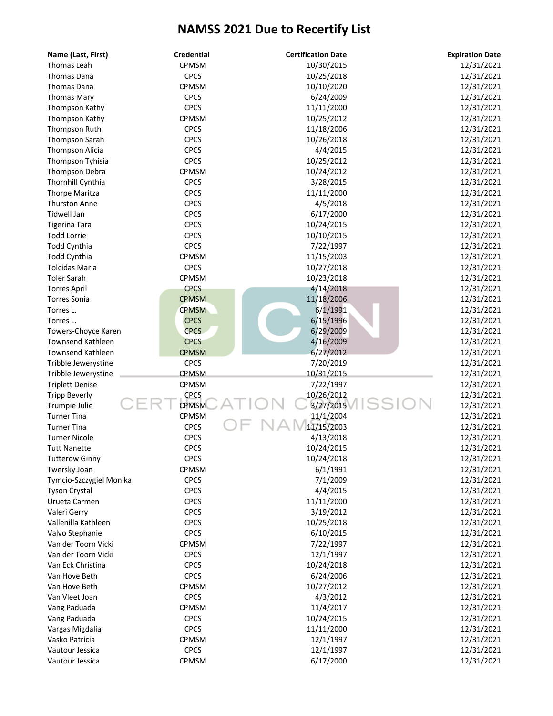| Name (Last, First)       | <b>Credential</b> | <b>Certification Date</b> | <b>Expiration Date</b> |
|--------------------------|-------------------|---------------------------|------------------------|
| Thomas Leah              | CPMSM             | 10/30/2015                | 12/31/2021             |
| Thomas Dana              | <b>CPCS</b>       | 10/25/2018                | 12/31/2021             |
| Thomas Dana              | CPMSM             | 10/10/2020                | 12/31/2021             |
| <b>Thomas Mary</b>       | <b>CPCS</b>       | 6/24/2009                 | 12/31/2021             |
| Thompson Kathy           | <b>CPCS</b>       | 11/11/2000                | 12/31/2021             |
| Thompson Kathy           | CPMSM             | 10/25/2012                | 12/31/2021             |
| Thompson Ruth            | <b>CPCS</b>       | 11/18/2006                | 12/31/2021             |
| Thompson Sarah           | <b>CPCS</b>       | 10/26/2018                | 12/31/2021             |
| <b>Thompson Alicia</b>   | <b>CPCS</b>       | 4/4/2015                  | 12/31/2021             |
| Thompson Tyhisia         | <b>CPCS</b>       | 10/25/2012                | 12/31/2021             |
| Thompson Debra           | CPMSM             | 10/24/2012                | 12/31/2021             |
| Thornhill Cynthia        | <b>CPCS</b>       | 3/28/2015                 | 12/31/2021             |
| <b>Thorpe Maritza</b>    | <b>CPCS</b>       | 11/11/2000                | 12/31/2021             |
| <b>Thurston Anne</b>     | <b>CPCS</b>       | 4/5/2018                  | 12/31/2021             |
| Tidwell Jan              | <b>CPCS</b>       | 6/17/2000                 | 12/31/2021             |
| <b>Tigerina Tara</b>     | <b>CPCS</b>       | 10/24/2015                | 12/31/2021             |
| <b>Todd Lorrie</b>       | <b>CPCS</b>       | 10/10/2015                | 12/31/2021             |
| Todd Cynthia             | <b>CPCS</b>       | 7/22/1997                 | 12/31/2021             |
| Todd Cynthia             | CPMSM             | 11/15/2003                | 12/31/2021             |
| <b>Tolcidas Maria</b>    | <b>CPCS</b>       | 10/27/2018                | 12/31/2021             |
| <b>Toler Sarah</b>       | CPMSM             | 10/23/2018                | 12/31/2021             |
| <b>Torres April</b>      | <b>CPCS</b>       | 4/14/2018                 | 12/31/2021             |
| <b>Torres Sonia</b>      | <b>CPMSM</b>      | 11/18/2006                | 12/31/2021             |
| Torres L.                | <b>CPMSM</b>      | 6/1/1991                  | 12/31/2021             |
| Torres L.                | <b>CPCS</b>       | 6/15/1996                 | 12/31/2021             |
| Towers-Choyce Karen      | <b>CPCS</b>       | 6/29/2009                 | 12/31/2021             |
| <b>Townsend Kathleen</b> | <b>CPCS</b>       | 4/16/2009                 | 12/31/2021             |
| <b>Townsend Kathleen</b> | <b>CPMSM</b>      | 6/27/2012                 | 12/31/2021             |
| Tribble Jewerystine      | <b>CPCS</b>       | 7/20/2019                 | 12/31/2021             |
| Tribble Jewerystine      | CPMSM             | 10/31/2015                | 12/31/2021             |
| <b>Triplett Denise</b>   | CPMSM             | 7/22/1997                 | 12/31/2021             |
| <b>Tripp Beverly</b>     | <b>CPCS</b>       | 10/26/2012                | 12/31/2021             |
| Trumpie Julie            | <b>CPMSM</b>      | SS<br>3/27/2015           | 12/31/2021             |
| <b>Turner Tina</b>       | CPMSM             | 11/1/2004                 | 12/31/2021             |
| <b>Turner Tina</b>       | <b>CPCS</b>       | 11/15/2003                | 12/31/2021             |
| <b>Turner Nicole</b>     | <b>CPCS</b>       | 4/13/2018                 | 12/31/2021             |
| <b>Tutt Nanette</b>      | <b>CPCS</b>       | 10/24/2015                | 12/31/2021             |
| <b>Tutterow Ginny</b>    | CPCS              | 10/24/2018                | 12/31/2021             |
| Twersky Joan             | CPMSM             | 6/1/1991                  | 12/31/2021             |
| Tymcio-Szczygiel Monika  | <b>CPCS</b>       | 7/1/2009                  | 12/31/2021             |
| <b>Tyson Crystal</b>     | <b>CPCS</b>       | 4/4/2015                  | 12/31/2021             |
| Urueta Carmen            | <b>CPCS</b>       | 11/11/2000                | 12/31/2021             |
| Valeri Gerry             | <b>CPCS</b>       | 3/19/2012                 | 12/31/2021             |
| Vallenilla Kathleen      | <b>CPCS</b>       | 10/25/2018                | 12/31/2021             |
| Valvo Stephanie          | <b>CPCS</b>       | 6/10/2015                 | 12/31/2021             |
| Van der Toorn Vicki      | CPMSM             | 7/22/1997                 | 12/31/2021             |
| Van der Toorn Vicki      | <b>CPCS</b>       | 12/1/1997                 | 12/31/2021             |
| Van Eck Christina        | <b>CPCS</b>       | 10/24/2018                | 12/31/2021             |
| Van Hove Beth            | <b>CPCS</b>       | 6/24/2006                 | 12/31/2021             |
| Van Hove Beth            | CPMSM             | 10/27/2012                | 12/31/2021             |
| Van Vleet Joan           | <b>CPCS</b>       | 4/3/2012                  | 12/31/2021             |
| Vang Paduada             | CPMSM             | 11/4/2017                 | 12/31/2021             |
| Vang Paduada             | <b>CPCS</b>       | 10/24/2015                | 12/31/2021             |
| Vargas Migdalia          | <b>CPCS</b>       | 11/11/2000                | 12/31/2021             |
| Vasko Patricia           | <b>CPMSM</b>      | 12/1/1997                 | 12/31/2021             |
| Vautour Jessica          | <b>CPCS</b>       | 12/1/1997                 | 12/31/2021             |
| Vautour Jessica          | CPMSM             | 6/17/2000                 | 12/31/2021             |
|                          |                   |                           |                        |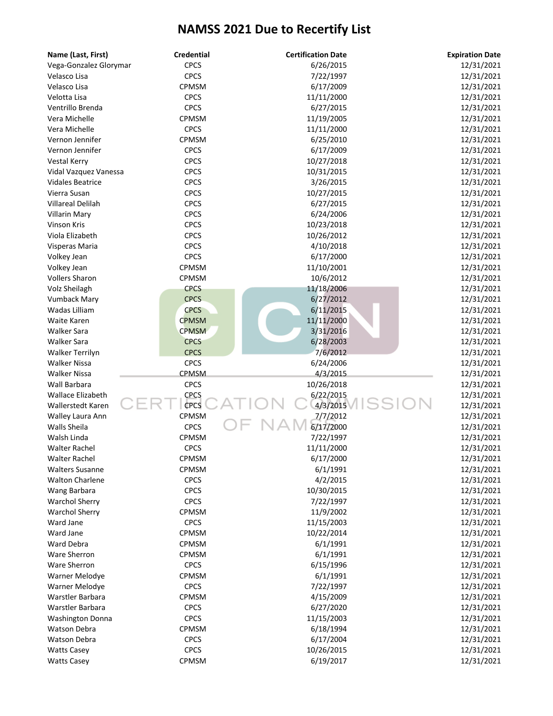| Name (Last, First)       | <b>Credential</b> | <b>Certification Date</b> | <b>Expiration Date</b> |
|--------------------------|-------------------|---------------------------|------------------------|
| Vega-Gonzalez Glorymar   | <b>CPCS</b>       | 6/26/2015                 | 12/31/2021             |
| Velasco Lisa             | <b>CPCS</b>       | 7/22/1997                 | 12/31/2021             |
| Velasco Lisa             | CPMSM             | 6/17/2009                 | 12/31/2021             |
| Velotta Lisa             | <b>CPCS</b>       | 11/11/2000                | 12/31/2021             |
| Ventrillo Brenda         | <b>CPCS</b>       | 6/27/2015                 | 12/31/2021             |
| Vera Michelle            | CPMSM             | 11/19/2005                | 12/31/2021             |
| Vera Michelle            | <b>CPCS</b>       | 11/11/2000                | 12/31/2021             |
| Vernon Jennifer          | CPMSM             | 6/25/2010                 | 12/31/2021             |
| Vernon Jennifer          | <b>CPCS</b>       | 6/17/2009                 | 12/31/2021             |
| <b>Vestal Kerry</b>      | <b>CPCS</b>       | 10/27/2018                | 12/31/2021             |
| Vidal Vazquez Vanessa    | <b>CPCS</b>       | 10/31/2015                | 12/31/2021             |
| <b>Vidales Beatrice</b>  | <b>CPCS</b>       | 3/26/2015                 | 12/31/2021             |
| Vierra Susan             | <b>CPCS</b>       | 10/27/2015                | 12/31/2021             |
| <b>Villareal Delilah</b> | <b>CPCS</b>       | 6/27/2015                 | 12/31/2021             |
| Villarin Mary            | <b>CPCS</b>       | 6/24/2006                 | 12/31/2021             |
| Vinson Kris              | <b>CPCS</b>       | 10/23/2018                | 12/31/2021             |
| Viola Elizabeth          | <b>CPCS</b>       | 10/26/2012                | 12/31/2021             |
| Visperas Maria           | <b>CPCS</b>       | 4/10/2018                 | 12/31/2021             |
| Volkey Jean              | <b>CPCS</b>       | 6/17/2000                 | 12/31/2021             |
| Volkey Jean              | CPMSM             | 11/10/2001                | 12/31/2021             |
| <b>Vollers Sharon</b>    | <b>CPMSM</b>      | 10/6/2012                 | 12/31/2021             |
| Volz Sheilagh            | <b>CPCS</b>       | 11/18/2006                | 12/31/2021             |
| <b>Vumback Mary</b>      | <b>CPCS</b>       | 6/27/2012                 | 12/31/2021             |
| Wadas Lilliam            | <b>CPCS</b>       | 6/11/2015                 | 12/31/2021             |
| Waite Karen              | <b>CPMSM</b>      | 11/11/2000                | 12/31/2021             |
| <b>Walker Sara</b>       | <b>CPMSM</b>      | 3/31/2016                 | 12/31/2021             |
| Walker Sara              | <b>CPCS</b>       | 6/28/2003                 | 12/31/2021             |
| Walker Terrilyn          | <b>CPCS</b>       | 7/6/2012                  | 12/31/2021             |
| <b>Walker Nissa</b>      | <b>CPCS</b>       | 6/24/2006                 | 12/31/2021             |
| <b>Walker Nissa</b>      | CPMSM             | 4/3/2015                  | 12/31/2021             |
| Wall Barbara             | <b>CPCS</b>       | 10/26/2018                | 12/31/2021             |
| <b>Wallace Elizabeth</b> | <b>CPCS</b>       | 6/22/2015                 | 12/31/2021             |
| <b>Wallerstedt Karen</b> | CPCS              | 4/3/2015                  | 12/31/2021             |
| Walley Laura Ann         | CPMSM             | 7/7/2012                  | 12/31/2021             |
| Walls Sheila             | <b>CPCS</b>       | 6/17/2000                 | 12/31/2021             |
| Walsh Linda              | <b>CPMSM</b>      | 7/22/1997                 | 12/31/2021             |
| <b>Walter Rachel</b>     | <b>CPCS</b>       | 11/11/2000                | 12/31/2021             |
| <b>Walter Rachel</b>     | <b>CPMSM</b>      | 6/17/2000                 | 12/31/2021             |
| <b>Walters Susanne</b>   | CPMSM             | 6/1/1991                  | 12/31/2021             |
| <b>Walton Charlene</b>   | <b>CPCS</b>       | 4/2/2015                  | 12/31/2021             |
| Wang Barbara             | <b>CPCS</b>       | 10/30/2015                | 12/31/2021             |
| <b>Warchol Sherry</b>    | <b>CPCS</b>       | 7/22/1997                 | 12/31/2021             |
| <b>Warchol Sherry</b>    | CPMSM             | 11/9/2002                 | 12/31/2021             |
| Ward Jane                | <b>CPCS</b>       | 11/15/2003                | 12/31/2021             |
| Ward Jane                | CPMSM             | 10/22/2014                | 12/31/2021             |
| Ward Debra               | CPMSM             | 6/1/1991                  | 12/31/2021             |
| Ware Sherron             | <b>CPMSM</b>      | 6/1/1991                  | 12/31/2021             |
| <b>Ware Sherron</b>      | <b>CPCS</b>       | 6/15/1996                 | 12/31/2021             |
| Warner Melodye           | <b>CPMSM</b>      | 6/1/1991                  | 12/31/2021             |
| Warner Melodye           | <b>CPCS</b>       | 7/22/1997                 | 12/31/2021             |
| Warstler Barbara         | CPMSM             | 4/15/2009                 | 12/31/2021             |
| Warstler Barbara         | <b>CPCS</b>       | 6/27/2020                 | 12/31/2021             |
| <b>Washington Donna</b>  | <b>CPCS</b>       | 11/15/2003                | 12/31/2021             |
| Watson Debra             | CPMSM             | 6/18/1994                 | 12/31/2021             |
| Watson Debra             | <b>CPCS</b>       | 6/17/2004                 | 12/31/2021             |
| <b>Watts Casey</b>       | <b>CPCS</b>       | 10/26/2015                | 12/31/2021             |
| <b>Watts Casey</b>       | CPMSM             | 6/19/2017                 | 12/31/2021             |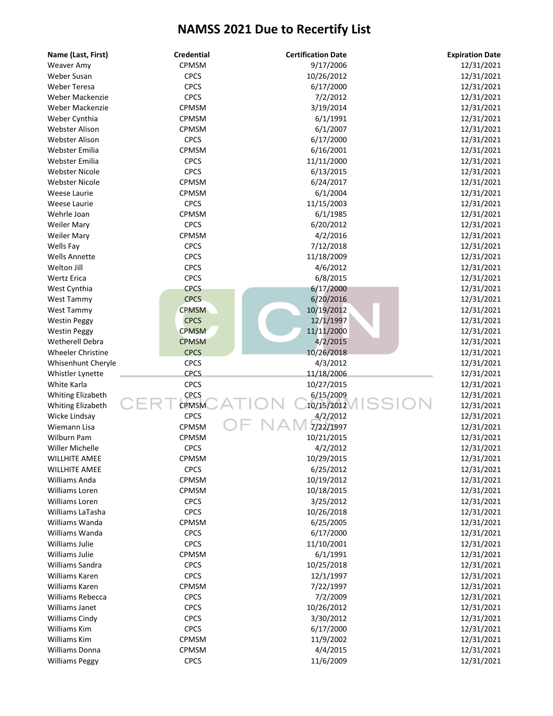| Name (Last, First)       | <b>Credential</b> | <b>Certification Date</b> | <b>Expiration Date</b> |
|--------------------------|-------------------|---------------------------|------------------------|
| Weaver Amy               | CPMSM             | 9/17/2006                 | 12/31/2021             |
| Weber Susan              | <b>CPCS</b>       | 10/26/2012                | 12/31/2021             |
| <b>Weber Teresa</b>      | <b>CPCS</b>       | 6/17/2000                 | 12/31/2021             |
| Weber Mackenzie          | <b>CPCS</b>       | 7/2/2012                  | 12/31/2021             |
| Weber Mackenzie          | CPMSM             | 3/19/2014                 | 12/31/2021             |
| Weber Cynthia            | CPMSM             | 6/1/1991                  | 12/31/2021             |
| <b>Webster Alison</b>    | CPMSM             | 6/1/2007                  | 12/31/2021             |
| <b>Webster Alison</b>    | <b>CPCS</b>       | 6/17/2000                 | 12/31/2021             |
| Webster Emilia           | CPMSM             | 6/16/2001                 | 12/31/2021             |
| Webster Emilia           | <b>CPCS</b>       | 11/11/2000                | 12/31/2021             |
| <b>Webster Nicole</b>    | <b>CPCS</b>       | 6/13/2015                 | 12/31/2021             |
| <b>Webster Nicole</b>    | CPMSM             | 6/24/2017                 | 12/31/2021             |
| Weese Laurie             | CPMSM             | 6/1/2004                  | 12/31/2021             |
| Weese Laurie             | <b>CPCS</b>       | 11/15/2003                | 12/31/2021             |
| Wehrle Joan              | CPMSM             | 6/1/1985                  | 12/31/2021             |
| <b>Weiler Mary</b>       | <b>CPCS</b>       | 6/20/2012                 | 12/31/2021             |
| <b>Weiler Mary</b>       | CPMSM             | 4/2/2016                  | 12/31/2021             |
| Wells Fay                | <b>CPCS</b>       | 7/12/2018                 | 12/31/2021             |
| <b>Wells Annette</b>     | <b>CPCS</b>       | 11/18/2009                | 12/31/2021             |
| Welton Jill              | <b>CPCS</b>       | 4/6/2012                  | 12/31/2021             |
| <b>Wertz Erica</b>       | <b>CPCS</b>       | 6/8/2015                  | 12/31/2021             |
| West Cynthia             | <b>CPCS</b>       | 6/17/2000                 | 12/31/2021             |
| West Tammy               | <b>CPCS</b>       | 6/20/2016                 | 12/31/2021             |
| <b>West Tammy</b>        | <b>CPMSM</b>      | 10/19/2012                | 12/31/2021             |
| <b>Westin Peggy</b>      | <b>CPCS</b>       | 12/1/1997                 | 12/31/2021             |
| <b>Westin Peggy</b>      | <b>CPMSM</b>      | 11/11/2000                | 12/31/2021             |
| Wetherell Debra          | <b>CPMSM</b>      | 4/2/2015                  | 12/31/2021             |
| <b>Wheeler Christine</b> | <b>CPCS</b>       | 10/26/2018                | 12/31/2021             |
| Whisenhunt Cheryle       | <b>CPCS</b>       | 4/3/2012                  | 12/31/2021             |
| Whistler Lynette         | <b>CPCS</b>       | 11/18/2006                | 12/31/2021             |
| White Karla              | <b>CPCS</b>       | 10/27/2015                | 12/31/2021             |
| Whiting Elizabeth        | CPCS              | 6/15/2009                 | 12/31/2021             |
| Whiting Elizabeth        | <b>CPMSM</b>      | SS<br>10/15/2012          | 12/31/2021             |
| Wicke Lindsay            | <b>CPCS</b>       | 4/2/2012                  | 12/31/2021             |
| Wiemann Lisa             | CPMSM             | 7/22/1997                 | 12/31/2021             |
| <b>Wilburn Pam</b>       | CPMSM             | 10/21/2015                | 12/31/2021             |
| Willer Michelle          | <b>CPCS</b>       | 4/2/2012                  | 12/31/2021             |
| <b>WILLHITE AMEE</b>     | CPMSM             | 10/29/2015                | 12/31/2021             |
| <b>WILLHITE AMEE</b>     | <b>CPCS</b>       | 6/25/2012                 | 12/31/2021             |
| Williams Anda            | CPMSM             | 10/19/2012                | 12/31/2021             |
| Williams Loren           | <b>CPMSM</b>      | 10/18/2015                | 12/31/2021             |
| Williams Loren           | <b>CPCS</b>       | 3/25/2012                 | 12/31/2021             |
| Williams LaTasha         | <b>CPCS</b>       | 10/26/2018                | 12/31/2021             |
| Williams Wanda           | CPMSM             | 6/25/2005                 | 12/31/2021             |
| Williams Wanda           | <b>CPCS</b>       | 6/17/2000                 | 12/31/2021             |
| Williams Julie           | <b>CPCS</b>       | 11/10/2001                | 12/31/2021             |
| Williams Julie           | CPMSM             | 6/1/1991                  | 12/31/2021             |
| Williams Sandra          | <b>CPCS</b>       | 10/25/2018                | 12/31/2021             |
| Williams Karen           | <b>CPCS</b>       | 12/1/1997                 | 12/31/2021             |
| Williams Karen           | CPMSM             | 7/22/1997                 | 12/31/2021             |
| Williams Rebecca         | <b>CPCS</b>       | 7/2/2009                  | 12/31/2021             |
| Williams Janet           | <b>CPCS</b>       | 10/26/2012                | 12/31/2021             |
| <b>Williams Cindy</b>    | <b>CPCS</b>       | 3/30/2012                 | 12/31/2021             |
| Williams Kim             | <b>CPCS</b>       | 6/17/2000                 | 12/31/2021             |
| Williams Kim             | CPMSM             | 11/9/2002                 | 12/31/2021             |
| Williams Donna           | <b>CPMSM</b>      | 4/4/2015                  | 12/31/2021             |
| <b>Williams Peggy</b>    | <b>CPCS</b>       | 11/6/2009                 | 12/31/2021             |